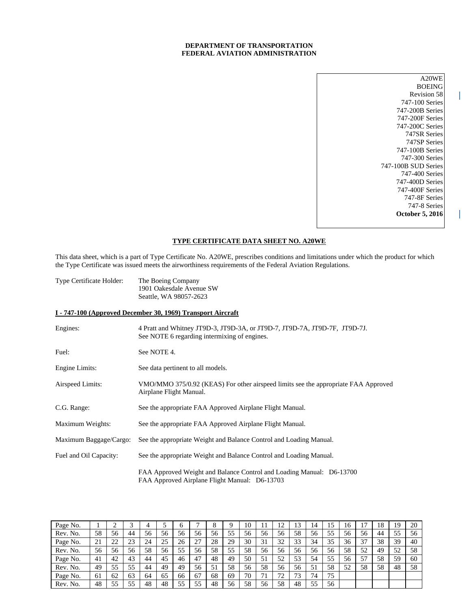# **DEPARTMENT OF TRANSPORTATION FEDERAL AVIATION ADMINISTRATION**

A20WE BOEING Revision 58 747-100 Series 747-200B Series 747-200F Series 747-200C Series 747SR Series 747SP Series 747-100B Series 747-300 Series 747-100B SUD Series 747-400 Series 747-400D Series 747-400F Series 747-8F Series 747-8 Series **October 5, 2016**

## **TYPE CERTIFICATE DATA SHEET NO. A20WE**

This data sheet, which is a part of Type Certificate No. A20WE, prescribes conditions and limitations under which the product for which the Type Certificate was issued meets the airworthiness requirements of the Federal Aviation Regulations.

| <b>Type Certificate Holder:</b> | The Boeing Company       |
|---------------------------------|--------------------------|
|                                 | 1901 Oakesdale Avenue SW |
|                                 | Seattle, WA 98057-2623   |

### **I - 747-100 (Approved December 30, 1969) Transport Aircraft**

| Engines:               | 4 Pratt and Whitney JT9D-3, JT9D-3A, or JT9D-7, JT9D-7A, JT9D-7F, JT9D-7J.<br>See NOTE 6 regarding intermixing of engines. |
|------------------------|----------------------------------------------------------------------------------------------------------------------------|
| Fuel:                  | See NOTE 4.                                                                                                                |
| Engine Limits:         | See data pertinent to all models.                                                                                          |
| Airspeed Limits:       | VMO/MMO 375/0.92 (KEAS) For other airspeed limits see the appropriate FAA Approved<br>Airplane Flight Manual.              |
| C.G. Range:            | See the appropriate FAA Approved Airplane Flight Manual.                                                                   |
| Maximum Weights:       | See the appropriate FAA Approved Airplane Flight Manual.                                                                   |
| Maximum Baggage/Cargo: | See the appropriate Weight and Balance Control and Loading Manual.                                                         |
| Fuel and Oil Capacity: | See the appropriate Weight and Balance Control and Loading Manual.                                                         |
|                        | FAA Approved Weight and Balance Control and Loading Manual: D6-13700<br>FAA Approved Airplane Flight Manual: D6-13703      |

| Page No. |     |                |    |    |    | O  |    |    |    | 10 |    | ി  | 13 | 14 | 15 | 16 |    | 18 | 19 | 20 |
|----------|-----|----------------|----|----|----|----|----|----|----|----|----|----|----|----|----|----|----|----|----|----|
| Rev. No. | 58  | 56             | 44 | 56 | 56 | 56 | 56 | 56 | 55 | 56 | 56 | 56 | 58 | 56 | 55 | 56 | 56 | 44 | 55 | 56 |
| Page No. | 21  | $\gamma$<br>∠∠ | 23 | 24 | 25 | 26 | 27 | 28 | 29 | 30 | 31 | 32 | 33 | 34 | 35 | 36 | 37 | 38 | 39 | 40 |
| Rev. No. | 56  | 56             | 56 | 58 | 56 | 55 | 56 | 58 | 55 | 58 | 56 | 56 | 56 | 56 | 56 | 58 | 52 | 49 | 52 | 58 |
| Page No. | -41 | 42             | 43 | 44 | 45 | 46 | 47 | 48 | 49 | 50 | 51 | 52 | 53 | 54 | 55 | 56 | 57 | 58 | 59 | 60 |
| Rev. No. | 49  | 55             | 55 | 44 | 49 | 49 | 56 | 51 | 58 | 56 | 58 | 56 | 56 | 51 | 58 | 52 | 58 | 58 | 48 | 58 |
| Page No. | -61 | 62             | 63 | 64 | 65 | 66 | 67 | 68 | 69 | 70 | 71 | 72 | 73 | 74 | 75 |    |    |    |    |    |
| Rev. No. | 48  | 55             | 55 | 48 | 48 | 55 | 55 | 48 | 56 | 58 | 56 | 58 | 48 | 55 | 56 |    |    |    |    |    |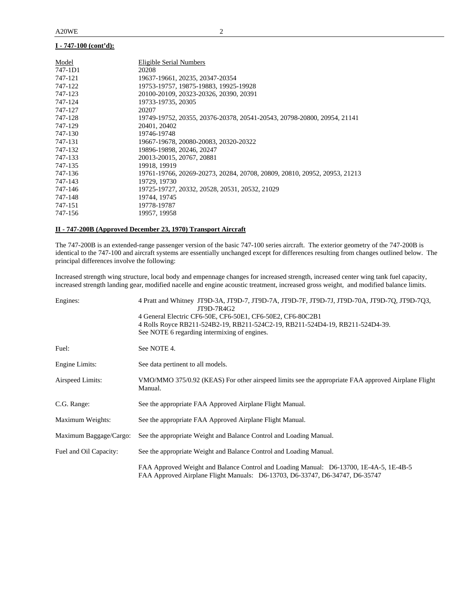| Model   | Eligible Serial Numbers                                                   |
|---------|---------------------------------------------------------------------------|
| 747-1D1 | 20208                                                                     |
| 747-121 | 19637-19661, 20235, 20347-20354                                           |
| 747-122 | 19753-19757, 19875-19883, 19925-19928                                     |
| 747-123 | 20100-20109, 20323-20326, 20390, 20391                                    |
| 747-124 | 19733-19735, 20305                                                        |
| 747-127 | 20207                                                                     |
| 747-128 | 19749-19752, 20355, 20376-20378, 20541-20543, 20798-20800, 20954, 21141   |
| 747-129 | 20401, 20402                                                              |
| 747-130 | 19746-19748                                                               |
| 747-131 | 19667-19678, 20080-20083, 20320-20322                                     |
| 747-132 | 19896-19898, 20246, 20247                                                 |
| 747-133 | 20013-20015, 20767, 20881                                                 |
| 747-135 | 19918, 19919                                                              |
| 747-136 | 19761-19766, 20269-20273, 20284, 20708, 20809, 20810, 20952, 20953, 21213 |
| 747-143 | 19729, 19730                                                              |
| 747-146 | 19725-19727, 20332, 20528, 20531, 20532, 21029                            |
| 747-148 | 19744, 19745                                                              |
| 747-151 | 19778-19787                                                               |
| 747-156 | 19957, 19958                                                              |

## **II - 747-200B (Approved December 23, 1970) Transport Aircraft**

The 747-200B is an extended-range passenger version of the basic 747-100 series aircraft. The exterior geometry of the 747-200B is identical to the 747-100 and aircraft systems are essentially unchanged except for differences resulting from changes outlined below. The principal differences involve the following:

Increased strength wing structure, local body and empennage changes for increased strength, increased center wing tank fuel capacity, increased strength landing gear, modified nacelle and engine acoustic treatment, increased gross weight, and modified balance limits.

| Engines:               | 4 Pratt and Whitney JT9D-3A, JT9D-7, JT9D-7A, JT9D-7F, JT9D-7J, JT9D-70A, JT9D-7Q, JT9D-7Q3,<br>JT9D-7R4G2                                                             |
|------------------------|------------------------------------------------------------------------------------------------------------------------------------------------------------------------|
|                        | 4 General Electric CF6-50E, CF6-50E1, CF6-50E2, CF6-80C2B1                                                                                                             |
|                        | 4 Rolls Royce RB211-524B2-19, RB211-524C2-19, RB211-524D4-19, RB211-524D4-39.                                                                                          |
|                        | See NOTE 6 regarding intermixing of engines.                                                                                                                           |
| Fuel:                  | See NOTE 4.                                                                                                                                                            |
| Engine Limits:         | See data pertinent to all models.                                                                                                                                      |
| Airspeed Limits:       | VMO/MMO 375/0.92 (KEAS) For other airspeed limits see the appropriate FAA approved Airplane Flight                                                                     |
|                        | Manual.                                                                                                                                                                |
| C.G. Range:            | See the appropriate FAA Approved Airplane Flight Manual.                                                                                                               |
| Maximum Weights:       | See the appropriate FAA Approved Airplane Flight Manual.                                                                                                               |
| Maximum Baggage/Cargo: | See the appropriate Weight and Balance Control and Loading Manual.                                                                                                     |
| Fuel and Oil Capacity: | See the appropriate Weight and Balance Control and Loading Manual.                                                                                                     |
|                        | FAA Approved Weight and Balance Control and Loading Manual: D6-13700, 1E-4A-5, 1E-4B-5<br>FAA Approved Airplane Flight Manuals: D6-13703, D6-33747, D6-34747, D6-35747 |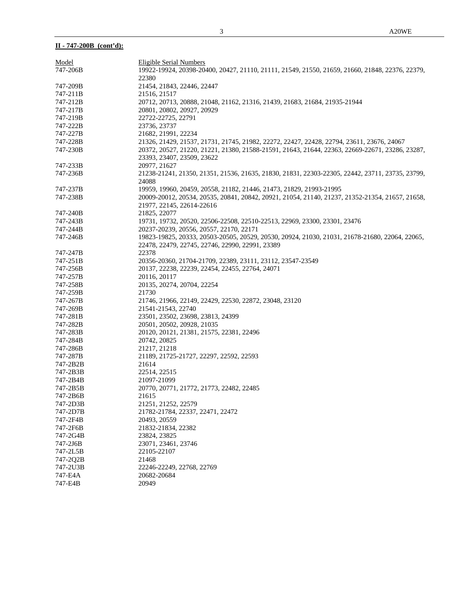# **II - 747-200B (cont'd):**

| Model    | Eligible Serial Numbers                                                                         |
|----------|-------------------------------------------------------------------------------------------------|
| 747-206B | 19922-19924, 20398-20400, 20427, 21110, 21111, 21549, 21550, 21659, 21660, 21848, 22376, 22379, |
|          | 22380                                                                                           |
| 747-209B | 21454, 21843, 22446, 22447                                                                      |
| 747-211B | 21516, 21517                                                                                    |
| 747-212B | 20712, 20713, 20888, 21048, 21162, 21316, 21439, 21683, 21684, 21935-21944                      |
| 747-217B | 20801, 20802, 20927, 20929                                                                      |
| 747-219B | 22722-22725, 22791                                                                              |
| 747-222B | 23736, 23737                                                                                    |
| 747-227B | 21682, 21991, 22234                                                                             |
| 747-228B | 21326, 21429, 21537, 21731, 21745, 21982, 22272, 22427, 22428, 22794, 23611, 23676, 24067       |
| 747-230B | 20372, 20527, 21220, 21221, 21380, 21588-21591, 21643, 21644, 22363, 22669-22671, 23286, 23287, |
|          | 23393, 23407, 23509, 23622                                                                      |
| 747-233B | 20977, 21627                                                                                    |
| 747-236B | 21238-21241, 21350, 21351, 21536, 21635, 21830, 21831, 22303-22305, 22442, 23711, 23735, 23799, |
|          | 24088                                                                                           |
| 747-237B | 19959, 19960, 20459, 20558, 21182, 21446, 21473, 21829, 21993-21995                             |
| 747-238B | 20009-20012, 20534, 20535, 20841, 20842, 20921, 21054, 21140, 21237, 21352-21354, 21657, 21658, |
|          | 21977, 22145, 22614-22616                                                                       |
| 747-240B | 21825, 22077                                                                                    |
| 747-243B | 19731, 19732, 20520, 22506-22508, 22510-22513, 22969, 23300, 23301, 23476                       |
| 747-244B | 20237-20239, 20556, 20557, 22170, 22171                                                         |
| 747-246B | 19823-19825, 20333, 20503-20505, 20529, 20530, 20924, 21030, 21031, 21678-21680, 22064, 22065,  |
|          | 22478, 22479, 22745, 22746, 22990, 22991, 23389                                                 |
| 747-247B | 22378                                                                                           |
| 747-251B | 20356-20360, 21704-21709, 22389, 23111, 23112, 23547-23549                                      |
| 747-256B | 20137, 22238, 22239, 22454, 22455, 22764, 24071                                                 |
| 747-257B | 20116, 20117                                                                                    |
| 747-258B | 20135, 20274, 20704, 22254                                                                      |
| 747-259B | 21730                                                                                           |
| 747-267B | 21746, 21966, 22149, 22429, 22530, 22872, 23048, 23120                                          |
| 747-269B | 21541-21543, 22740                                                                              |
| 747-281B | 23501, 23502, 23698, 23813, 24399                                                               |
| 747-282B | 20501, 20502, 20928, 21035                                                                      |
| 747-283B | 20120, 20121, 21381, 21575, 22381, 22496                                                        |
| 747-284B | 20742, 20825                                                                                    |
| 747-286B | 21217, 21218                                                                                    |
| 747-287B | 21189, 21725-21727, 22297, 22592, 22593                                                         |
| 747-2B2B | 21614                                                                                           |
| 747-2B3B | 22514, 22515                                                                                    |
| 747-2B4B | 21097-21099                                                                                     |
| 747-2B5B | 20770, 20771, 21772, 21773, 22482, 22485                                                        |
| 747-2B6B | 21615                                                                                           |
| 747-2D3B | 21251, 21252, 22579                                                                             |
| 747-2D7B | 21782-21784, 22337, 22471, 22472                                                                |
| 747-2F4B | 20493, 20559                                                                                    |
| 747-2F6B | 21832-21834, 22382                                                                              |
| 747-2G4B | 23824, 23825                                                                                    |
| 747-2J6B | 23071, 23461, 23746                                                                             |
| 747-2L5B | 22105-22107                                                                                     |
| 747-2Q2B | 21468                                                                                           |
| 747-2U3B | 22246-22249, 22768, 22769                                                                       |
| 747-E4A  | 20682-20684                                                                                     |
| 747-E4B  | 20949                                                                                           |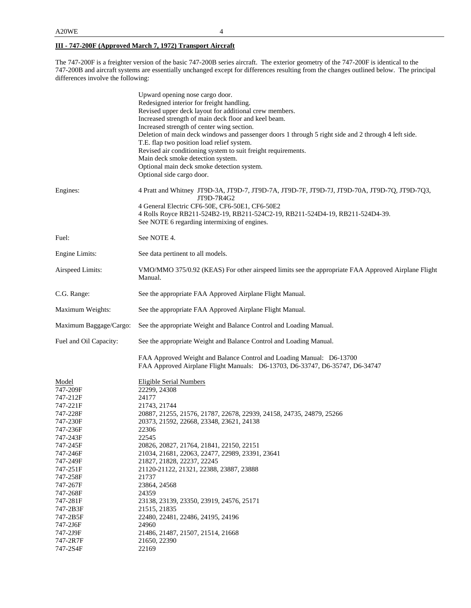# **III - 747-200F (Approved March 7, 1972) Transport Aircraft**

The 747-200F is a freighter version of the basic 747-200B series aircraft. The exterior geometry of the 747-200F is identical to the 747-200B and aircraft systems are essentially unchanged except for differences resulting from the changes outlined below. The principal differences involve the following:

|                                                                      | Upward opening nose cargo door.<br>Redesigned interior for freight handling.<br>Revised upper deck layout for additional crew members.<br>Increased strength of main deck floor and keel beam.<br>Increased strength of center wing section.<br>Deletion of main deck windows and passenger doors 1 through 5 right side and 2 through 4 left side.<br>T.E. flap two position load relief system.<br>Revised air conditioning system to suit freight requirements.<br>Main deck smoke detection system.<br>Optional main deck smoke detection system.<br>Optional side cargo door. |
|----------------------------------------------------------------------|------------------------------------------------------------------------------------------------------------------------------------------------------------------------------------------------------------------------------------------------------------------------------------------------------------------------------------------------------------------------------------------------------------------------------------------------------------------------------------------------------------------------------------------------------------------------------------|
| Engines:                                                             | 4 Pratt and Whitney JT9D-3A, JT9D-7, JT9D-7A, JT9D-7F, JT9D-7J, JT9D-70A, JT9D-7O, JT9D-7O3,<br>JT9D-7R4G2<br>4 General Electric CF6-50E, CF6-50E1, CF6-50E2<br>4 Rolls Royce RB211-524B2-19, RB211-524C2-19, RB211-524D4-19, RB211-524D4-39.<br>See NOTE 6 regarding intermixing of engines.                                                                                                                                                                                                                                                                                      |
| Fuel:                                                                | See NOTE 4.                                                                                                                                                                                                                                                                                                                                                                                                                                                                                                                                                                        |
| Engine Limits:                                                       | See data pertinent to all models.                                                                                                                                                                                                                                                                                                                                                                                                                                                                                                                                                  |
| Airspeed Limits:                                                     | VMO/MMO 375/0.92 (KEAS) For other airspeed limits see the appropriate FAA Approved Airplane Flight<br>Manual.                                                                                                                                                                                                                                                                                                                                                                                                                                                                      |
| C.G. Range:                                                          | See the appropriate FAA Approved Airplane Flight Manual.                                                                                                                                                                                                                                                                                                                                                                                                                                                                                                                           |
| Maximum Weights:                                                     | See the appropriate FAA Approved Airplane Flight Manual.                                                                                                                                                                                                                                                                                                                                                                                                                                                                                                                           |
| Maximum Baggage/Cargo:                                               | See the appropriate Weight and Balance Control and Loading Manual.                                                                                                                                                                                                                                                                                                                                                                                                                                                                                                                 |
| Fuel and Oil Capacity:                                               | See the appropriate Weight and Balance Control and Loading Manual.                                                                                                                                                                                                                                                                                                                                                                                                                                                                                                                 |
|                                                                      | FAA Approved Weight and Balance Control and Loading Manual: D6-13700<br>FAA Approved Airplane Flight Manuals: D6-13703, D6-33747, D6-35747, D6-34747                                                                                                                                                                                                                                                                                                                                                                                                                               |
| Model<br>747-209F<br>747-212F<br>747-221F<br>747-228F<br>747-230F    | <b>Eligible Serial Numbers</b><br>22299, 24308<br>24177<br>21743, 21744<br>20887, 21255, 21576, 21787, 22678, 22939, 24158, 24735, 24879, 25266<br>20373, 21592, 22668, 23348, 23621, 24138                                                                                                                                                                                                                                                                                                                                                                                        |
| 747-236F<br>747-243F<br>747-245F<br>747-246F<br>747-249F<br>747-251F | 22306<br>22545<br>20826, 20827, 21764, 21841, 22150, 22151<br>21034, 21681, 22063, 22477, 22989, 23391, 23641<br>21827, 21828, 22237, 22245<br>21120-21122, 21321, 22388, 23887, 23888                                                                                                                                                                                                                                                                                                                                                                                             |
| 747-258F<br>747-267F<br>747-268F<br>747-281F<br>747-2B3F             | 21737<br>23864, 24568<br>24359<br>23138, 23139, 23350, 23919, 24576, 25171<br>21515, 21835                                                                                                                                                                                                                                                                                                                                                                                                                                                                                         |
| 747-2B5F<br>747-2J6F<br>747-2J9F<br>747-2R7F<br>747-2S4F             | 22480, 22481, 22486, 24195, 24196<br>24960<br>21486, 21487, 21507, 21514, 21668<br>21650, 22390<br>22169                                                                                                                                                                                                                                                                                                                                                                                                                                                                           |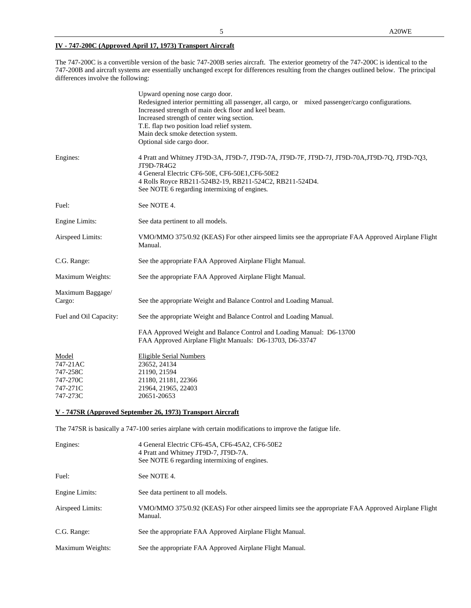# **IV - 747-200C (Approved April 17, 1973) Transport Aircraft**

The 747-200C is a convertible version of the basic 747-200B series aircraft. The exterior geometry of the 747-200C is identical to the 747-200B and aircraft systems are essentially unchanged except for differences resulting from the changes outlined below. The principal differences involve the following:

|                                                       | Upward opening nose cargo door.<br>Redesigned interior permitting all passenger, all cargo, or mixed passenger/cargo configurations.<br>Increased strength of main deck floor and keel beam.<br>Increased strength of center wing section.<br>T.E. flap two position load relief system.<br>Main deck smoke detection system.<br>Optional side cargo door. |
|-------------------------------------------------------|------------------------------------------------------------------------------------------------------------------------------------------------------------------------------------------------------------------------------------------------------------------------------------------------------------------------------------------------------------|
| Engines:                                              | 4 Pratt and Whitney JT9D-3A, JT9D-7, JT9D-7A, JT9D-7F, JT9D-7J, JT9D-70A,JT9D-7Q, JT9D-7Q3,<br>JT9D-7R4G2<br>4 General Electric CF6-50E, CF6-50E1, CF6-50E2<br>4 Rolls Royce RB211-524B2-19, RB211-524C2, RB211-524D4.<br>See NOTE 6 regarding intermixing of engines.                                                                                     |
| Fuel:                                                 | See NOTE 4.                                                                                                                                                                                                                                                                                                                                                |
| Engine Limits:                                        | See data pertinent to all models.                                                                                                                                                                                                                                                                                                                          |
| Airspeed Limits:                                      | VMO/MMO 375/0.92 (KEAS) For other airspeed limits see the appropriate FAA Approved Airplane Flight<br>Manual.                                                                                                                                                                                                                                              |
| C.G. Range:                                           | See the appropriate FAA Approved Airplane Flight Manual.                                                                                                                                                                                                                                                                                                   |
| Maximum Weights:                                      | See the appropriate FAA Approved Airplane Flight Manual.                                                                                                                                                                                                                                                                                                   |
| Maximum Baggage/<br>Cargo:                            | See the appropriate Weight and Balance Control and Loading Manual.                                                                                                                                                                                                                                                                                         |
| Fuel and Oil Capacity:                                | See the appropriate Weight and Balance Control and Loading Manual.                                                                                                                                                                                                                                                                                         |
|                                                       | FAA Approved Weight and Balance Control and Loading Manual: D6-13700<br>FAA Approved Airplane Flight Manuals: D6-13703, D6-33747                                                                                                                                                                                                                           |
| Model<br>747-21AC<br>747-258C<br>747-270C<br>747-271C | <b>Eligible Serial Numbers</b><br>23652, 24134<br>21190, 21594<br>21180, 21181, 22366<br>21964, 21965, 22403                                                                                                                                                                                                                                               |
| 747-273C                                              | 20651-20653                                                                                                                                                                                                                                                                                                                                                |

# **V - 747SR (Approved September 26, 1973) Transport Aircraft**

The 747SR is basically a 747-100 series airplane with certain modifications to improve the fatigue life.

| Engines:         | 4 General Electric CF6-45A, CF6-45A2, CF6-50E2<br>4 Pratt and Whitney JT9D-7, JT9D-7A.<br>See NOTE 6 regarding intermixing of engines. |
|------------------|----------------------------------------------------------------------------------------------------------------------------------------|
| Fuel:            | See NOTE 4.                                                                                                                            |
| Engine Limits:   | See data pertinent to all models.                                                                                                      |
| Airspeed Limits: | VMO/MMO 375/0.92 (KEAS) For other airspeed limits see the appropriate FAA Approved Airplane Flight<br>Manual.                          |
| C.G. Range:      | See the appropriate FAA Approved Airplane Flight Manual.                                                                               |
| Maximum Weights: | See the appropriate FAA Approved Airplane Flight Manual.                                                                               |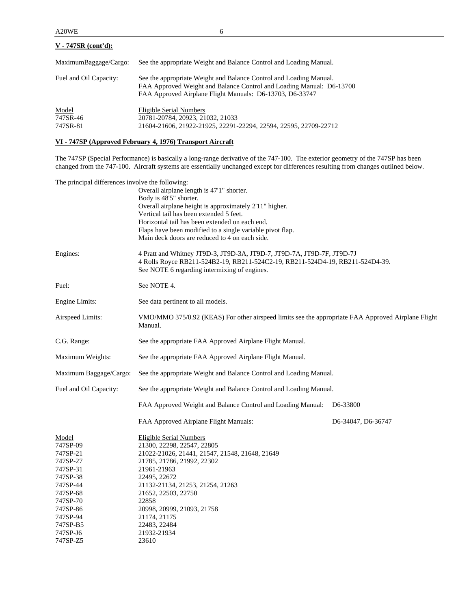| $V - 747SR$ (cont'd):         |                                                                                                                                                                                                        |
|-------------------------------|--------------------------------------------------------------------------------------------------------------------------------------------------------------------------------------------------------|
| MaximumBaggage/Cargo:         | See the appropriate Weight and Balance Control and Loading Manual.                                                                                                                                     |
| Fuel and Oil Capacity:        | See the appropriate Weight and Balance Control and Loading Manual.<br>FAA Approved Weight and Balance Control and Loading Manual: D6-13700<br>FAA Approved Airplane Flight Manuals: D6-13703, D6-33747 |
| Model<br>747SR-46<br>747SR-81 | Eligible Serial Numbers<br>20781-20784, 20923, 21032, 21033<br>21604-21606, 21922-21925, 22291-22294, 22594, 22595, 22709-22712                                                                        |

# **VI - 747SP (Approved February 4, 1976) Transport Aircraft**

The 747SP (Special Performance) is basically a long-range derivative of the 747-100. The exterior geometry of the 747SP has been changed from the 747-100. Aircraft systems are essentially unchanged except for differences resulting from changes outlined below.

| The principal differences involve the following: |                                                                                                               |                       |
|--------------------------------------------------|---------------------------------------------------------------------------------------------------------------|-----------------------|
|                                                  | Overall airplane length is 47'1" shorter.                                                                     |                       |
|                                                  | Body is 48'5" shorter.                                                                                        |                       |
|                                                  | Overall airplane height is approximately 2'11" higher.                                                        |                       |
|                                                  | Vertical tail has been extended 5 feet.                                                                       |                       |
|                                                  | Horizontal tail has been extended on each end.                                                                |                       |
|                                                  | Flaps have been modified to a single variable pivot flap.                                                     |                       |
|                                                  | Main deck doors are reduced to 4 on each side.                                                                |                       |
| Engines:                                         | 4 Pratt and Whitney JT9D-3, JT9D-3A, JT9D-7, JT9D-7A, JT9D-7F, JT9D-7J                                        |                       |
|                                                  | 4 Rolls Royce RB211-524B2-19, RB211-524C2-19, RB211-524D4-19, RB211-524D4-39.                                 |                       |
|                                                  | See NOTE 6 regarding intermixing of engines.                                                                  |                       |
| Fuel:                                            | See NOTE 4.                                                                                                   |                       |
| Engine Limits:                                   | See data pertinent to all models.                                                                             |                       |
| Airspeed Limits:                                 | VMO/MMO 375/0.92 (KEAS) For other airspeed limits see the appropriate FAA Approved Airplane Flight<br>Manual. |                       |
| C.G. Range:                                      | See the appropriate FAA Approved Airplane Flight Manual.                                                      |                       |
| Maximum Weights:                                 | See the appropriate FAA Approved Airplane Flight Manual.                                                      |                       |
| Maximum Baggage/Cargo:                           | See the appropriate Weight and Balance Control and Loading Manual.                                            |                       |
| Fuel and Oil Capacity:                           | See the appropriate Weight and Balance Control and Loading Manual.                                            |                       |
|                                                  | FAA Approved Weight and Balance Control and Loading Manual:                                                   | D <sub>6</sub> -33800 |
|                                                  | FAA Approved Airplane Flight Manuals:                                                                         | D6-34047, D6-36747    |
| Model                                            | <b>Eligible Serial Numbers</b>                                                                                |                       |
| 747SP-09                                         | 21300, 22298, 22547, 22805                                                                                    |                       |
| 747SP-21                                         | 21022-21026, 21441, 21547, 21548, 21648, 21649                                                                |                       |
| 747SP-27                                         | 21785, 21786, 21992, 22302                                                                                    |                       |
| 747SP-31                                         | 21961-21963                                                                                                   |                       |
| 747SP-38                                         | 22495, 22672                                                                                                  |                       |
| 747SP-44                                         | 21132-21134, 21253, 21254, 21263                                                                              |                       |
| 747SP-68                                         | 21652, 22503, 22750                                                                                           |                       |
| 747SP-70                                         | 22858                                                                                                         |                       |
| 747SP-86                                         | 20998, 20999, 21093, 21758                                                                                    |                       |
| 747SP-94                                         | 21174, 21175                                                                                                  |                       |
| 747SP-B5                                         | 22483, 22484                                                                                                  |                       |
| 747SP-J6                                         | 21932-21934                                                                                                   |                       |
| 747SP-Z5                                         | 23610                                                                                                         |                       |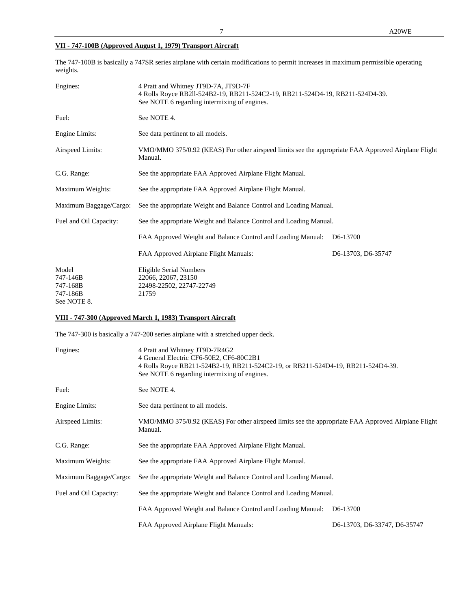# **VII - 747-100B (Approved August 1, 1979) Transport Aircraft**

The 747-100B is basically a 747SR series airplane with certain modifications to permit increases in maximum permissible operating weights.

| 4 Pratt and Whitney JT9D-7A, JT9D-7F<br>4 Rolls Royce RB2ll-524B2-19, RB211-524C2-19, RB211-524D4-19, RB211-524D4-39.<br>See NOTE 6 regarding intermixing of engines. |                       |  |  |  |  |
|-----------------------------------------------------------------------------------------------------------------------------------------------------------------------|-----------------------|--|--|--|--|
| See NOTE 4.                                                                                                                                                           |                       |  |  |  |  |
| See data pertinent to all models.                                                                                                                                     |                       |  |  |  |  |
| VMO/MMO 375/0.92 (KEAS) For other airspeed limits see the appropriate FAA Approved Airplane Flight<br>Manual.                                                         |                       |  |  |  |  |
| See the appropriate FAA Approved Airplane Flight Manual.                                                                                                              |                       |  |  |  |  |
| See the appropriate FAA Approved Airplane Flight Manual.                                                                                                              |                       |  |  |  |  |
| See the appropriate Weight and Balance Control and Loading Manual.                                                                                                    |                       |  |  |  |  |
| See the appropriate Weight and Balance Control and Loading Manual.                                                                                                    |                       |  |  |  |  |
| FAA Approved Weight and Balance Control and Loading Manual:                                                                                                           | D <sub>6</sub> -13700 |  |  |  |  |
| FAA Approved Airplane Flight Manuals:                                                                                                                                 | D6-13703, D6-35747    |  |  |  |  |
| Eligible Serial Numbers<br>22066, 22067, 23150<br>22498-22502, 22747-22749                                                                                            |                       |  |  |  |  |
|                                                                                                                                                                       | 21759                 |  |  |  |  |

See NOTE 8.

# **VIII - 747-300 (Approved March 1, 1983) Transport Aircraft**

The 747-300 is basically a 747-200 series airplane with a stretched upper deck.

| Engines:               | 4 Pratt and Whitney JT9D-7R4G2<br>4 General Electric CF6-50E2, CF6-80C2B1<br>4 Rolls Royce RB211-524B2-19, RB211-524C2-19, or RB211-524D4-19, RB211-524D4-39.<br>See NOTE 6 regarding intermixing of engines. |                              |  |
|------------------------|---------------------------------------------------------------------------------------------------------------------------------------------------------------------------------------------------------------|------------------------------|--|
| Fuel:                  | See NOTE 4.                                                                                                                                                                                                   |                              |  |
| Engine Limits:         | See data pertinent to all models.                                                                                                                                                                             |                              |  |
| Airspeed Limits:       | VMO/MMO 375/0.92 (KEAS) For other airspeed limits see the appropriate FAA Approved Airplane Flight<br>Manual.                                                                                                 |                              |  |
| C.G. Range:            | See the appropriate FAA Approved Airplane Flight Manual.                                                                                                                                                      |                              |  |
| Maximum Weights:       | See the appropriate FAA Approved Airplane Flight Manual.                                                                                                                                                      |                              |  |
| Maximum Baggage/Cargo: | See the appropriate Weight and Balance Control and Loading Manual.                                                                                                                                            |                              |  |
| Fuel and Oil Capacity: | See the appropriate Weight and Balance Control and Loading Manual.                                                                                                                                            |                              |  |
|                        | FAA Approved Weight and Balance Control and Loading Manual:                                                                                                                                                   | D <sub>6</sub> -13700        |  |
|                        | FAA Approved Airplane Flight Manuals:                                                                                                                                                                         | D6-13703, D6-33747, D6-35747 |  |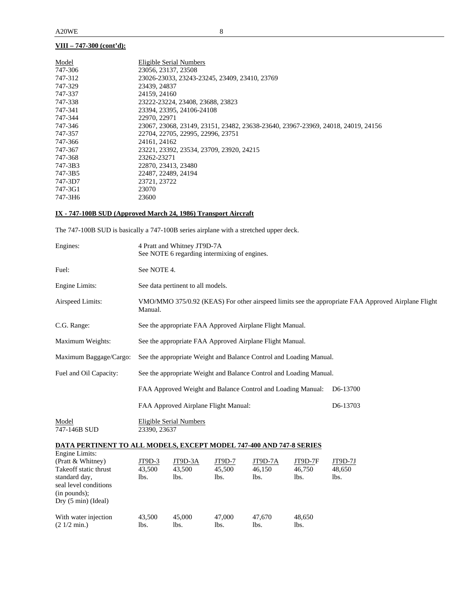# **VIII – 747-300 (cont'd):**

| Model   | Eligible Serial Numbers                                                          |
|---------|----------------------------------------------------------------------------------|
| 747-306 | 23056, 23137, 23508                                                              |
| 747-312 | 23026-23033, 23243-23245, 23409, 23410, 23769                                    |
| 747-329 | 23439, 24837                                                                     |
| 747-337 | 24159, 24160                                                                     |
| 747-338 | 23222-23224, 23408, 23688, 23823                                                 |
| 747-341 | 23394, 23395, 24106-24108                                                        |
| 747-344 | 22970, 22971                                                                     |
| 747-346 | 23067, 23068, 23149, 23151, 23482, 23638-23640, 23967-23969, 24018, 24019, 24156 |
| 747-357 | 22704, 22705, 22995, 22996, 23751                                                |
| 747-366 | 24161, 24162                                                                     |
| 747-367 | 23221, 23392, 23534, 23709, 23920, 24215                                         |
| 747-368 | 23262-23271                                                                      |
| 747-3B3 | 22870, 23413, 23480                                                              |
| 747-3B5 | 22487, 22489, 24194                                                              |
| 747-3D7 | 23721, 23722                                                                     |
| 747-3G1 | 23070                                                                            |
| 747-3H6 | 23600                                                                            |

# **IX - 747-100B SUD (Approved March 24, 1986) Transport Aircraft**

The 747-100B SUD is basically a 747-100B series airplane with a stretched upper deck.

| Engines:                                                                                                      | 4 Pratt and Whitney JT9D-7A<br>See NOTE 6 regarding intermixing of engines. |                                                                    |                          |                                                                    |                           |                                                                                                    |
|---------------------------------------------------------------------------------------------------------------|-----------------------------------------------------------------------------|--------------------------------------------------------------------|--------------------------|--------------------------------------------------------------------|---------------------------|----------------------------------------------------------------------------------------------------|
| Fuel:                                                                                                         | See NOTE 4.                                                                 |                                                                    |                          |                                                                    |                           |                                                                                                    |
| Engine Limits:                                                                                                |                                                                             | See data pertinent to all models.                                  |                          |                                                                    |                           |                                                                                                    |
| Airspeed Limits:                                                                                              | Manual.                                                                     |                                                                    |                          |                                                                    |                           | VMO/MMO 375/0.92 (KEAS) For other airspeed limits see the appropriate FAA Approved Airplane Flight |
| C.G. Range:                                                                                                   |                                                                             |                                                                    |                          | See the appropriate FAA Approved Airplane Flight Manual.           |                           |                                                                                                    |
| Maximum Weights:                                                                                              |                                                                             |                                                                    |                          | See the appropriate FAA Approved Airplane Flight Manual.           |                           |                                                                                                    |
| Maximum Baggage/Cargo:                                                                                        |                                                                             |                                                                    |                          | See the appropriate Weight and Balance Control and Loading Manual. |                           |                                                                                                    |
| Fuel and Oil Capacity:                                                                                        |                                                                             | See the appropriate Weight and Balance Control and Loading Manual. |                          |                                                                    |                           |                                                                                                    |
|                                                                                                               | FAA Approved Weight and Balance Control and Loading Manual:<br>D6-13700     |                                                                    |                          |                                                                    |                           |                                                                                                    |
|                                                                                                               | FAA Approved Airplane Flight Manual:<br>D6-13703                            |                                                                    |                          |                                                                    |                           |                                                                                                    |
| Model<br>747-146B SUD                                                                                         | <b>Eligible Serial Numbers</b><br>23390, 23637                              |                                                                    |                          |                                                                    |                           |                                                                                                    |
| <b>DATA PERTINENT TO ALL MODELS, EXCEPT MODEL 747-400 AND 747-8 SERIES</b>                                    |                                                                             |                                                                    |                          |                                                                    |                           |                                                                                                    |
| <b>Engine Limits:</b><br>(Pratt & Whitney)<br>Takeoff static thrust<br>standard day,<br>seal level conditions | JT9D-3<br>43,500<br>lbs.                                                    | JT9D-3A<br>43,500<br>lbs.                                          | JT9D-7<br>45,500<br>lbs. | JT9D-7A<br>46,150<br>lbs.                                          | JT9D-7F<br>46,750<br>lbs. | JT9D-7J<br>48,650<br>lbs.                                                                          |
| (in pounds);<br>Dry (5 min) (Ideal)                                                                           |                                                                             |                                                                    |                          |                                                                    |                           |                                                                                                    |

| With water injection  | 43,500 | 45.000 | 47.000 | 47.670 | 48.650 |
|-----------------------|--------|--------|--------|--------|--------|
| $(21/2 \text{ min.})$ | lbs.   | Ibs.   | lbs.   | lbs.   | lbs.   |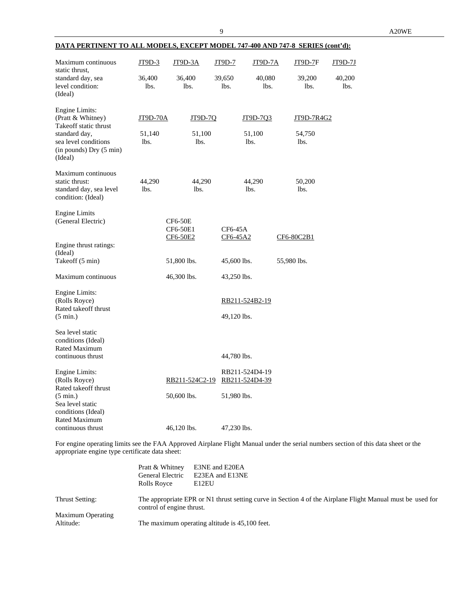| <b>DATA PERTINENT TO ALL MODELS, EXCEPT MODEL 747-400 AND 747-8 SERIES (cont'd):</b>                  |                            |                                        |                     |                            |                              |                |
|-------------------------------------------------------------------------------------------------------|----------------------------|----------------------------------------|---------------------|----------------------------|------------------------------|----------------|
| Maximum continuous<br>static thrust,                                                                  | JT9D-3                     | <b>JT9D-3A</b>                         | JT9D-7              | <b>JT9D-7A</b>             | JT9D-7F                      | JT9D-7J        |
| standard day, sea<br>level condition:<br>(Ideal)                                                      | 36,400<br>lbs.             | 36,400<br>lbs.                         | 39,650<br>lbs.      | 40,080<br>lbs.             | 39,200<br>lbs.               | 40,200<br>lbs. |
| Engine Limits:<br>(Pratt & Whitney)<br>Takeoff static thrust<br>standard day,<br>sea level conditions | JT9D-70A<br>51,140<br>lbs. | JT9D-7Q<br>51,100<br>lbs.              |                     | JT9D-7Q3<br>51,100<br>lbs. | JT9D-7R4G2<br>54,750<br>lbs. |                |
| (in pounds) Dry (5 min)<br>(Ideal)                                                                    |                            |                                        |                     |                            |                              |                |
| Maximum continuous<br>static thrust:<br>standard day, sea level<br>condition: (Ideal)                 | 44,290<br>lbs.             | 44,290<br>lbs.                         |                     | 44,290<br>lbs.             | 50,200<br>lbs.               |                |
| <b>Engine Limits</b><br>(General Electric)                                                            |                            | <b>CF6-50E</b><br>CF6-50E1<br>CF6-50E2 | CF6-45A<br>CF6-45A2 |                            | CF6-80C2B1                   |                |
| Engine thrust ratings:<br>(Ideal)                                                                     |                            |                                        |                     |                            |                              |                |
| Takeoff (5 min)                                                                                       |                            | 51,800 lbs.                            | 45,600 lbs.         |                            | 55,980 lbs.                  |                |
| Maximum continuous                                                                                    |                            | 46,300 lbs.                            | 43,250 lbs.         |                            |                              |                |
| Engine Limits:<br>(Rolls Royce)<br>Rated takeoff thrust                                               |                            |                                        |                     | RB211-524B2-19             |                              |                |
| $(5 \text{ min.})$                                                                                    |                            |                                        | 49,120 lbs.         |                            |                              |                |
| Sea level static                                                                                      |                            |                                        |                     |                            |                              |                |

conditions (Ideal) Rated Maximum

Rated takeoff thrust

Sea level static conditions (Ideal) Rated Maximum

continuous thrust  $44,780$  lbs.

(5 min.) 50,600 lbs. 51,980 lbs.

continuous thrust 46,120 lbs. 47,230 lbs.

Engine Limits:<br>
RB211-524D4-19<br>
RB211-524C2-19<br>
RB211-524D4-39<br>
RB211-524D4-39

For engine operating limits see the FAA Approved Airplane Flight Manual under the serial numbers section of this data sheet or the appropriate engine type certificate data sheet:

RB211-524D4-39

|                                | Pratt & Whitney<br>General Electric<br>Rolls Royce | E3NE and E20EA<br>E23EA and E13NE<br>E12EU                                                                 |
|--------------------------------|----------------------------------------------------|------------------------------------------------------------------------------------------------------------|
| Thrust Setting:                | control of engine thrust.                          | The appropriate EPR or N1 thrust setting curve in Section 4 of the Airplane Flight Manual must be used for |
| Maximum Operating<br>Altitude: |                                                    | The maximum operating altitude is 45,100 feet.                                                             |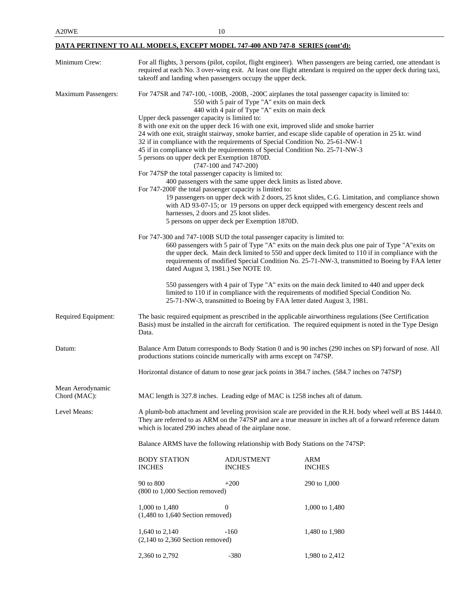# **DATA PERTINENT TO ALL MODELS, EXCEPT MODEL 747-400 AND 747-8 SERIES (cont'd):**

| Minimum Crew:                    | takeoff and landing when passengers occupy the upper deck.                                                                                                                                                                                                                                                                                                                                                                                                                   |                                                                                                  | For all flights, 3 persons (pilot, copilot, flight engineer). When passengers are being carried, one attendant is<br>required at each No. 3 over-wing exit. At least one flight attendant is required on the upper deck during taxi,                                                                   |  |
|----------------------------------|------------------------------------------------------------------------------------------------------------------------------------------------------------------------------------------------------------------------------------------------------------------------------------------------------------------------------------------------------------------------------------------------------------------------------------------------------------------------------|--------------------------------------------------------------------------------------------------|--------------------------------------------------------------------------------------------------------------------------------------------------------------------------------------------------------------------------------------------------------------------------------------------------------|--|
| Maximum Passengers:              | Upper deck passenger capacity is limited to:<br>8 with one exit on the upper deck 16 with one exit, improved slide and smoke barrier                                                                                                                                                                                                                                                                                                                                         | 550 with 5 pair of Type "A" exits on main deck<br>440 with 4 pair of Type "A" exits on main deck | For 747SR and 747-100, -100B, -200B, -200C airplanes the total passenger capacity is limited to:                                                                                                                                                                                                       |  |
|                                  | 32 if in compliance with the requirements of Special Condition No. 25-61-NW-1<br>45 if in compliance with the requirements of Special Condition No. 25-71-NW-3<br>5 persons on upper deck per Exemption 1870D.                                                                                                                                                                                                                                                               | (747-100 and 747-200)                                                                            | 24 with one exit, straight stairway, smoke barrier, and escape slide capable of operation in 25 kt. wind                                                                                                                                                                                               |  |
|                                  | For 747SP the total passenger capacity is limited to:<br>400 passengers with the same upper deck limits as listed above.<br>For 747-200F the total passenger capacity is limited to:<br>19 passengers on upper deck with 2 doors, 25 knot slides, C.G. Limitation, and compliance shown<br>with AD 93-07-15; or 19 persons on upper deck equipped with emergency descent reels and<br>harnesses, 2 doors and 25 knot slides.<br>5 persons on upper deck per Exemption 1870D. |                                                                                                  |                                                                                                                                                                                                                                                                                                        |  |
|                                  | For 747-300 and 747-100B SUD the total passenger capacity is limited to:<br>dated August 3, 1981.) See NOTE 10.                                                                                                                                                                                                                                                                                                                                                              |                                                                                                  | 660 passengers with 5 pair of Type "A" exits on the main deck plus one pair of Type "A" exits on<br>the upper deck. Main deck limited to 550 and upper deck limited to 110 if in compliance with the<br>requirements of modified Special Condition No. 25-71-NW-3, transmitted to Boeing by FAA letter |  |
|                                  |                                                                                                                                                                                                                                                                                                                                                                                                                                                                              | 25-71-NW-3, transmitted to Boeing by FAA letter dated August 3, 1981.                            | 550 passengers with 4 pair of Type "A" exits on the main deck limited to 440 and upper deck<br>limited to 110 if in compliance with the requirements of modified Special Condition No.                                                                                                                 |  |
| Required Equipment:              | Data.                                                                                                                                                                                                                                                                                                                                                                                                                                                                        |                                                                                                  | The basic required equipment as prescribed in the applicable airworthiness regulations (See Certification<br>Basis) must be installed in the aircraft for certification. The required equipment is noted in the Type Design                                                                            |  |
| Datum:                           | productions stations coincide numerically with arms except on 747SP.                                                                                                                                                                                                                                                                                                                                                                                                         |                                                                                                  | Balance Arm Datum corresponds to Body Station 0 and is 90 inches (290 inches on SP) forward of nose. All                                                                                                                                                                                               |  |
|                                  |                                                                                                                                                                                                                                                                                                                                                                                                                                                                              |                                                                                                  | Horizontal distance of datum to nose gear jack points in 384.7 inches. (584.7 inches on 747SP)                                                                                                                                                                                                         |  |
| Mean Aerodynamic<br>Chord (MAC): | MAC length is 327.8 inches. Leading edge of MAC is 1258 inches aft of datum.                                                                                                                                                                                                                                                                                                                                                                                                 |                                                                                                  |                                                                                                                                                                                                                                                                                                        |  |
| Level Means:                     | A plumb-bob attachment and leveling provision scale are provided in the R.H. body wheel well at BS 1444.0.<br>They are referred to as ARM on the 747SP and are a true measure in inches aft of a forward reference datum<br>which is located 290 inches ahead of the airplane nose.                                                                                                                                                                                          |                                                                                                  |                                                                                                                                                                                                                                                                                                        |  |
|                                  | Balance ARMS have the following relationship with Body Stations on the 747SP:                                                                                                                                                                                                                                                                                                                                                                                                |                                                                                                  |                                                                                                                                                                                                                                                                                                        |  |
|                                  | <b>BODY STATION</b><br><b>INCHES</b>                                                                                                                                                                                                                                                                                                                                                                                                                                         | <b>ADJUSTMENT</b><br><b>INCHES</b>                                                               | ARM<br><b>INCHES</b>                                                                                                                                                                                                                                                                                   |  |
|                                  | 90 to 800<br>(800 to 1,000 Section removed)                                                                                                                                                                                                                                                                                                                                                                                                                                  | $+200$                                                                                           | 290 to 1,000                                                                                                                                                                                                                                                                                           |  |
|                                  | 1,000 to 1,480<br>$(1,480 \text{ to } 1,640 \text{ Section removed})$                                                                                                                                                                                                                                                                                                                                                                                                        | 0                                                                                                | 1,000 to 1,480                                                                                                                                                                                                                                                                                         |  |
|                                  | 1,640 to 2,140<br>$(2,140 \text{ to } 2,360 \text{ Section removed})$                                                                                                                                                                                                                                                                                                                                                                                                        | -160                                                                                             | 1,480 to 1,980                                                                                                                                                                                                                                                                                         |  |
|                                  | 2,360 to 2,792                                                                                                                                                                                                                                                                                                                                                                                                                                                               | $-380$                                                                                           | 1,980 to 2,412                                                                                                                                                                                                                                                                                         |  |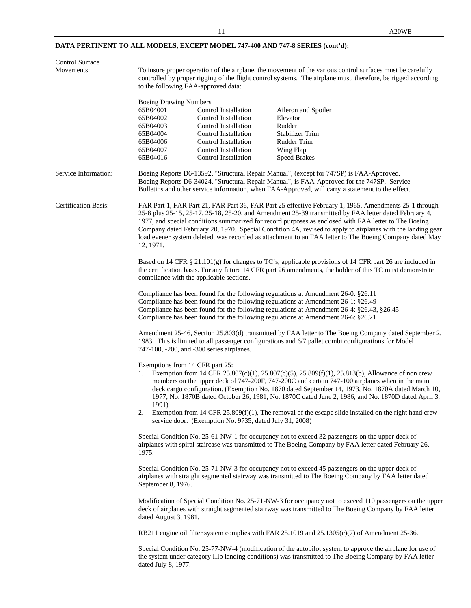# **DATA PERTINENT TO ALL MODELS, EXCEPT MODEL 747-400 AND 747-8 SERIES (cont'd):**

| Control Surface             |                                                                                                                                                                                                                                                                                                                                                                                                                                                                                                                                                               |                                                                                                                                                                                                                                                                                                                                                                                                                                                                                                                          |  |  |
|-----------------------------|---------------------------------------------------------------------------------------------------------------------------------------------------------------------------------------------------------------------------------------------------------------------------------------------------------------------------------------------------------------------------------------------------------------------------------------------------------------------------------------------------------------------------------------------------------------|--------------------------------------------------------------------------------------------------------------------------------------------------------------------------------------------------------------------------------------------------------------------------------------------------------------------------------------------------------------------------------------------------------------------------------------------------------------------------------------------------------------------------|--|--|
| Movements:                  | to the following FAA-approved data:                                                                                                                                                                                                                                                                                                                                                                                                                                                                                                                           | To insure proper operation of the airplane, the movement of the various control surfaces must be carefully<br>controlled by proper rigging of the flight control systems. The airplane must, therefore, be rigged according                                                                                                                                                                                                                                                                                              |  |  |
|                             |                                                                                                                                                                                                                                                                                                                                                                                                                                                                                                                                                               |                                                                                                                                                                                                                                                                                                                                                                                                                                                                                                                          |  |  |
|                             | <b>Boeing Drawing Numbers</b>                                                                                                                                                                                                                                                                                                                                                                                                                                                                                                                                 |                                                                                                                                                                                                                                                                                                                                                                                                                                                                                                                          |  |  |
|                             | 65B04001<br>Control Installation                                                                                                                                                                                                                                                                                                                                                                                                                                                                                                                              | Aileron and Spoiler                                                                                                                                                                                                                                                                                                                                                                                                                                                                                                      |  |  |
|                             | 65B04002<br>Control Installation<br>65B04003<br>Control Installation                                                                                                                                                                                                                                                                                                                                                                                                                                                                                          | Elevator<br>Rudder                                                                                                                                                                                                                                                                                                                                                                                                                                                                                                       |  |  |
|                             | 65B04004<br>Control Installation                                                                                                                                                                                                                                                                                                                                                                                                                                                                                                                              | Stabilizer Trim                                                                                                                                                                                                                                                                                                                                                                                                                                                                                                          |  |  |
|                             | 65B04006<br>Control Installation                                                                                                                                                                                                                                                                                                                                                                                                                                                                                                                              | Rudder Trim                                                                                                                                                                                                                                                                                                                                                                                                                                                                                                              |  |  |
|                             | 65B04007<br>Control Installation                                                                                                                                                                                                                                                                                                                                                                                                                                                                                                                              | Wing Flap                                                                                                                                                                                                                                                                                                                                                                                                                                                                                                                |  |  |
|                             | 65B04016<br><b>Control Installation</b>                                                                                                                                                                                                                                                                                                                                                                                                                                                                                                                       | <b>Speed Brakes</b>                                                                                                                                                                                                                                                                                                                                                                                                                                                                                                      |  |  |
| Service Information:        |                                                                                                                                                                                                                                                                                                                                                                                                                                                                                                                                                               | Boeing Reports D6-13592, "Structural Repair Manual", (except for 747SP) is FAA-Approved.<br>Boeing Reports D6-34024, "Structural Repair Manual", is FAA-Approved for the 747SP. Service<br>Bulletins and other service information, when FAA-Approved, will carry a statement to the effect.                                                                                                                                                                                                                             |  |  |
| <b>Certification Basis:</b> | FAR Part 1, FAR Part 21, FAR Part 36, FAR Part 25 effective February 1, 1965, Amendments 25-1 through<br>25-8 plus 25-15, 25-17, 25-18, 25-20, and Amendment 25-39 transmitted by FAA letter dated February 4,<br>1977, and special conditions summarized for record purposes as enclosed with FAA letter to The Boeing<br>Company dated February 20, 1970. Special Condition 4A, revised to apply to airplanes with the landing gear<br>load evener system deleted, was recorded as attachment to an FAA letter to The Boeing Company dated May<br>12, 1971. |                                                                                                                                                                                                                                                                                                                                                                                                                                                                                                                          |  |  |
|                             | compliance with the applicable sections.                                                                                                                                                                                                                                                                                                                                                                                                                                                                                                                      | Based on 14 CFR $\S$ 21.101(g) for changes to TC's, applicable provisions of 14 CFR part 26 are included in<br>the certification basis. For any future 14 CFR part 26 amendments, the holder of this TC must demonstrate                                                                                                                                                                                                                                                                                                 |  |  |
|                             | Compliance has been found for the following regulations at Amendment 26-0: §26.11<br>Compliance has been found for the following regulations at Amendment 26-1: §26.49<br>Compliance has been found for the following regulations at Amendment 26-6: §26.21                                                                                                                                                                                                                                                                                                   | Compliance has been found for the following regulations at Amendment 26-4: §26.43, §26.45                                                                                                                                                                                                                                                                                                                                                                                                                                |  |  |
|                             | 747-100, -200, and -300 series airplanes.                                                                                                                                                                                                                                                                                                                                                                                                                                                                                                                     | Amendment 25-46, Section 25.803(d) transmitted by FAA letter to The Boeing Company dated September 2,<br>1983. This is limited to all passenger configurations and 6/7 pallet combi configurations for Model                                                                                                                                                                                                                                                                                                             |  |  |
|                             | Exemptions from 14 CFR part 25:<br>1.<br>1991)<br>2.                                                                                                                                                                                                                                                                                                                                                                                                                                                                                                          | Exemption from 14 CFR 25.807(c)(1), 25.807(c)(5), 25.809(f)(1), 25.813(b), Allowance of non crew<br>members on the upper deck of 747-200F, 747-200C and certain 747-100 airplanes when in the main<br>deck cargo configuration. (Exemption No. 1870 dated September 14, 1973, No. 1870A dated March 10,<br>1977, No. 1870B dated October 26, 1981, No. 1870C dated June 2, 1986, and No. 1870D dated April 3,<br>Exemption from 14 CFR $25.809(f)(1)$ , The removal of the escape slide installed on the right hand crew |  |  |
|                             | service door. (Exemption No. 9735, dated July 31, 2008)                                                                                                                                                                                                                                                                                                                                                                                                                                                                                                       |                                                                                                                                                                                                                                                                                                                                                                                                                                                                                                                          |  |  |
|                             | Special Condition No. 25-61-NW-1 for occupancy not to exceed 32 passengers on the upper deck of<br>airplanes with spiral staircase was transmitted to The Boeing Company by FAA letter dated February 26,<br>1975.                                                                                                                                                                                                                                                                                                                                            |                                                                                                                                                                                                                                                                                                                                                                                                                                                                                                                          |  |  |
|                             | Special Condition No. 25-71-NW-3 for occupancy not to exceed 45 passengers on the upper deck of<br>airplanes with straight segmented stairway was transmitted to The Boeing Company by FAA letter dated<br>September 8, 1976.                                                                                                                                                                                                                                                                                                                                 |                                                                                                                                                                                                                                                                                                                                                                                                                                                                                                                          |  |  |
|                             | dated August 3, 1981.                                                                                                                                                                                                                                                                                                                                                                                                                                                                                                                                         | Modification of Special Condition No. 25-71-NW-3 for occupancy not to exceed 110 passengers on the upper<br>deck of airplanes with straight segmented stairway was transmitted to The Boeing Company by FAA letter                                                                                                                                                                                                                                                                                                       |  |  |
|                             |                                                                                                                                                                                                                                                                                                                                                                                                                                                                                                                                                               | RB211 engine oil filter system complies with FAR 25.1019 and $25.1305(c)(7)$ of Amendment 25-36.                                                                                                                                                                                                                                                                                                                                                                                                                         |  |  |
|                             | dated July 8, 1977.                                                                                                                                                                                                                                                                                                                                                                                                                                                                                                                                           | Special Condition No. 25-77-NW-4 (modification of the autopilot system to approve the airplane for use of<br>the system under category IIIb landing conditions) was transmitted to The Boeing Company by FAA letter                                                                                                                                                                                                                                                                                                      |  |  |
|                             |                                                                                                                                                                                                                                                                                                                                                                                                                                                                                                                                                               |                                                                                                                                                                                                                                                                                                                                                                                                                                                                                                                          |  |  |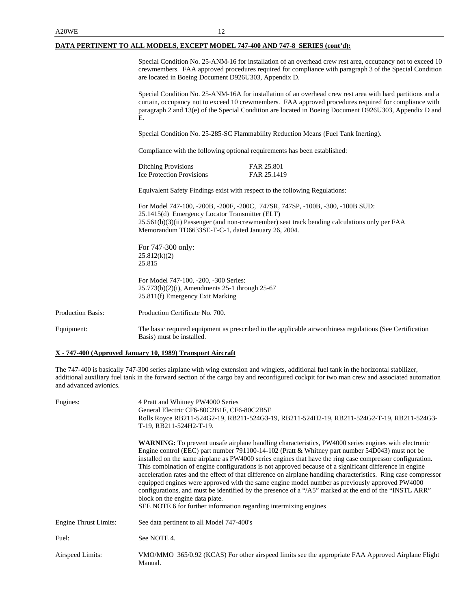### **DATA PERTINENT TO ALL MODELS, EXCEPT MODEL 747-400 AND 747-8 SERIES (cont'd):**

Special Condition No. 25-ANM-16 for installation of an overhead crew rest area, occupancy not to exceed 10 crewmembers. FAA approved procedures required for compliance with paragraph 3 of the Special Condition are located in Boeing Document D926U303, Appendix D.

Special Condition No. 25-ANM-16A for installation of an overhead crew rest area with hard partitions and a curtain, occupancy not to exceed 10 crewmembers. FAA approved procedures required for compliance with paragraph 2 and 13(e) of the Special Condition are located in Boeing Document D926U303, Appendix D and E.

Special Condition No. 25-285-SC Flammability Reduction Means (Fuel Tank Inerting).

Compliance with the following optional requirements has been established:

| <b>Ditching Provisions</b>       | FAR 25.801  |
|----------------------------------|-------------|
| <b>Ice Protection Provisions</b> | FAR 25.1419 |

Equivalent Safety Findings exist with respect to the following Regulations:

For Model 747-100, -200B, -200F, -200C, 747SR, 747SP, -100B, -300, -100B SUD: 25.1415(d) Emergency Locator Transmitter (ELT) 25.561(b)(3)(ii) Passenger (and non-crewmember) seat track bending calculations only per FAA Memorandum TD6633SE-T-C-1, dated January 26, 2004.

For 747-300 only: 25.812(k)(2) 25.815

For Model 747-100, -200, -300 Series: 25.773(b)(2)(i), Amendments 25-1 through 25-67 25.811(f) Emergency Exit Marking

Production Basis: Production Certificate No. 700.

Equipment: The basic required equipment as prescribed in the applicable airworthiness regulations (See Certification Basis) must be installed.

### **X - 747-400 (Approved January 10, 1989) Transport Aircraft**

The 747-400 is basically 747-300 series airplane with wing extension and winglets, additional fuel tank in the horizontal stabilizer, additional auxiliary fuel tank in the forward section of the cargo bay and reconfigured cockpit for two man crew and associated automation and advanced avionics.

| Engines:                     | 4 Pratt and Whitney PW4000 Series<br>General Electric CF6-80C2B1F, CF6-80C2B5F<br>Rolls Royce RB211-524G2-19, RB211-524G3-19, RB211-524H2-19, RB211-524G2-T-19, RB211-524G3-<br>T-19, RB211-524H2-T-19.                                                                                                                                                                                                                                                                                                                                                                                                                                                                                                                                                                                                                                                                     |
|------------------------------|-----------------------------------------------------------------------------------------------------------------------------------------------------------------------------------------------------------------------------------------------------------------------------------------------------------------------------------------------------------------------------------------------------------------------------------------------------------------------------------------------------------------------------------------------------------------------------------------------------------------------------------------------------------------------------------------------------------------------------------------------------------------------------------------------------------------------------------------------------------------------------|
|                              | <b>WARNING:</b> To prevent unsafe airplane handling characteristics, PW4000 series engines with electronic<br>Engine control (EEC) part number 791100-14-102 (Pratt & Whitney part number 54D043) must not be<br>installed on the same airplane as PW4000 series engines that have the ring case compressor configuration.<br>This combination of engine configurations is not approved because of a significant difference in engine<br>acceleration rates and the effect of that difference on airplane handling characteristics. Ring case compressor<br>equipped engines were approved with the same engine model number as previously approved PW4000<br>configurations, and must be identified by the presence of a "/A5" marked at the end of the "INSTL ARR"<br>block on the engine data plate.<br>SEE NOTE 6 for further information regarding intermixing engines |
| <b>Engine Thrust Limits:</b> | See data pertinent to all Model 747-400's                                                                                                                                                                                                                                                                                                                                                                                                                                                                                                                                                                                                                                                                                                                                                                                                                                   |
| Fuel:                        | See NOTE 4.                                                                                                                                                                                                                                                                                                                                                                                                                                                                                                                                                                                                                                                                                                                                                                                                                                                                 |
| Airspeed Limits:             | VMO/MMO 365/0.92 (KCAS) For other airspeed limits see the appropriate FAA Approved Airplane Flight<br>Manual.                                                                                                                                                                                                                                                                                                                                                                                                                                                                                                                                                                                                                                                                                                                                                               |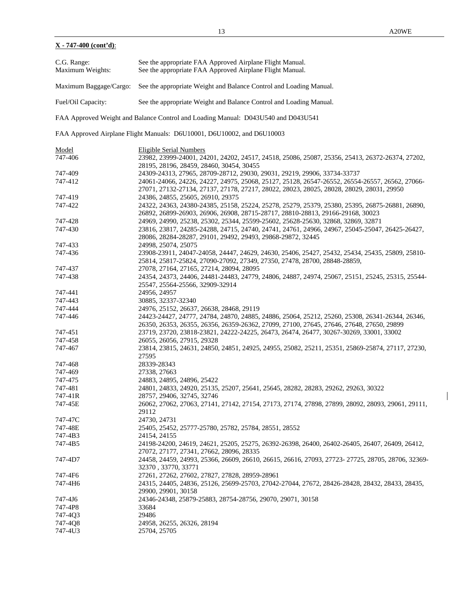$\mathbf{I}$ 

| C.G. Range:<br>Maximum Weights: | See the appropriate FAA Approved Airplane Flight Manual.<br>See the appropriate FAA Approved Airplane Flight Manual.                                                                       |
|---------------------------------|--------------------------------------------------------------------------------------------------------------------------------------------------------------------------------------------|
| Maximum Baggage/Cargo:          | See the appropriate Weight and Balance Control and Loading Manual.                                                                                                                         |
| Fuel/Oil Capacity:              | See the appropriate Weight and Balance Control and Loading Manual.                                                                                                                         |
|                                 | FAA Approved Weight and Balance Control and Loading Manual: D043U540 and D043U541                                                                                                          |
|                                 | FAA Approved Airplane Flight Manuals: D6U10001, D6U10002, and D6U10003                                                                                                                     |
| Model                           | Eligible Serial Numbers                                                                                                                                                                    |
| 747-406                         | 23982, 23999-24001, 24201, 24202, 24517, 24518, 25086, 25087, 25356, 25413, 26372-26374, 27202,                                                                                            |
|                                 | 28195, 28196, 28459, 28460, 30454, 30455                                                                                                                                                   |
| 747-409                         | 24309-24313, 27965, 28709-28712, 29030, 29031, 29219, 29906, 33734-33737                                                                                                                   |
| 747-412                         | 24061-24066, 24226, 24227, 24975, 25068, 25127, 25128, 26547-26552, 26554-26557, 26562, 27066-<br>27071, 27132-27134, 27137, 27178, 27217, 28022, 28023, 28025, 28028, 28029, 28031, 29950 |
|                                 |                                                                                                                                                                                            |
| 747-419<br>747-422              | 24386, 24855, 25605, 26910, 29375<br>24322, 24363, 24380-24385, 25158, 25224, 25278, 25279, 25379, 25380, 25395, 26875-26881, 26890,                                                       |
|                                 | 26892, 26899-26903, 26906, 26908, 28715-28717, 28810-28813, 29166-29168, 30023                                                                                                             |
| 747-428                         | 24969, 24990, 25238, 25302, 25344, 25599-25602, 25628-25630, 32868, 32869, 32871                                                                                                           |
| 747-430                         | 23816, 23817, 24285-24288, 24715, 24740, 24741, 24761, 24966, 24967, 25045-25047, 26425-26427,                                                                                             |
|                                 | 28086, 28284-28287, 29101, 29492, 29493, 29868-29872, 32445                                                                                                                                |
| 747-433                         | 24998, 25074, 25075                                                                                                                                                                        |
| 747-436                         | 23908-23911, 24047-24058, 24447, 24629, 24630, 25406, 25427, 25432, 25434, 25435, 25809, 25810-                                                                                            |
|                                 | 25814, 25817-25824, 27090-27092, 27349, 27350, 27478, 28700, 28848-28859,                                                                                                                  |
| 747-437                         | 27078, 27164, 27165, 27214, 28094, 28095                                                                                                                                                   |
| 747-438                         | 24354, 24373, 24406, 24481-24483, 24779, 24806, 24887, 24974, 25067, 25151, 25245, 25315, 25544-                                                                                           |
|                                 | 25547, 25564-25566, 32909-32914                                                                                                                                                            |
| 747-441                         | 24956, 24957                                                                                                                                                                               |
| 747-443                         | 30885, 32337-32340                                                                                                                                                                         |
| 747-444                         | 24976, 25152, 26637, 26638, 28468, 29119                                                                                                                                                   |
| 747-446                         | 24423-24427, 24777, 24784, 24870, 24885, 24886, 25064, 25212, 25260, 25308, 26341-26344, 26346,                                                                                            |
|                                 | 26350, 26353, 26355, 26356, 26359-26362, 27099, 27100, 27645, 27646, 27648, 27650, 29899                                                                                                   |
| 747-451<br>747-458              | 23719, 23720, 23818-23821, 24222-24225, 26473, 26474, 26477, 30267-30269, 33001, 33002<br>26055, 26056, 27915, 29328                                                                       |
| 747-467                         | 23814, 23815, 24631, 24850, 24851, 24925, 24955, 25082, 25211, 25351, 25869-25874, 27117, 27230,                                                                                           |
|                                 | 27595                                                                                                                                                                                      |
| 747-468                         | 28339-28343                                                                                                                                                                                |
| 747-469                         | 27338, 27663                                                                                                                                                                               |
| 747-475                         | 24883, 24895, 24896, 25422                                                                                                                                                                 |
| 747-481                         | 24801, 24833, 24920, 25135, 25207, 25641, 25645, 28282, 28283, 29262, 29263, 30322                                                                                                         |
| 747-41R                         | 28757, 29406, 32745, 32746                                                                                                                                                                 |
| 747-45E                         | 26062, 27062, 27063, 27141, 27142, 27154, 27173, 27174, 27898, 27899, 28092, 28093, 29061, 29111,                                                                                          |
|                                 | 29112                                                                                                                                                                                      |
| 747-47C                         | 24730, 24731                                                                                                                                                                               |
| 747-48E                         | 25405, 25452, 25777-25780, 25782, 25784, 28551, 28552                                                                                                                                      |
| 747-4B3                         | 24154, 24155                                                                                                                                                                               |
| 747-4B5                         | 24198-24200, 24619, 24621, 25205, 25275, 26392-26398, 26400, 26402-26405, 26407, 26409, 26412,                                                                                             |
|                                 | 27072, 27177, 27341, 27662, 28096, 28335                                                                                                                                                   |
| 747-4D7                         | 24458, 24459, 24993, 25366, 26609, 26610, 26615, 26616, 27093, 27723- 27725, 28705, 28706, 32369-<br>32370, 33770, 33771                                                                   |
| 747-4F6                         | 27261, 27262, 27602, 27827, 27828, 28959-28961                                                                                                                                             |
| 747-4H6                         | 24315, 24405, 24836, 25126, 25699-25703, 27042-27044, 27672, 28426-28428, 28432, 28433, 28435,<br>29900, 29901, 30158                                                                      |
| 747-4J6                         | 24346-24348, 25879-25883, 28754-28756, 29070, 29071, 30158                                                                                                                                 |
| 747-4P8                         | 33684                                                                                                                                                                                      |
| 747-4Q3                         | 29486                                                                                                                                                                                      |
|                                 |                                                                                                                                                                                            |

747-4Q8 24958, 26255, 26326, 28194

747-4U3 25704, 25705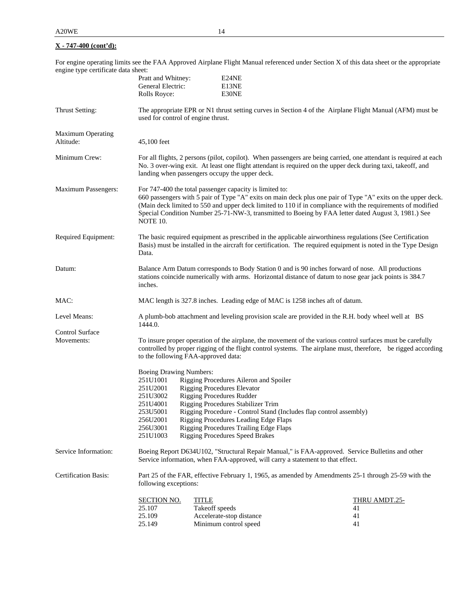For engine operating limits see the FAA Approved Airplane Flight Manual referenced under Section X of this data sheet or the appropriate engine type certificate data sheet:

|                                       | Pratt and Whitney:<br>General Electric:<br>Rolls Royce:                                                                                                                                                                                                                            | E24NE<br>E13NE<br>E30NE                                                                                                                                                                                                                                                                                                                                   |                                                                                                                                                                                                                                                                                                                                   |
|---------------------------------------|------------------------------------------------------------------------------------------------------------------------------------------------------------------------------------------------------------------------------------------------------------------------------------|-----------------------------------------------------------------------------------------------------------------------------------------------------------------------------------------------------------------------------------------------------------------------------------------------------------------------------------------------------------|-----------------------------------------------------------------------------------------------------------------------------------------------------------------------------------------------------------------------------------------------------------------------------------------------------------------------------------|
| Thrust Setting:                       | used for control of engine thrust.                                                                                                                                                                                                                                                 |                                                                                                                                                                                                                                                                                                                                                           | The appropriate EPR or N1 thrust setting curves in Section 4 of the Airplane Flight Manual (AFM) must be                                                                                                                                                                                                                          |
| <b>Maximum Operating</b><br>Altitude: | 45,100 feet                                                                                                                                                                                                                                                                        |                                                                                                                                                                                                                                                                                                                                                           |                                                                                                                                                                                                                                                                                                                                   |
| Minimum Crew:                         | For all flights, 2 persons (pilot, copilot). When passengers are being carried, one attendant is required at each<br>No. 3 over-wing exit. At least one flight attendant is required on the upper deck during taxi, takeoff, and<br>landing when passengers occupy the upper deck. |                                                                                                                                                                                                                                                                                                                                                           |                                                                                                                                                                                                                                                                                                                                   |
| <b>Maximum Passengers:</b>            | NOTE 10.                                                                                                                                                                                                                                                                           | For 747-400 the total passenger capacity is limited to:                                                                                                                                                                                                                                                                                                   | 660 passengers with 5 pair of Type "A" exits on main deck plus one pair of Type "A" exits on the upper deck.<br>(Main deck limited to 550 and upper deck limited to 110 if in compliance with the requirements of modified<br>Special Condition Number 25-71-NW-3, transmitted to Boeing by FAA letter dated August 3, 1981.) See |
| Required Equipment:                   | Data.                                                                                                                                                                                                                                                                              |                                                                                                                                                                                                                                                                                                                                                           | The basic required equipment as prescribed in the applicable airworthiness regulations (See Certification<br>Basis) must be installed in the aircraft for certification. The required equipment is noted in the Type Design                                                                                                       |
| Datum:                                | inches.                                                                                                                                                                                                                                                                            |                                                                                                                                                                                                                                                                                                                                                           | Balance Arm Datum corresponds to Body Station 0 and is 90 inches forward of nose. All productions<br>stations coincide numerically with arms. Horizontal distance of datum to nose gear jack points is 384.7                                                                                                                      |
| MAC:                                  |                                                                                                                                                                                                                                                                                    | MAC length is 327.8 inches. Leading edge of MAC is 1258 inches aft of datum.                                                                                                                                                                                                                                                                              |                                                                                                                                                                                                                                                                                                                                   |
| Level Means:                          | 1444.0.                                                                                                                                                                                                                                                                            |                                                                                                                                                                                                                                                                                                                                                           | A plumb-bob attachment and leveling provision scale are provided in the R.H. body wheel well at BS                                                                                                                                                                                                                                |
| Control Surface<br>Movements:         |                                                                                                                                                                                                                                                                                    | to the following FAA-approved data:                                                                                                                                                                                                                                                                                                                       | To insure proper operation of the airplane, the movement of the various control surfaces must be carefully<br>controlled by proper rigging of the flight control systems. The airplane must, therefore, be rigged according                                                                                                       |
|                                       | Boeing Drawing Numbers:<br>251U1001<br>251U2001<br>251U3002<br>251U4001<br>253U5001<br>256U2001<br>256U3001<br>251U1003                                                                                                                                                            | Rigging Procedures Aileron and Spoiler<br><b>Rigging Procedures Elevator</b><br><b>Rigging Procedures Rudder</b><br>Rigging Procedures Stabilizer Trim<br>Rigging Procedure - Control Stand (Includes flap control assembly)<br>Rigging Procedures Leading Edge Flaps<br>Rigging Procedures Trailing Edge Flaps<br><b>Rigging Procedures Speed Brakes</b> |                                                                                                                                                                                                                                                                                                                                   |
| Service Information:                  |                                                                                                                                                                                                                                                                                    | Service information, when FAA-approved, will carry a statement to that effect.                                                                                                                                                                                                                                                                            | Boeing Report D634U102, "Structural Repair Manual," is FAA-approved. Service Bulletins and other                                                                                                                                                                                                                                  |
| <b>Certification Basis:</b>           | following exceptions:                                                                                                                                                                                                                                                              |                                                                                                                                                                                                                                                                                                                                                           | Part 25 of the FAR, effective February 1, 1965, as amended by Amendments 25-1 through 25-59 with the                                                                                                                                                                                                                              |
|                                       | <b>SECTION NO.</b><br>25.107<br>25.109<br>25.149                                                                                                                                                                                                                                   | <b>TITLE</b><br>Takeoff speeds<br>Accelerate-stop distance<br>Minimum control speed                                                                                                                                                                                                                                                                       | <b>THRU AMDT.25-</b><br>41<br>41<br>41                                                                                                                                                                                                                                                                                            |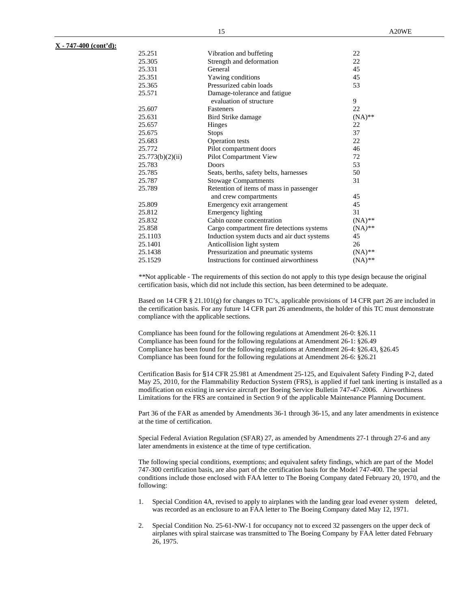| 25.251           | Vibration and buffeting                     | 22        |
|------------------|---------------------------------------------|-----------|
| 25.305           | Strength and deformation                    | 22        |
| 25.331           | General                                     | 45        |
| 25.351           | Yawing conditions                           | 45        |
| 25.365           | Pressurized cabin loads                     | 53        |
| 25.571           | Damage-tolerance and fatigue                |           |
|                  | evaluation of structure                     | 9         |
| 25.607           | Fasteners                                   | 22        |
| 25.631           | Bird Strike damage                          | $(NA)$ ** |
| 25.657           | Hinges                                      | 22        |
| 25.675           | <b>Stops</b>                                | 37        |
| 25.683           | <b>Operation</b> tests                      | 22        |
| 25.772           | Pilot compartment doors                     | 46        |
| 25.773(b)(2)(ii) | Pilot Compartment View                      | 72        |
| 25.783           | Doors                                       | 53        |
| 25.785           | Seats, berths, safety belts, harnesses      | 50        |
| 25.787           | <b>Stowage Compartments</b>                 | 31        |
| 25.789           | Retention of items of mass in passenger     |           |
|                  | and crew compartments                       | 45        |
| 25.809           | Emergency exit arrangement                  | 45        |
| 25.812           | <b>Emergency lighting</b>                   | 31        |
| 25.832           | Cabin ozone concentration                   | $(NA)$ ** |
| 25.858           | Cargo compartment fire detections systems   | $(NA)$ ** |
| 25.1103          | Induction system ducts and air duct systems | 45        |
| 25.1401          | Anticollision light system                  | 26        |
| 25.1438          | Pressurization and pneumatic systems        | $(NA)$ ** |
| 25.1529          | Instructions for continued airworthiness    | $(NA)$ ** |

*\*\**Not applicable - The requirements of this section do not apply to this type design because the original certification basis, which did not include this section, has been determined to be adequate.

Based on 14 CFR § 21.101(g) for changes to TC's, applicable provisions of 14 CFR part 26 are included in the certification basis. For any future 14 CFR part 26 amendments, the holder of this TC must demonstrate compliance with the applicable sections.

Compliance has been found for the following regulations at Amendment 26-0: §26.11 Compliance has been found for the following regulations at Amendment 26-1: §26.49 Compliance has been found for the following regulations at Amendment 26-4: §26.43, §26.45 Compliance has been found for the following regulations at Amendment 26-6: §26.21

Certification Basis for §14 CFR 25.981 at Amendment 25-125, and Equivalent Safety Finding P-2, dated May 25, 2010, for the Flammability Reduction System (FRS), is applied if fuel tank inerting is installed as a modification on existing in service aircraft per Boeing Service Bulletin 747-47-2006. Airworthiness Limitations for the FRS are contained in Section 9 of the applicable Maintenance Planning Document.

Part 36 of the FAR as amended by Amendments 36-1 through 36-15, and any later amendments in existence at the time of certification.

Special Federal Aviation Regulation (SFAR) 27, as amended by Amendments 27-1 through 27-6 and any later amendments in existence at the time of type certification.

The following special conditions, exemptions; and equivalent safety findings, which are part of the Model 747-300 certification basis, are also part of the certification basis for the Model 747-400. The special conditions include those enclosed with FAA letter to The Boeing Company dated February 20, 1970, and the following:

- 1. Special Condition 4A, revised to apply to airplanes with the landing gear load evener system deleted, was recorded as an enclosure to an FAA letter to The Boeing Company dated May 12, 1971.
- 2. Special Condition No. 25-61-NW-1 for occupancy not to exceed 32 passengers on the upper deck of airplanes with spiral staircase was transmitted to The Boeing Company by FAA letter dated February 26, 1975.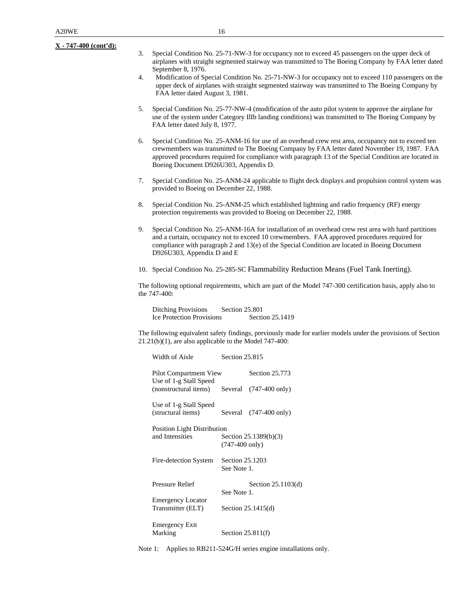- 3. Special Condition No. 25-71-NW-3 for occupancy not to exceed 45 passengers on the upper deck of airplanes with straight segmented stairway was transmitted to The Boeing Company by FAA letter dated September 8, 1976.
- 4. Modification of Special Condition No. 25-71-NW-3 for occupancy not to exceed 110 passengers on the upper deck of airplanes with straight segmented stairway was transmitted to The Boeing Company by FAA letter dated August 3, 1981.
- 5. Special Condition No. 25-77-NW-4 (modification of the auto pilot system to approve the airplane for use of the system under Category IlIb landing conditions) was transmitted to The Boeing Company by FAA letter dated July 8, 1977.
- 6. Special Condition No. 25-ANM-16 for use of an overhead crew rest area, occupancy not to exceed ten crewmembers was transmitted to The Boeing Company by FAA letter dated November 19, 1987. FAA approved procedures required for compliance with paragraph 13 of the Special Condition are located in Boeing Document D926U303, Appendix D.
- 7. Special Condition No. 25-ANM-24 applicable to flight deck displays and propulsion control system was provided to Boeing on December 22, 1988.
- 8. Special Condition No. 25-ANM-25 which established lightning and radio frequency (RF) energy protection requirements was provided to Boeing on December 22, 1988.
- 9. Special Condition No. 25-ANM-16A for installation of an overhead crew rest area with hard partitions and a curtain, occupancy not to exceed 10 crewmembers. FAA approved procedures required for compliance with paragraph 2 and 13(e) of the Special Condition are located in Boeing Document D926U303, Appendix D and E
- 10. Special Condition No. 25-285-SC Flammability Reduction Means (Fuel Tank Inerting).

The following optional requirements, which are part of the Model 747-300 certification basis, apply also to the 747-400:

Ditching Provisions Section 25.801 Ice Protection Provisions Section 25.1419

The following equivalent safety findings, previously made for earlier models under the provisions of Section 21.21(b)(1), are also applicable to the Model 747-400:

| Width of Aisle                                   | Section 25.815           |                                  |
|--------------------------------------------------|--------------------------|----------------------------------|
| Pilot Compartment View<br>Use of 1-g Stall Speed |                          | <b>Section 25.773</b>            |
| (nonstructural items) Several (747-400 only)     |                          |                                  |
| Use of 1-g Stall Speed<br>(structural items)     |                          | Several $(747-400 \text{ only})$ |
| <b>Position Light Distribution</b>               |                          |                                  |
| and Intensities                                  | $(747-400 \text{ only})$ | Section 25.1389(b)(3)            |
| Fire-detection System                            | Section 25.1203          |                                  |
|                                                  | See Note 1.              |                                  |
| Pressure Relief                                  |                          | Section 25.1103(d)               |
| <b>Emergency Locator</b>                         | See Note 1.              |                                  |
| Transmitter (ELT)                                |                          | Section $25.1415(d)$             |
|                                                  |                          |                                  |
| <b>Emergency Exit</b>                            |                          |                                  |
| Marking                                          |                          | Section $25.811(f)$              |

Note 1: Applies to RB211-524G/H series engine installations only.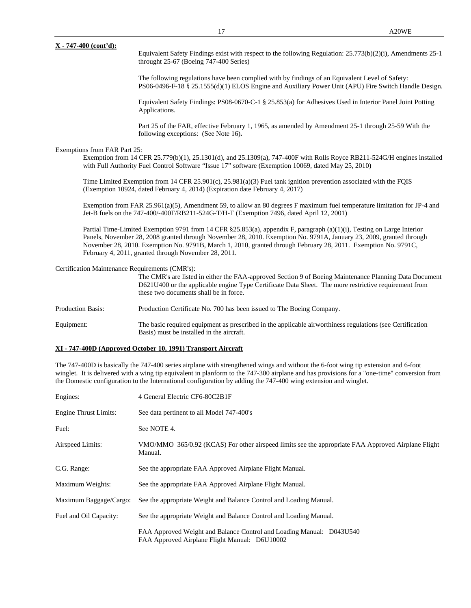Equivalent Safety Findings exist with respect to the following Regulation: 25.773(b)(2)(i), Amendments 25-1 throught 25-67 (Boeing 747-400 Series)

The following regulations have been complied with by findings of an Equivalent Level of Safety: PS06-0496-F-18 § 25.1555(d)(1) ELOS Engine and Auxiliary Power Unit (APU) Fire Switch Handle Design.

Equivalent Safety Findings: PS08-0670-C-1 § 25.853(a) for Adhesives Used in Interior Panel Joint Potting Applications.

Part 25 of the FAR, effective February 1, 1965, as amended by Amendment 25-1 through 25-59 With the following exceptions: (See Note 16)**.**

#### Exemptions from FAR Part 25:

Exemption from 14 CFR 25.779(b)(1), 25.1301(d), and 25.1309(a), 747-400F with Rolls Royce RB211-524G/H engines installed with Full Authority Fuel Control Software "Issue 17" software (Exemption 10069, dated May 25, 2010)

Time Limited Exemption from 14 CFR 25.901(c), 25.981(a)(3) Fuel tank ignition prevention associated with the FQIS (Exemption 10924, dated February 4, 2014) (Expiration date February 4, 2017)

Exemption from FAR 25.961(a)(5), Amendment 59, to allow an 80 degrees F maximum fuel temperature limitation for JP-4 and Jet-B fuels on the 747-400/-400F/RB211-524G-T/H-T (Exemption 7496, dated April 12, 2001)

Partial Time-Limited Exemption 9791 from 14 CFR §25.853(a), appendix F, paragraph (a)(1)(i), Testing on Large Interior Panels, November 28, 2008 granted through November 28, 2010. Exemption No. 9791A, January 23, 2009, granted through November 28, 2010. Exemption No. 9791B, March 1, 2010, granted through February 28, 2011. Exemption No. 9791C, February 4, 2011, granted through November 28, 2011.

Certification Maintenance Requirements (CMR's):

The CMR's are listed in either the FAA-approved Section 9 of Boeing Maintenance Planning Data Document D621U400 or the applicable engine Type Certificate Data Sheet. The more restrictive requirement from these two documents shall be in force.

Production Basis: Production Certificate No. 700 has been issued to The Boeing Company.

Equipment: The basic required equipment as prescribed in the applicable airworthiness regulations (see Certification Basis) must be installed in the aircraft.

#### **XI - 747-400D (Approved October 10, 1991) Transport Aircraft**

The 747-400D is basically the 747-400 series airplane with strengthened wings and without the 6-foot wing tip extension and 6-foot winglet. It is delivered with a wing tip equivalent in planform to the 747-300 airplane and has provisions for a "one-time" conversion from the Domestic configuration to the International configuration by adding the 747-400 wing extension and winglet.

| Engines:                     | 4 General Electric CF6-80C2B1F                                                                                        |
|------------------------------|-----------------------------------------------------------------------------------------------------------------------|
| <b>Engine Thrust Limits:</b> | See data pertinent to all Model 747-400's                                                                             |
| Fuel:                        | See NOTE 4.                                                                                                           |
| Airspeed Limits:             | VMO/MMO 365/0.92 (KCAS) For other airspeed limits see the appropriate FAA Approved Airplane Flight<br>Manual.         |
| C.G. Range:                  | See the appropriate FAA Approved Airplane Flight Manual.                                                              |
| Maximum Weights:             | See the appropriate FAA Approved Airplane Flight Manual.                                                              |
| Maximum Baggage/Cargo:       | See the appropriate Weight and Balance Control and Loading Manual.                                                    |
| Fuel and Oil Capacity:       | See the appropriate Weight and Balance Control and Loading Manual.                                                    |
|                              | FAA Approved Weight and Balance Control and Loading Manual: D043U540<br>FAA Approved Airplane Flight Manual: D6U10002 |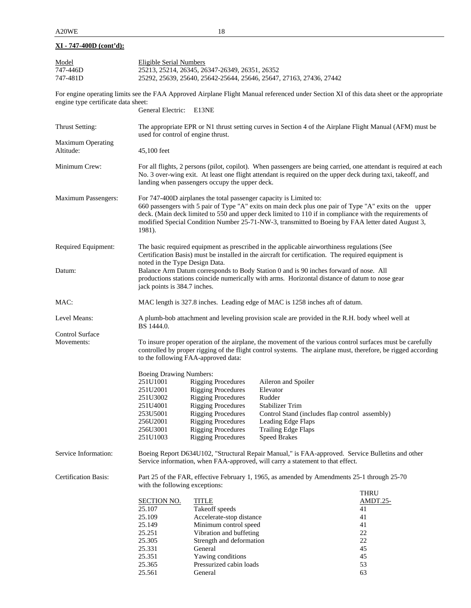| Model                               | <b>Eligible Serial Numbers</b>                                                                                                                                                                                                                                                                                                                                                                         |                                                                                |                        |                                                                                                                                                                                                                             |  |
|-------------------------------------|--------------------------------------------------------------------------------------------------------------------------------------------------------------------------------------------------------------------------------------------------------------------------------------------------------------------------------------------------------------------------------------------------------|--------------------------------------------------------------------------------|------------------------|-----------------------------------------------------------------------------------------------------------------------------------------------------------------------------------------------------------------------------|--|
| 747-446D                            | 25213, 25214, 26345, 26347-26349, 26351, 26352                                                                                                                                                                                                                                                                                                                                                         |                                                                                |                        |                                                                                                                                                                                                                             |  |
| 747-481D                            | 25292, 25639, 25640, 25642-25644, 25646, 25647, 27163, 27436, 27442                                                                                                                                                                                                                                                                                                                                    |                                                                                |                        |                                                                                                                                                                                                                             |  |
| engine type certificate data sheet: |                                                                                                                                                                                                                                                                                                                                                                                                        |                                                                                |                        | For engine operating limits see the FAA Approved Airplane Flight Manual referenced under Section XI of this data sheet or the appropriate                                                                                   |  |
|                                     | General Electric:                                                                                                                                                                                                                                                                                                                                                                                      | E13NE                                                                          |                        |                                                                                                                                                                                                                             |  |
| Thrust Setting:                     |                                                                                                                                                                                                                                                                                                                                                                                                        | used for control of engine thrust.                                             |                        | The appropriate EPR or N1 thrust setting curves in Section 4 of the Airplane Flight Manual (AFM) must be                                                                                                                    |  |
| Maximum Operating                   |                                                                                                                                                                                                                                                                                                                                                                                                        |                                                                                |                        |                                                                                                                                                                                                                             |  |
| Altitude:                           | 45,100 feet                                                                                                                                                                                                                                                                                                                                                                                            |                                                                                |                        |                                                                                                                                                                                                                             |  |
| Minimum Crew:                       | For all flights, 2 persons (pilot, copilot). When passengers are being carried, one attendant is required at each<br>No. 3 over-wing exit. At least one flight attendant is required on the upper deck during taxi, takeoff, and<br>landing when passengers occupy the upper deck.                                                                                                                     |                                                                                |                        |                                                                                                                                                                                                                             |  |
| Maximum Passengers:                 | For 747-400D airplanes the total passenger capacity is Limited to:<br>660 passengers with 5 pair of Type "A" exits on main deck plus one pair of Type "A" exits on the upper<br>deck. (Main deck limited to 550 and upper deck limited to 110 if in compliance with the requirements of<br>modified Special Condition Number 25-71-NW-3, transmitted to Boeing by FAA letter dated August 3,<br>1981). |                                                                                |                        |                                                                                                                                                                                                                             |  |
| Required Equipment:                 | The basic required equipment as prescribed in the applicable airworthiness regulations (See<br>Certification Basis) must be installed in the aircraft for certification. The required equipment is                                                                                                                                                                                                     |                                                                                |                        |                                                                                                                                                                                                                             |  |
| Datum:                              | noted in the Type Design Data.<br>Balance Arm Datum corresponds to Body Station 0 and is 90 inches forward of nose. All<br>productions stations coincide numerically with arms. Horizontal distance of datum to nose gear<br>jack points is 384.7 inches.                                                                                                                                              |                                                                                |                        |                                                                                                                                                                                                                             |  |
| MAC:                                |                                                                                                                                                                                                                                                                                                                                                                                                        | MAC length is 327.8 inches. Leading edge of MAC is 1258 inches aft of datum.   |                        |                                                                                                                                                                                                                             |  |
| Level Means:                        | A plumb-bob attachment and leveling provision scale are provided in the R.H. body wheel well at<br>BS 1444.0.                                                                                                                                                                                                                                                                                          |                                                                                |                        |                                                                                                                                                                                                                             |  |
| Control Surface                     |                                                                                                                                                                                                                                                                                                                                                                                                        |                                                                                |                        |                                                                                                                                                                                                                             |  |
| Movements:                          |                                                                                                                                                                                                                                                                                                                                                                                                        | to the following FAA-approved data:                                            |                        | To insure proper operation of the airplane, the movement of the various control surfaces must be carefully<br>controlled by proper rigging of the flight control systems. The airplane must, therefore, be rigged according |  |
|                                     | Boeing Drawing Numbers:                                                                                                                                                                                                                                                                                                                                                                                |                                                                                |                        |                                                                                                                                                                                                                             |  |
|                                     | 251U1001                                                                                                                                                                                                                                                                                                                                                                                               | <b>Rigging Procedures</b>                                                      | Aileron and Spoiler    |                                                                                                                                                                                                                             |  |
|                                     | 251U2001                                                                                                                                                                                                                                                                                                                                                                                               | <b>Rigging Procedures</b>                                                      | Elevator               |                                                                                                                                                                                                                             |  |
|                                     |                                                                                                                                                                                                                                                                                                                                                                                                        |                                                                                |                        |                                                                                                                                                                                                                             |  |
|                                     | 251U3002                                                                                                                                                                                                                                                                                                                                                                                               | <b>Rigging Procedures</b>                                                      | Rudder                 |                                                                                                                                                                                                                             |  |
|                                     | 251U4001                                                                                                                                                                                                                                                                                                                                                                                               | <b>Rigging Procedures</b>                                                      | <b>Stabilizer Trim</b> |                                                                                                                                                                                                                             |  |
|                                     | 253U5001                                                                                                                                                                                                                                                                                                                                                                                               | <b>Rigging Procedures</b>                                                      |                        | Control Stand (includes flap control assembly)                                                                                                                                                                              |  |
|                                     | 256U2001                                                                                                                                                                                                                                                                                                                                                                                               | <b>Rigging Procedures</b>                                                      | Leading Edge Flaps     |                                                                                                                                                                                                                             |  |
|                                     | 256U3001                                                                                                                                                                                                                                                                                                                                                                                               | <b>Rigging Procedures</b>                                                      | Trailing Edge Flaps    |                                                                                                                                                                                                                             |  |
|                                     | 251U1003                                                                                                                                                                                                                                                                                                                                                                                               | <b>Rigging Procedures</b>                                                      | <b>Speed Brakes</b>    |                                                                                                                                                                                                                             |  |
| Service Information:                |                                                                                                                                                                                                                                                                                                                                                                                                        | Service information, when FAA-approved, will carry a statement to that effect. |                        | Boeing Report D634U102, "Structural Repair Manual," is FAA-approved. Service Bulletins and other                                                                                                                            |  |
| <b>Certification Basis:</b>         | with the following exceptions:                                                                                                                                                                                                                                                                                                                                                                         |                                                                                |                        | Part 25 of the FAR, effective February 1, 1965, as amended by Amendments 25-1 through 25-70                                                                                                                                 |  |
|                                     |                                                                                                                                                                                                                                                                                                                                                                                                        |                                                                                |                        | THRU                                                                                                                                                                                                                        |  |
|                                     | SECTION NO.                                                                                                                                                                                                                                                                                                                                                                                            | <b>TITLE</b>                                                                   |                        | AMDT.25-                                                                                                                                                                                                                    |  |
|                                     | 25.107                                                                                                                                                                                                                                                                                                                                                                                                 | Takeoff speeds                                                                 |                        | 41                                                                                                                                                                                                                          |  |
|                                     | 25.109                                                                                                                                                                                                                                                                                                                                                                                                 | Accelerate-stop distance                                                       |                        | 41                                                                                                                                                                                                                          |  |
|                                     | 25.149                                                                                                                                                                                                                                                                                                                                                                                                 | Minimum control speed                                                          |                        | 41                                                                                                                                                                                                                          |  |
|                                     | 25.251                                                                                                                                                                                                                                                                                                                                                                                                 | Vibration and buffeting                                                        |                        | $22\,$                                                                                                                                                                                                                      |  |
|                                     | 25.305                                                                                                                                                                                                                                                                                                                                                                                                 | Strength and deformation                                                       |                        | $22\,$                                                                                                                                                                                                                      |  |
|                                     | 25.331                                                                                                                                                                                                                                                                                                                                                                                                 | General                                                                        |                        | 45                                                                                                                                                                                                                          |  |
|                                     | 25.351                                                                                                                                                                                                                                                                                                                                                                                                 | Yawing conditions                                                              |                        | 45                                                                                                                                                                                                                          |  |
|                                     | 25.365                                                                                                                                                                                                                                                                                                                                                                                                 | Pressurized cabin loads                                                        |                        | 53                                                                                                                                                                                                                          |  |
|                                     | 25.561                                                                                                                                                                                                                                                                                                                                                                                                 | General                                                                        |                        | 63                                                                                                                                                                                                                          |  |
|                                     |                                                                                                                                                                                                                                                                                                                                                                                                        |                                                                                |                        |                                                                                                                                                                                                                             |  |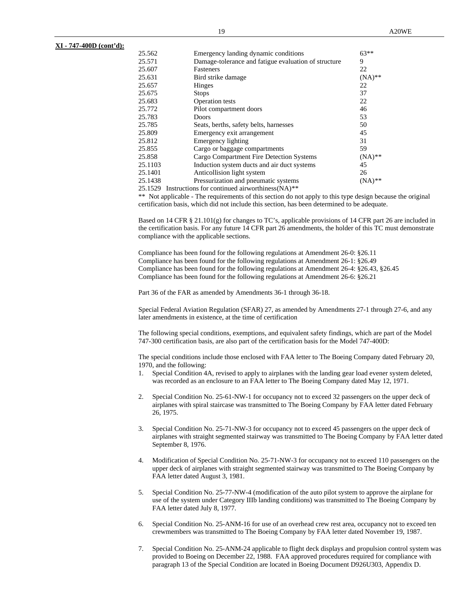| 25.562  | Emergency landing dynamic conditions                 | $63**$    |
|---------|------------------------------------------------------|-----------|
| 25.571  | Damage-tolerance and fatigue evaluation of structure | 9         |
| 25.607  | <b>Fasteners</b>                                     | 22        |
| 25.631  | Bird strike damage                                   | $(NA)$ ** |
| 25.657  | Hinges                                               | 22        |
| 25.675  | <b>Stops</b>                                         | 37        |
| 25.683  | Operation tests                                      | 22        |
| 25.772  | Pilot compartment doors                              | 46        |
| 25.783  | <b>Doors</b>                                         | 53        |
| 25.785  | Seats, berths, safety belts, harnesses               | 50        |
| 25.809  | Emergency exit arrangement                           | 45        |
| 25.812  | Emergency lighting                                   | 31        |
| 25.855  | Cargo or baggage compartments                        | 59        |
| 25.858  | Cargo Compartment Fire Detection Systems             | $(NA)$ ** |
| 25.1103 | Induction system ducts and air duct systems          | 45        |
| 25.1401 | Anticollision light system                           | 26        |
| 25.1438 | Pressurization and pneumatic systems                 | $(NA)$ ** |
|         |                                                      |           |

25.1529 Instructions for continued airworthiness(NA)*\*\**

\*\* Not applicable - The requirements of this section do not apply to this type design because the original certification basis, which did not include this section, has been determined to be adequate.

Based on 14 CFR § 21.101(g) for changes to TC's, applicable provisions of 14 CFR part 26 are included in the certification basis. For any future 14 CFR part 26 amendments, the holder of this TC must demonstrate compliance with the applicable sections.

Compliance has been found for the following regulations at Amendment 26-0: §26.11 Compliance has been found for the following regulations at Amendment 26-1: §26.49 Compliance has been found for the following regulations at Amendment 26-4: §26.43, §26.45 Compliance has been found for the following regulations at Amendment 26-6: §26.21

Part 36 of the FAR as amended by Amendments 36-1 through 36-18.

Special Federal Aviation Regulation (SFAR) 27, as amended by Amendments 27-1 through 27-6, and any later amendments in existence, at the time of certification

The following special conditions, exemptions, and equivalent safety findings, which are part of the Model 747-300 certification basis, are also part of the certification basis for the Model 747-400D:

The special conditions include those enclosed with FAA letter to The Boeing Company dated February 20, 1970, and the following:

- 1. Special Condition 4A, revised to apply to airplanes with the landing gear load evener system deleted, was recorded as an enclosure to an FAA letter to The Boeing Company dated May 12, 1971.
- 2. Special Condition No. 25-61-NW-1 for occupancy not to exceed 32 passengers on the upper deck of airplanes with spiral staircase was transmitted to The Boeing Company by FAA letter dated February 26, 1975.
- 3. Special Condition No. 25-71-NW-3 for occupancy not to exceed 45 passengers on the upper deck of airplanes with straight segmented stairway was transmitted to The Boeing Company by FAA letter dated September 8, 1976.
- 4. Modification of Special Condition No. 25-71-NW-3 for occupancy not to exceed 110 passengers on the upper deck of airplanes with straight segmented stairway was transmitted to The Boeing Company by FAA letter dated August 3, 1981.
- 5. Special Condition No. 25-77-NW-4 (modification of the auto pilot system to approve the airplane for use of the system under Category IIIb landing conditions) was transmitted to The Boeing Company by FAA letter dated July 8, 1977.
- 6. Special Condition No. 25-ANM-16 for use of an overhead crew rest area, occupancy not to exceed ten crewmembers was transmitted to The Boeing Company by FAA letter dated November 19, 1987.
- 7. Special Condition No. 25-ANM-24 applicable to flight deck displays and propulsion control system was provided to Boeing on December 22, 1988. FAA approved procedures required for compliance with paragraph 13 of the Special Condition are located in Boeing Document D926U303, Appendix D.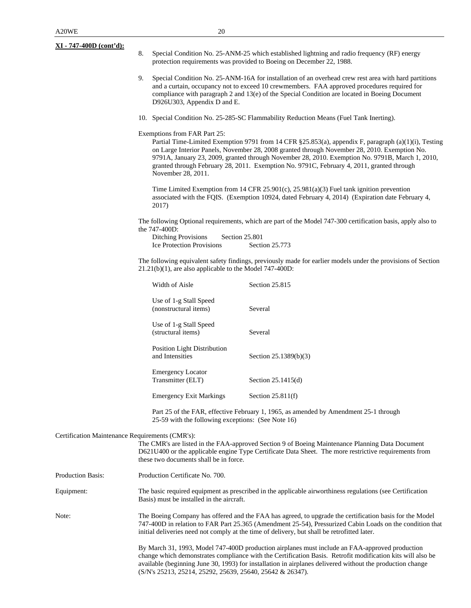- 8. Special Condition No. 25-ANM-25 which established lightning and radio frequency (RF) energy protection requirements was provided to Boeing on December 22, 1988.
- 9. Special Condition No. 25-ANM-16A for installation of an overhead crew rest area with hard partitions and a curtain, occupancy not to exceed 10 crewmembers. FAA approved procedures required for compliance with paragraph 2 and 13(e) of the Special Condition are located in Boeing Document D926U303, Appendix D and E.
- 10. Special Condition No. 25-285-SC Flammability Reduction Means (Fuel Tank Inerting).

Exemptions from FAR Part 25:

Partial Time-Limited Exemption 9791 from 14 CFR §25.853(a), appendix F, paragraph (a)(1)(i), Testing on Large Interior Panels, November 28, 2008 granted through November 28, 2010. Exemption No. 9791A, January 23, 2009, granted through November 28, 2010. Exemption No. 9791B, March 1, 2010, granted through February 28, 2011. Exemption No. 9791C, February 4, 2011, granted through November 28, 2011.

Time Limited Exemption from 14 CFR 25.901(c), 25.981(a)(3) Fuel tank ignition prevention associated with the FQIS. (Exemption 10924, dated February 4, 2014) (Expiration date February 4, 2017)

The following Optional requirements, which are part of the Model 747-300 certification basis, apply also to the 747-400D:

Ditching Provisions Section 25.801 Ice Protection Provisions Section 25.773

The following equivalent safety findings, previously made for earlier models under the provisions of Section 21.21(b)(1), are also applicable to the Model 747-400D:

| Width of Aisle                                        | <b>Section 25.815</b> |
|-------------------------------------------------------|-----------------------|
| Use of 1-g Stall Speed<br>(nonstructural items)       | Several               |
| Use of 1-g Stall Speed<br>(structural items)          | Several               |
| <b>Position Light Distribution</b><br>and Intensities | Section 25.1389(b)(3) |
| <b>Emergency Locator</b><br>Transmitter (ELT)         | Section $25.1415(d)$  |
| <b>Emergency Exit Markings</b>                        | Section $25.811(f)$   |

Part 25 of the FAR, effective February 1, 1965, as amended by Amendment 25-1 through 25-59 with the following exceptions: (See Note 16)

Certification Maintenance Requirements (CMR's):

The CMR's are listed in the FAA-approved Section 9 of Boeing Maintenance Planning Data Document D621U400 or the applicable engine Type Certificate Data Sheet. The more restrictive requirements from these two documents shall be in force.

| <b>Production Basis:</b> | Production Certificate No. 700. |
|--------------------------|---------------------------------|
|                          |                                 |

Equipment: The basic required equipment as prescribed in the applicable airworthiness regulations (see Certification Basis) must be installed in the aircraft.

Note: The Boeing Company has offered and the FAA has agreed, to upgrade the certification basis for the Model 747-400D in relation to FAR Part 25.365 (Amendment 25-54), Pressurized Cabin Loads on the condition that initial deliveries need not comply at the time of delivery, but shall be retrofitted later.

> By March 31, 1993, Model 747-400D production airplanes must include an FAA-approved production change which demonstrates compliance with the Certification Basis. Retrofit modification kits will also be available (beginning June 30, 1993) for installation in airplanes delivered without the production change (S/N's 25213, 25214, 25292, 25639, 25640, 25642 & 26347).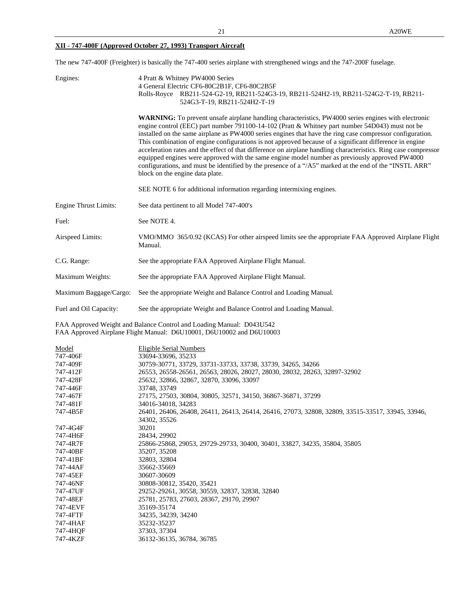# **XII - 747-400F (Approved October 27, 1993) Transport Aircraft**

The new 747-400F (Freighter) is basically the 747-400 series airplane with strengthened wings and the 747-200F fuselage.

| Engines:                     | 4 Pratt & Whitney PW4000 Series<br>4 General Electric CF6-80C2B1F, CF6-80C2B5F<br>Rolls-Royce RB211-524-G2-19, RB211-524G3-19, RB211-524H2-19, RB211-524G2-T-19, RB211-<br>524G3-T-19, RB211-524H2-T-19                                                                                                                                                                                                                                                                                                                                                                                                                                                                                                                                                                                          |
|------------------------------|--------------------------------------------------------------------------------------------------------------------------------------------------------------------------------------------------------------------------------------------------------------------------------------------------------------------------------------------------------------------------------------------------------------------------------------------------------------------------------------------------------------------------------------------------------------------------------------------------------------------------------------------------------------------------------------------------------------------------------------------------------------------------------------------------|
|                              | WARNING: To prevent unsafe airplane handling characteristics, PW4000 series engines with electronic<br>engine control (EEC) part number 791100-14-102 (Pratt & Whitney part number 54D043) must not be<br>installed on the same airplane as PW4000 series engines that have the ring case compressor configuration.<br>This combination of engine configurations is not approved because of a significant difference in engine<br>acceleration rates and the effect of that difference on airplane handling characteristics. Ring case compressor<br>equipped engines were approved with the same engine model number as previously approved PW4000<br>configurations, and must be identified by the presence of a "/A5" marked at the end of the "INSTL ARR"<br>block on the engine data plate. |
|                              | SEE NOTE 6 for additional information regarding intermixing engines.                                                                                                                                                                                                                                                                                                                                                                                                                                                                                                                                                                                                                                                                                                                             |
| <b>Engine Thrust Limits:</b> | See data pertinent to all Model 747-400's                                                                                                                                                                                                                                                                                                                                                                                                                                                                                                                                                                                                                                                                                                                                                        |
| Fuel:                        | See NOTE 4.                                                                                                                                                                                                                                                                                                                                                                                                                                                                                                                                                                                                                                                                                                                                                                                      |
| Airspeed Limits:             | VMO/MMO 365/0.92 (KCAS) For other airspeed limits see the appropriate FAA Approved Airplane Flight<br>Manual.                                                                                                                                                                                                                                                                                                                                                                                                                                                                                                                                                                                                                                                                                    |
| C.G. Range:                  | See the appropriate FAA Approved Airplane Flight Manual.                                                                                                                                                                                                                                                                                                                                                                                                                                                                                                                                                                                                                                                                                                                                         |
| Maximum Weights:             | See the appropriate FAA Approved Airplane Flight Manual.                                                                                                                                                                                                                                                                                                                                                                                                                                                                                                                                                                                                                                                                                                                                         |
| Maximum Baggage/Cargo:       | See the appropriate Weight and Balance Control and Loading Manual.                                                                                                                                                                                                                                                                                                                                                                                                                                                                                                                                                                                                                                                                                                                               |
| Fuel and Oil Capacity:       | See the appropriate Weight and Balance Control and Loading Manual.                                                                                                                                                                                                                                                                                                                                                                                                                                                                                                                                                                                                                                                                                                                               |
|                              | FAA Approved Weight and Balance Control and Loading Manual: D043U542<br>FAA Approved Airplane Flight Manual: D6U10001, D6U10002 and D6U10003                                                                                                                                                                                                                                                                                                                                                                                                                                                                                                                                                                                                                                                     |
| <u>Model</u><br>747-406F     | <b>Eligible Serial Numbers</b><br>33694-33696, 35233                                                                                                                                                                                                                                                                                                                                                                                                                                                                                                                                                                                                                                                                                                                                             |
| 747-409F                     | 30759-30771, 33729, 33731-33733, 33738, 33739, 34265, 34266                                                                                                                                                                                                                                                                                                                                                                                                                                                                                                                                                                                                                                                                                                                                      |
| 747-412F                     | 26553, 26558-26561, 26563, 28026, 28027, 28030, 28032, 28263, 32897-32902                                                                                                                                                                                                                                                                                                                                                                                                                                                                                                                                                                                                                                                                                                                        |
| 747-428F                     | 25632, 32866, 32867, 32870, 33096, 33097                                                                                                                                                                                                                                                                                                                                                                                                                                                                                                                                                                                                                                                                                                                                                         |
| 747-446F                     | 33748, 33749                                                                                                                                                                                                                                                                                                                                                                                                                                                                                                                                                                                                                                                                                                                                                                                     |
| 747-467F                     | 27175, 27503, 30804, 30805, 32571, 34150, 36867-36871, 37299                                                                                                                                                                                                                                                                                                                                                                                                                                                                                                                                                                                                                                                                                                                                     |
| 747-481F                     | 34016-34018, 34283                                                                                                                                                                                                                                                                                                                                                                                                                                                                                                                                                                                                                                                                                                                                                                               |
| 747-4B5F                     | 26401, 26406, 26408, 26411, 26413, 26414, 26416, 27073, 32808, 32809, 33515-33517, 33945, 33946,<br>34302, 35526                                                                                                                                                                                                                                                                                                                                                                                                                                                                                                                                                                                                                                                                                 |
| 747-4G4F                     | 30201                                                                                                                                                                                                                                                                                                                                                                                                                                                                                                                                                                                                                                                                                                                                                                                            |
| 747-4H6F                     | 28434, 29902                                                                                                                                                                                                                                                                                                                                                                                                                                                                                                                                                                                                                                                                                                                                                                                     |
| 747-4R7F                     | 25866-25868, 29053, 29729-29733, 30400, 30401, 33827, 34235, 35804, 35805                                                                                                                                                                                                                                                                                                                                                                                                                                                                                                                                                                                                                                                                                                                        |
| 747-40BF                     | 35207, 35208                                                                                                                                                                                                                                                                                                                                                                                                                                                                                                                                                                                                                                                                                                                                                                                     |
| 747-41BF                     | 32803, 32804                                                                                                                                                                                                                                                                                                                                                                                                                                                                                                                                                                                                                                                                                                                                                                                     |
| 747-44AF                     | 35662-35669                                                                                                                                                                                                                                                                                                                                                                                                                                                                                                                                                                                                                                                                                                                                                                                      |
| 747-45EF                     | 30607-30609                                                                                                                                                                                                                                                                                                                                                                                                                                                                                                                                                                                                                                                                                                                                                                                      |
| 747-46NF                     | 30808-30812, 35420, 35421                                                                                                                                                                                                                                                                                                                                                                                                                                                                                                                                                                                                                                                                                                                                                                        |
| 747-47UF                     | 29252-29261, 30558, 30559, 32837, 32838, 32840                                                                                                                                                                                                                                                                                                                                                                                                                                                                                                                                                                                                                                                                                                                                                   |
| 747-48EF<br>$747.4$ EVE      | 25781, 25783, 27603, 28367, 29170, 29907<br>2516025174                                                                                                                                                                                                                                                                                                                                                                                                                                                                                                                                                                                                                                                                                                                                           |

747-4EVF 35169-35174<br>747-4FTF 34235, 34239 747-4FTF 34235, 34239, 34240 747-4HAF 35232-35237 747-4HQF 37303, 37304<br>747-4KZF 36132-36135, 36132-36135, 36784, 36785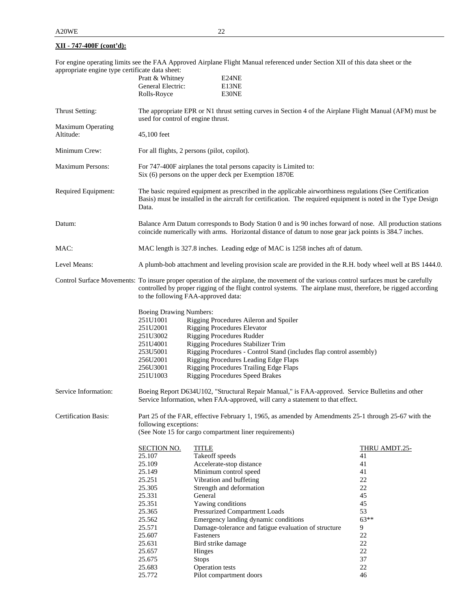For engine operating limits see the FAA Approved Airplane Flight Manual referenced under Section XII of this data sheet or the appropriate engine type certificate data sheet:

|                                       | Pratt & Whitney<br>General Electric:<br>Rolls-Royce                                                                                                                                                                                  |                 | E24NE<br>E13NE<br>E30NE                                                                                                                                                                                                                                                                                                                                    |               |  |
|---------------------------------------|--------------------------------------------------------------------------------------------------------------------------------------------------------------------------------------------------------------------------------------|-----------------|------------------------------------------------------------------------------------------------------------------------------------------------------------------------------------------------------------------------------------------------------------------------------------------------------------------------------------------------------------|---------------|--|
| Thrust Setting:                       | The appropriate EPR or N1 thrust setting curves in Section 4 of the Airplane Flight Manual (AFM) must be<br>used for control of engine thrust.                                                                                       |                 |                                                                                                                                                                                                                                                                                                                                                            |               |  |
| <b>Maximum Operating</b><br>Altitude: | 45,100 feet                                                                                                                                                                                                                          |                 |                                                                                                                                                                                                                                                                                                                                                            |               |  |
| Minimum Crew:                         | For all flights, 2 persons (pilot, copilot).                                                                                                                                                                                         |                 |                                                                                                                                                                                                                                                                                                                                                            |               |  |
| <b>Maximum Persons:</b>               | For 747-400F airplanes the total persons capacity is Limited to:<br>Six (6) persons on the upper deck per Exemption 1870E                                                                                                            |                 |                                                                                                                                                                                                                                                                                                                                                            |               |  |
| Required Equipment:                   | The basic required equipment as prescribed in the applicable airworthiness regulations (See Certification<br>Basis) must be installed in the aircraft for certification. The required equipment is noted in the Type Design<br>Data. |                 |                                                                                                                                                                                                                                                                                                                                                            |               |  |
| Datum:                                | Balance Arm Datum corresponds to Body Station 0 and is 90 inches forward of nose. All production stations<br>coincide numerically with arms. Horizontal distance of datum to nose gear jack points is 384.7 inches.                  |                 |                                                                                                                                                                                                                                                                                                                                                            |               |  |
| MAC:                                  |                                                                                                                                                                                                                                      |                 | MAC length is 327.8 inches. Leading edge of MAC is 1258 inches aft of datum.                                                                                                                                                                                                                                                                               |               |  |
| Level Means:                          | A plumb-bob attachment and leveling provision scale are provided in the R.H. body wheel well at BS 1444.0.                                                                                                                           |                 |                                                                                                                                                                                                                                                                                                                                                            |               |  |
|                                       | to the following FAA-approved data:                                                                                                                                                                                                  |                 | Control Surface Movements: To insure proper operation of the airplane, the movement of the various control surfaces must be carefully<br>controlled by proper rigging of the flight control systems. The airplane must, therefore, be rigged according                                                                                                     |               |  |
|                                       | <b>Boeing Drawing Numbers:</b><br>251U1001<br>251U2001<br>251U3002<br>251U4001<br>253U5001<br>256U2001<br>256U3001<br>251U1003                                                                                                       |                 | Rigging Procedures Aileron and Spoiler<br><b>Rigging Procedures Elevator</b><br><b>Rigging Procedures Rudder</b><br>Rigging Procedures Stabilizer Trim<br>Rigging Procedures - Control Stand (includes flap control assembly)<br>Rigging Procedures Leading Edge Flaps<br>Rigging Procedures Trailing Edge Flaps<br><b>Rigging Procedures Speed Brakes</b> |               |  |
| Service Information:                  |                                                                                                                                                                                                                                      |                 | Boeing Report D634U102, "Structural Repair Manual," is FAA-approved. Service Bulletins and other<br>Service Information, when FAA-approved, will carry a statement to that effect.                                                                                                                                                                         |               |  |
| <b>Certification Basis:</b>           | following exceptions:                                                                                                                                                                                                                |                 | Part 25 of the FAR, effective February 1, 1965, as amended by Amendments 25-1 through 25-67 with the<br>(See Note 15 for cargo compartment liner requirements)                                                                                                                                                                                             |               |  |
|                                       | <b>SECTION NO.</b>                                                                                                                                                                                                                   | <b>TITLE</b>    |                                                                                                                                                                                                                                                                                                                                                            | THRU AMDT.25- |  |
|                                       | 25.107                                                                                                                                                                                                                               | Takeoff speeds  |                                                                                                                                                                                                                                                                                                                                                            | 41            |  |
|                                       | 25.109                                                                                                                                                                                                                               |                 | Accelerate-stop distance                                                                                                                                                                                                                                                                                                                                   | 41            |  |
|                                       | 25.149                                                                                                                                                                                                                               |                 | Minimum control speed                                                                                                                                                                                                                                                                                                                                      | 41            |  |
|                                       | 25.251                                                                                                                                                                                                                               |                 | Vibration and buffeting                                                                                                                                                                                                                                                                                                                                    | 22            |  |
|                                       | 25.305                                                                                                                                                                                                                               |                 | Strength and deformation                                                                                                                                                                                                                                                                                                                                   | 22            |  |
|                                       | 25.331                                                                                                                                                                                                                               | General         |                                                                                                                                                                                                                                                                                                                                                            | 45            |  |
|                                       | 25.351                                                                                                                                                                                                                               |                 | Yawing conditions                                                                                                                                                                                                                                                                                                                                          | 45            |  |
|                                       | 25.365                                                                                                                                                                                                                               |                 | Pressurized Compartment Loads                                                                                                                                                                                                                                                                                                                              | 53            |  |
|                                       | 25.562                                                                                                                                                                                                                               |                 | Emergency landing dynamic conditions                                                                                                                                                                                                                                                                                                                       | $63**$        |  |
|                                       | 25.571                                                                                                                                                                                                                               |                 | Damage-tolerance and fatigue evaluation of structure                                                                                                                                                                                                                                                                                                       | 9<br>$22\,$   |  |
|                                       | 25.607<br>25.631                                                                                                                                                                                                                     | Fasteners       | Bird strike damage                                                                                                                                                                                                                                                                                                                                         | 22            |  |
|                                       |                                                                                                                                                                                                                                      |                 |                                                                                                                                                                                                                                                                                                                                                            | 22            |  |
|                                       | 25.657                                                                                                                                                                                                                               | Hinges          |                                                                                                                                                                                                                                                                                                                                                            | 37            |  |
|                                       | 25.675                                                                                                                                                                                                                               | <b>Stops</b>    |                                                                                                                                                                                                                                                                                                                                                            | 22            |  |
|                                       | 25.683                                                                                                                                                                                                                               | Operation tests |                                                                                                                                                                                                                                                                                                                                                            |               |  |
|                                       | 25.772                                                                                                                                                                                                                               |                 | Pilot compartment doors                                                                                                                                                                                                                                                                                                                                    | 46            |  |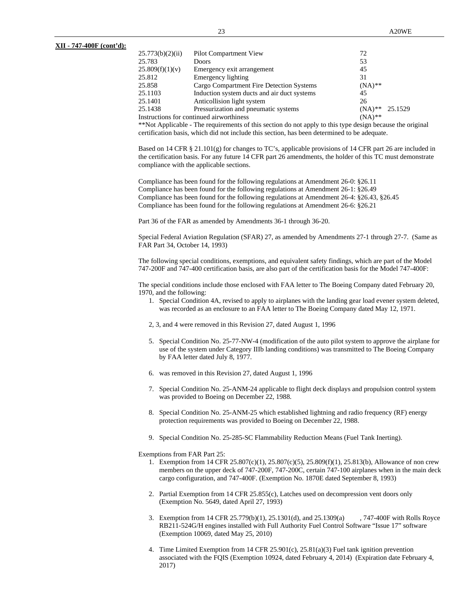| 25.773(b)(2)(ii)                                      | Pilot Compartment View                      | 72                   |
|-------------------------------------------------------|---------------------------------------------|----------------------|
| 25.783                                                | <b>Doors</b>                                | 53                   |
| 25.809(f)(1)(v)                                       | Emergency exit arrangement                  | 45                   |
| 25.812                                                | Emergency lighting                          | 31                   |
| 25.858                                                | Cargo Compartment Fire Detection Systems    | $(NA)$ **            |
| 25.1103                                               | Induction system ducts and air duct systems | 45                   |
| 25.1401                                               | Anticollision light system                  | 26                   |
| 25.1438                                               | Pressurization and pneumatic systems        | 25.1529<br>$(NA)$ ** |
| Instructions for continued airworthiness<br>$(NA)$ ** |                                             |                      |

\*\*Not Applicable - The requirements of this section do not apply to this type design because the original certification basis, which did not include this section, has been determined to be adequate.

Based on 14 CFR § 21.101(g) for changes to TC's, applicable provisions of 14 CFR part 26 are included in the certification basis. For any future 14 CFR part 26 amendments, the holder of this TC must demonstrate compliance with the applicable sections.

Compliance has been found for the following regulations at Amendment 26-0: §26.11 Compliance has been found for the following regulations at Amendment 26-1: §26.49 Compliance has been found for the following regulations at Amendment 26-4: §26.43, §26.45 Compliance has been found for the following regulations at Amendment 26-6: §26.21

Part 36 of the FAR as amended by Amendments 36-1 through 36-20.

Special Federal Aviation Regulation (SFAR) 27, as amended by Amendments 27-1 through 27-7. (Same as FAR Part 34, October 14, 1993)

The following special conditions, exemptions, and equivalent safety findings, which are part of the Model 747-200F and 747-400 certification basis, are also part of the certification basis for the Model 747-400F:

The special conditions include those enclosed with FAA letter to The Boeing Company dated February 20, 1970, and the following:

- 1. Special Condition 4A, revised to apply to airplanes with the landing gear load evener system deleted, was recorded as an enclosure to an FAA letter to The Boeing Company dated May 12, 1971.
- 2, 3, and 4 were removed in this Revision 27, dated August 1, 1996
- 5. Special Condition No. 25-77-NW-4 (modification of the auto pilot system to approve the airplane for use of the system under Category IIIb landing conditions) was transmitted to The Boeing Company by FAA letter dated July 8, 1977.
- 6. was removed in this Revision 27, dated August 1, 1996
- 7. Special Condition No. 25-ANM-24 applicable to flight deck displays and propulsion control system was provided to Boeing on December 22, 1988.
- 8. Special Condition No. 25-ANM-25 which established lightning and radio frequency (RF) energy protection requirements was provided to Boeing on December 22, 1988.
- 9. Special Condition No. 25-285-SC Flammability Reduction Means (Fuel Tank Inerting).

Exemptions from FAR Part 25:

- 1. Exemption from 14 CFR 25.807(c)(1), 25.807(c)(5), 25.809(f)(1), 25.813(b), Allowance of non crew members on the upper deck of 747-200F, 747-200C, certain 747-100 airplanes when in the main deck cargo configuration, and 747-400F. (Exemption No. 1870E dated September 8, 1993)
- 2. Partial Exemption from 14 CFR 25.855(c), Latches used on decompression vent doors only (Exemption No. 5649, dated April 27, 1993)
- 3. Exemption from 14 CFR 25.779(b)(1), 25.1301(d), and 25.1309(a) , 747-400F with Rolls Royce RB211-524G/H engines installed with Full Authority Fuel Control Software "Issue 17" software (Exemption 10069, dated May 25, 2010)
- 4. Time Limited Exemption from 14 CFR 25.901(c), 25.81(a)(3) Fuel tank ignition prevention associated with the FQIS (Exemption 10924, dated February 4, 2014) (Expiration date February 4, 2017)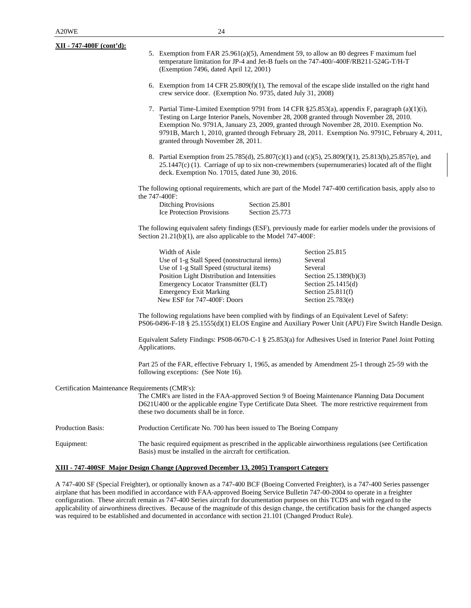| <u>XII - 747-400F (cont'd):</u>                 | (Exemption 7496, dated April 12, 2001)                                                                                                                                                                                                                            |                                  | 5. Exemption from FAR 25.961(a)(5), Amendment 59, to allow an 80 degrees F maximum fuel<br>temperature limitation for JP-4 and Jet-B fuels on the 747-400/-400F/RB211-524G-T/H-T                                                                                                                                                                                                        |
|-------------------------------------------------|-------------------------------------------------------------------------------------------------------------------------------------------------------------------------------------------------------------------------------------------------------------------|----------------------------------|-----------------------------------------------------------------------------------------------------------------------------------------------------------------------------------------------------------------------------------------------------------------------------------------------------------------------------------------------------------------------------------------|
|                                                 | 6. Exemption from 14 CFR 25.809(f)(1), The removal of the escape slide installed on the right hand<br>crew service door. (Exemption No. 9735, dated July 31, 2008)                                                                                                |                                  |                                                                                                                                                                                                                                                                                                                                                                                         |
|                                                 | granted through November 28, 2011.                                                                                                                                                                                                                                |                                  | 7. Partial Time-Limited Exemption 9791 from 14 CFR §25.853(a), appendix F, paragraph (a)(1)(i),<br>Testing on Large Interior Panels, November 28, 2008 granted through November 28, 2010.<br>Exemption No. 9791A, January 23, 2009, granted through November 28, 2010. Exemption No.<br>9791B, March 1, 2010, granted through February 28, 2011. Exemption No. 9791C, February 4, 2011, |
|                                                 | deck. Exemption No. 17015, dated June 30, 2016.                                                                                                                                                                                                                   |                                  | 8. Partial Exemption from 25.785(d), 25.807(c)(1) and (c)(5), 25.809(f)(1), 25.813(b), 25.857(e), and<br>$25.1447(c)$ (1). Carriage of up to six non-crewmembers (supernumeraries) located aft of the flight                                                                                                                                                                            |
|                                                 |                                                                                                                                                                                                                                                                   |                                  | The following optional requirements, which are part of the Model 747-400 certification basis, apply also to                                                                                                                                                                                                                                                                             |
|                                                 | the 747-400F:<br><b>Ditching Provisions</b><br><b>Ice Protection Provisions</b>                                                                                                                                                                                   | Section 25.801<br>Section 25.773 |                                                                                                                                                                                                                                                                                                                                                                                         |
|                                                 | Section $21.21(b)(1)$ , are also applicable to the Model 747-400F:                                                                                                                                                                                                |                                  | The following equivalent safety findings (ESF), previously made for earlier models under the provisions of                                                                                                                                                                                                                                                                              |
|                                                 | Width of Aisle<br>Use of 1-g Stall Speed (nonstructural items)<br>Use of 1-g Stall Speed (structural items)<br>Position Light Distribution and Intensities<br>Emergency Locator Transmitter (ELT)<br><b>Emergency Exit Marking</b><br>New ESF for 747-400F: Doors |                                  | Section 25.815<br>Several<br>Several<br>Section 25.1389(b)(3)<br>Section 25.1415(d)<br>Section $25.811(f)$<br>Section 25.783(e)                                                                                                                                                                                                                                                         |
|                                                 | The following regulations have been complied with by findings of an Equivalent Level of Safety:<br>PS06-0496-F-18 § 25.1555(d)(1) ELOS Engine and Auxiliary Power Unit (APU) Fire Switch Handle Design.                                                           |                                  |                                                                                                                                                                                                                                                                                                                                                                                         |
|                                                 | Applications.                                                                                                                                                                                                                                                     |                                  | Equivalent Safety Findings: PS08-0670-C-1 § 25.853(a) for Adhesives Used in Interior Panel Joint Potting                                                                                                                                                                                                                                                                                |
|                                                 | following exceptions: (See Note 16).                                                                                                                                                                                                                              |                                  | Part 25 of the FAR, effective February 1, 1965, as amended by Amendment 25-1 through 25-59 with the                                                                                                                                                                                                                                                                                     |
| Certification Maintenance Requirements (CMR's): | these two documents shall be in force.                                                                                                                                                                                                                            |                                  | The CMR's are listed in the FAA-approved Section 9 of Boeing Maintenance Planning Data Document<br>D621U400 or the applicable engine Type Certificate Data Sheet. The more restrictive requirement from                                                                                                                                                                                 |
| Production Basis:                               | Production Certificate No. 700 has been issued to The Boeing Company                                                                                                                                                                                              |                                  |                                                                                                                                                                                                                                                                                                                                                                                         |
| Equipment:                                      | Basis) must be installed in the aircraft for certification.                                                                                                                                                                                                       |                                  | The basic required equipment as prescribed in the applicable airworthiness regulations (see Certification                                                                                                                                                                                                                                                                               |
|                                                 | XIII - 747-400SF Major Design Change (Approved December 13, 2005) Transport Category                                                                                                                                                                              |                                  |                                                                                                                                                                                                                                                                                                                                                                                         |

A 747-400 SF (Special Freighter), or optionally known as a 747-400 BCF (Boeing Converted Freighter), is a 747-400 Series passenger airplane that has been modified in accordance with FAA-approved Boeing Service Bulletin 747-00-2004 to operate in a freighter configuration. These aircraft remain as 747-400 Series aircraft for documentation purposes on this TCDS and with regard to the applicability of airworthiness directives. Because of the magnitude of this design change, the certification basis for the changed aspects was required to be established and documented in accordance with section 21.101 (Changed Product Rule).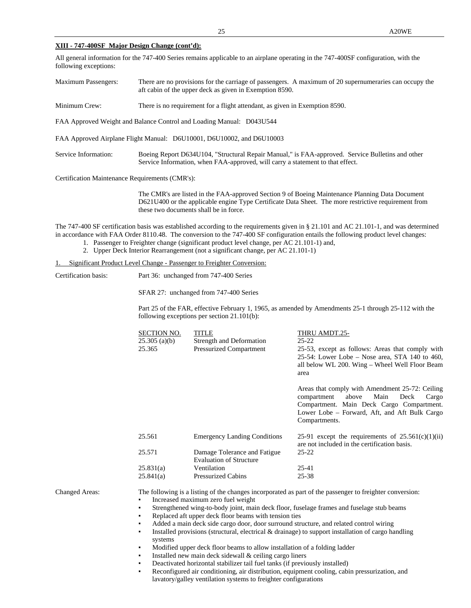### **XIII - 747-400SF Major Design Change (cont'd):**

All general information for the 747-400 Series remains applicable to an airplane operating in the 747-400SF configuration, with the following exceptions:

| <b>Maximum Passengers:</b>                      | There are no provisions for the carriage of passengers. A maximum of 20 supernumeraries can occupy the<br>aft cabin of the upper deck as given in Exemption 8590.                                                                                                           |  |  |  |
|-------------------------------------------------|-----------------------------------------------------------------------------------------------------------------------------------------------------------------------------------------------------------------------------------------------------------------------------|--|--|--|
| Minimum Crew:                                   | There is no requirement for a flight attendant, as given in Exemption 8590.                                                                                                                                                                                                 |  |  |  |
|                                                 | FAA Approved Weight and Balance Control and Loading Manual: D043U544                                                                                                                                                                                                        |  |  |  |
|                                                 | FAA Approved Airplane Flight Manual: D6U10001, D6U10002, and D6U10003                                                                                                                                                                                                       |  |  |  |
| Service Information:                            | Boeing Report D634U104, "Structural Repair Manual," is FAA-approved. Service Bulletins and other<br>Service Information, when FAA-approved, will carry a statement to that effect.                                                                                          |  |  |  |
| Certification Maintenance Requirements (CMR's): |                                                                                                                                                                                                                                                                             |  |  |  |
|                                                 | The CMR's are listed in the FAA-approved Section 9 of Boeing Maintenance Planning Data Document<br>D621U400 or the applicable engine Type Certificate Data Sheet. The more restrictive requirement from<br>these two documents shall be in force.                           |  |  |  |
|                                                 | The 747-400 SF certification basis was established according to the requirements given in § 21.101 and AC 21.101-1, and was determined<br>in accordance with FAA Order 8110.48. The conversion to the 747-400 SF configuration entails the following product level changes: |  |  |  |

- 1. Passenger to Freighter change (significant product level change, per AC 21.101-1) and,
- 2. Upper Deck Interior Rearrangement (not a significant change, per AC 21.101-1)

### 1. Significant Product Level Change - Passenger to Freighter Conversion:

| Certification basis:  | Part 36: unchanged from 747-400 Series<br>SFAR 27: unchanged from 747-400 Series<br>Part 25 of the FAR, effective February 1, 1965, as amended by Amendments 25-1 through 25-112 with the<br>following exceptions per section 21.101(b):                                                                                                                                                                                                                                                                                                                                                                                                                                                                                                                                                                                                                                                                                                                   |                                                                     |                                                                                                                                                                                                                 |  |  |
|-----------------------|------------------------------------------------------------------------------------------------------------------------------------------------------------------------------------------------------------------------------------------------------------------------------------------------------------------------------------------------------------------------------------------------------------------------------------------------------------------------------------------------------------------------------------------------------------------------------------------------------------------------------------------------------------------------------------------------------------------------------------------------------------------------------------------------------------------------------------------------------------------------------------------------------------------------------------------------------------|---------------------------------------------------------------------|-----------------------------------------------------------------------------------------------------------------------------------------------------------------------------------------------------------------|--|--|
|                       |                                                                                                                                                                                                                                                                                                                                                                                                                                                                                                                                                                                                                                                                                                                                                                                                                                                                                                                                                            |                                                                     |                                                                                                                                                                                                                 |  |  |
|                       |                                                                                                                                                                                                                                                                                                                                                                                                                                                                                                                                                                                                                                                                                                                                                                                                                                                                                                                                                            |                                                                     |                                                                                                                                                                                                                 |  |  |
|                       | <b>SECTION NO.</b><br>$25.305$ (a)(b)<br>25.365                                                                                                                                                                                                                                                                                                                                                                                                                                                                                                                                                                                                                                                                                                                                                                                                                                                                                                            | <b>TITLE</b><br>Strength and Deformation<br>Pressurized Compartment | THRU AMDT.25-<br>$25 - 22$<br>25-53, except as follows: Areas that comply with<br>25-54: Lower Lobe – Nose area, STA 140 to 460,<br>all below WL 200. Wing - Wheel Well Floor Beam<br>area                      |  |  |
|                       |                                                                                                                                                                                                                                                                                                                                                                                                                                                                                                                                                                                                                                                                                                                                                                                                                                                                                                                                                            |                                                                     | Areas that comply with Amendment 25-72: Ceiling<br>above<br>Main<br>Deck<br>compartment<br>Cargo<br>Compartment. Main Deck Cargo Compartment.<br>Lower Lobe - Forward, Aft, and Aft Bulk Cargo<br>Compartments. |  |  |
|                       | 25.561                                                                                                                                                                                                                                                                                                                                                                                                                                                                                                                                                                                                                                                                                                                                                                                                                                                                                                                                                     | <b>Emergency Landing Conditions</b>                                 | 25-91 except the requirements of $25.561(c)(1)(ii)$<br>are not included in the certification basis.                                                                                                             |  |  |
|                       | 25.571                                                                                                                                                                                                                                                                                                                                                                                                                                                                                                                                                                                                                                                                                                                                                                                                                                                                                                                                                     | Damage Tolerance and Fatigue<br><b>Evaluation of Structure</b>      | $25 - 22$                                                                                                                                                                                                       |  |  |
|                       | 25.831(a)<br>25.841(a)                                                                                                                                                                                                                                                                                                                                                                                                                                                                                                                                                                                                                                                                                                                                                                                                                                                                                                                                     | Ventilation<br><b>Pressurized Cabins</b>                            | $25-41$<br>25-38                                                                                                                                                                                                |  |  |
| <b>Changed Areas:</b> | The following is a listing of the changes incorporated as part of the passenger to freighter conversion:<br>Increased maximum zero fuel weight<br>٠<br>Strengthened wing-to-body joint, main deck floor, fuselage frames and fuselage stub beams<br>٠<br>Replaced aft upper deck floor beams with tension ties<br>٠<br>Added a main deck side cargo door, door surround structure, and related control wiring<br>٠<br>Installed provisions (structural, electrical $\&$ drainage) to support installation of cargo handling<br>٠<br>systems<br>Modified upper deck floor beams to allow installation of a folding ladder<br>٠<br>Installed new main deck sidewall & ceiling cargo liners<br>٠<br>Deactivated horizontal stabilizer tail fuel tanks (if previously installed)<br>٠<br>Reconfigured air conditioning, air distribution, equipment cooling, cabin pressurization, and<br>٠<br>lavatory/galley ventilation systems to freighter configurations |                                                                     |                                                                                                                                                                                                                 |  |  |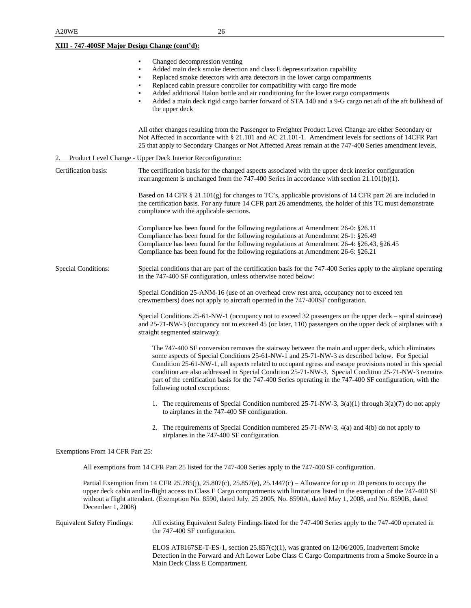**XIII - 747-400SF Major Design Change (cont'd):**

|                                    | Changed decompression venting<br>٠<br>Added main deck smoke detection and class E depressurization capability<br>٠<br>Replaced smoke detectors with area detectors in the lower cargo compartments<br>Replaced cabin pressure controller for compatibility with cargo fire mode<br>Added additional Halon bottle and air conditioning for the lower cargo compartments<br>Added a main deck rigid cargo barrier forward of STA 140 and a 9-G cargo net aft of the aft bulkhead of<br>٠<br>the upper deck                                                        |
|------------------------------------|-----------------------------------------------------------------------------------------------------------------------------------------------------------------------------------------------------------------------------------------------------------------------------------------------------------------------------------------------------------------------------------------------------------------------------------------------------------------------------------------------------------------------------------------------------------------|
|                                    | All other changes resulting from the Passenger to Freighter Product Level Change are either Secondary or<br>Not Affected in accordance with § 21.101 and AC 21.101-1. Amendment levels for sections of 14CFR Part<br>25 that apply to Secondary Changes or Not Affected Areas remain at the 747-400 Series amendment levels.                                                                                                                                                                                                                                    |
|                                    | Product Level Change - Upper Deck Interior Reconfiguration:                                                                                                                                                                                                                                                                                                                                                                                                                                                                                                     |
| Certification basis:               | The certification basis for the changed aspects associated with the upper deck interior configuration<br>rearrangement is unchanged from the 747-400 Series in accordance with section 21.101(b)(1).                                                                                                                                                                                                                                                                                                                                                            |
|                                    | Based on 14 CFR § 21.101(g) for changes to TC's, applicable provisions of 14 CFR part 26 are included in<br>the certification basis. For any future 14 CFR part 26 amendments, the holder of this TC must demonstrate<br>compliance with the applicable sections.                                                                                                                                                                                                                                                                                               |
|                                    | Compliance has been found for the following regulations at Amendment 26-0: §26.11<br>Compliance has been found for the following regulations at Amendment 26-1: §26.49<br>Compliance has been found for the following regulations at Amendment 26-4: §26.43, §26.45<br>Compliance has been found for the following regulations at Amendment 26-6: §26.21                                                                                                                                                                                                        |
| <b>Special Conditions:</b>         | Special conditions that are part of the certification basis for the 747-400 Series apply to the airplane operating<br>in the 747-400 SF configuration, unless otherwise noted below:                                                                                                                                                                                                                                                                                                                                                                            |
|                                    | Special Condition 25-ANM-16 (use of an overhead crew rest area, occupancy not to exceed ten<br>crewmembers) does not apply to aircraft operated in the 747-400SF configuration.                                                                                                                                                                                                                                                                                                                                                                                 |
|                                    | Special Conditions 25-61-NW-1 (occupancy not to exceed 32 passengers on the upper deck – spiral staircase)<br>and 25-71-NW-3 (occupancy not to exceed 45 (or later, 110) passengers on the upper deck of airplanes with a<br>straight segmented stairway):                                                                                                                                                                                                                                                                                                      |
|                                    | The 747-400 SF conversion removes the stairway between the main and upper deck, which eliminates<br>some aspects of Special Conditions 25-61-NW-1 and 25-71-NW-3 as described below. For Special<br>Condition 25-61-NW-1, all aspects related to occupant egress and escape provisions noted in this special<br>condition are also addressed in Special Condition 25-71-NW-3. Special Condition 25-71-NW-3 remains<br>part of the certification basis for the 747-400 Series operating in the 747-400 SF configuration, with the<br>following noted exceptions: |
|                                    | 1. The requirements of Special Condition numbered 25-71-NW-3, $3(a)(1)$ through $3(a)(7)$ do not apply<br>to airplanes in the 747-400 SF configuration.                                                                                                                                                                                                                                                                                                                                                                                                         |
|                                    | 2. The requirements of Special Condition numbered 25-71-NW-3, 4(a) and 4(b) do not apply to<br>airplanes in the 747-400 SF configuration.                                                                                                                                                                                                                                                                                                                                                                                                                       |
| Exemptions From 14 CFR Part 25:    |                                                                                                                                                                                                                                                                                                                                                                                                                                                                                                                                                                 |
|                                    | All exemptions from 14 CFR Part 25 listed for the 747-400 Series apply to the 747-400 SF configuration.                                                                                                                                                                                                                                                                                                                                                                                                                                                         |
| December 1, 2008)                  | Partial Exemption from 14 CFR 25.785(j), 25.807(c), 25.857(e), 25.1447(c) – Allowance for up to 20 persons to occupy the<br>upper deck cabin and in-flight access to Class E Cargo compartments with limitations listed in the exemption of the 747-400 SF<br>without a flight attendant. (Exemption No. 8590, dated July, 25 2005, No. 8590A, dated May 1, 2008, and No. 8590B, dated                                                                                                                                                                          |
| <b>Equivalent Safety Findings:</b> | All existing Equivalent Safety Findings listed for the 747-400 Series apply to the 747-400 operated in<br>the 747-400 SF configuration.                                                                                                                                                                                                                                                                                                                                                                                                                         |
|                                    | ELOS AT8167SE-T-ES-1, section 25.857(c)(1), was granted on 12/06/2005, Inadvertent Smoke                                                                                                                                                                                                                                                                                                                                                                                                                                                                        |

Detection in the Forward and Aft Lower Lobe Class C Cargo Compartments from a Smoke Source in a Main Deck Class E Compartment.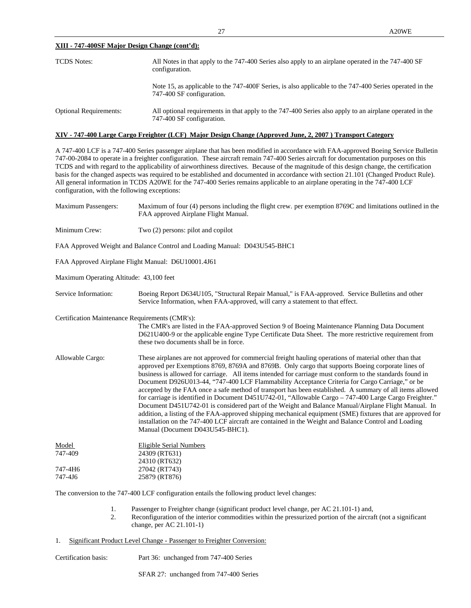### **XIII - 747-400SF Major Design Change (cont'd):**

| <b>TCDS</b> Notes:            | All Notes in that apply to the 747-400 Series also apply to an airplane operated in the 747-400 SF<br>configuration.                 |  |  |
|-------------------------------|--------------------------------------------------------------------------------------------------------------------------------------|--|--|
|                               | Note 15, as applicable to the 747-400F Series, is also applicable to the 747-400 Series operated in the<br>747-400 SF configuration. |  |  |
| <b>Optional Requirements:</b> | All optional requirements in that apply to the 747-400 Series also apply to an airplane operated in the<br>747-400 SF configuration. |  |  |

### **XIV - 747-400 Large Cargo Freighter (LCF) Major Design Change (Approved June, 2, 2007 ) Transport Category**

A 747-400 LCF is a 747-400 Series passenger airplane that has been modified in accordance with FAA-approved Boeing Service Bulletin 747-00-2084 to operate in a freighter configuration. These aircraft remain 747-400 Series aircraft for documentation purposes on this TCDS and with regard to the applicability of airworthiness directives. Because of the magnitude of this design change, the certification basis for the changed aspects was required to be established and documented in accordance with section 21.101 (Changed Product Rule). All general information in TCDS A20WE for the 747-400 Series remains applicable to an airplane operating in the 747-400 LCF configuration, with the following exceptions:

Maximum Passengers: Maximum of four (4) persons including the flight crew. per exemption 8769C and limitations outlined in the FAA approved Airplane Flight Manual.

Minimum Crew: Two (2) persons: pilot and copilot

FAA Approved Weight and Balance Control and Loading Manual: D043U545-BHC1

FAA Approved Airplane Flight Manual: D6U10001.4J61

Maximum Operating Altitude: 43,100 feet

Service Information: Boeing Report D634U105, "Structural Repair Manual," is FAA-approved. Service Bulletins and other Service Information, when FAA-approved, will carry a statement to that effect.

Certification Maintenance Requirements (CMR's):

The CMR's are listed in the FAA-approved Section 9 of Boeing Maintenance Planning Data Document D621U400-9 or the applicable engine Type Certificate Data Sheet. The more restrictive requirement from these two documents shall be in force.

Allowable Cargo: These airplanes are not approved for commercial freight hauling operations of material other than that approved per Exemptions 8769, 8769A and 8769B. Only cargo that supports Boeing corporate lines of business is allowed for carriage. All items intended for carriage must conform to the standards found in Document D926U013-44, "747-400 LCF Flammability Acceptance Criteria for Cargo Carriage," or be accepted by the FAA once a safe method of transport has been established. A summary of all items allowed for carriage is identified in Document D451U742-01, "Allowable Cargo – 747-400 Large Cargo Freighter." Document D451U742-01 is considered part of the Weight and Balance Manual/Airplane Flight Manual. In addition, a listing of the FAA-approved shipping mechanical equipment (SME) fixtures that are approved for installation on the 747-400 LCF aircraft are contained in the Weight and Balance Control and Loading Manual (Document D043U545-BHC1).

| Model   | Eligible Serial Numbers |
|---------|-------------------------|
| 747-409 | 24309 (RT631)           |
|         | 24310 (RT632)           |
| 747-4H6 | 27042 (RT743)           |
| 747-416 | 25879 (RT876)           |
|         |                         |

The conversion to the 747-400 LCF configuration entails the following product level changes:

- 1. Passenger to Freighter change (significant product level change, per AC 21.101-1) and,
- 2. Reconfiguration of the interior commodities within the pressurized portion of the aircraft (not a significant change, per AC 21.101-1)
- 1. Significant Product Level Change Passenger to Freighter Conversion:

Certification basis: Part 36: unchanged from 747-400 Series

SFAR 27: unchanged from 747-400 Series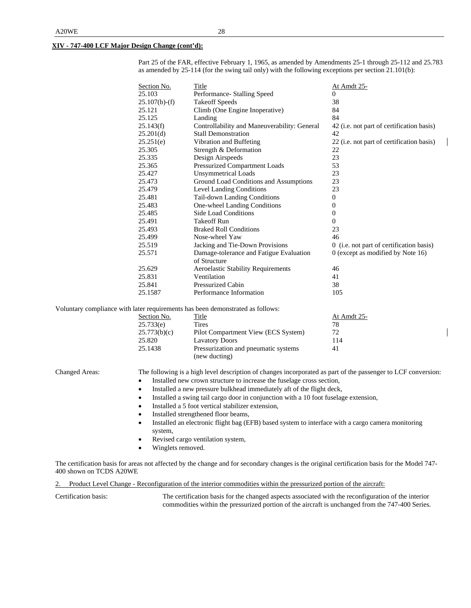### **XIV - 747-400 LCF Major Design Change (cont'd):**

Part 25 of the FAR, effective February 1, 1965, as amended by Amendments 25-1 through 25-112 and 25.783 as amended by 25-114 (for the swing tail only) with the following exceptions per section 21.101(b):

| Section No.   | Title                                        | <u>At Amdt 25-</u>                        |
|---------------|----------------------------------------------|-------------------------------------------|
| 25.103        | Performance- Stalling Speed                  | $\theta$                                  |
| 25.107(b)-(f) | <b>Takeoff Speeds</b>                        | 38                                        |
| 25.121        | Climb (One Engine Inoperative)               | 84                                        |
| 25.125        | Landing                                      | 84                                        |
| 25.143(f)     | Controllability and Maneuverability: General | 42 (i.e. not part of certification basis) |
| 25.201(d)     | <b>Stall Demonstration</b>                   | 42                                        |
| 25.251(e)     | Vibration and Buffeting                      | 22 (i.e. not part of certification basis) |
| 25.305        | Strength & Deformation                       | 22                                        |
| 25.335        | Design Airspeeds                             | 23                                        |
| 25.365        | Pressurized Compartment Loads                | 53                                        |
| 25.427        | <b>Unsymmetrical Loads</b>                   | 23                                        |
| 25.473        | Ground Load Conditions and Assumptions       | 23                                        |
| 25.479        | <b>Level Landing Conditions</b>              | 23                                        |
| 25.481        | Tail-down Landing Conditions                 | $\overline{0}$                            |
| 25.483        | One-wheel Landing Conditions                 | $\Omega$                                  |
| 25.485        | Side Load Conditions                         | $\overline{0}$                            |
| 25.491        | <b>Takeoff Run</b>                           | $\Omega$                                  |
| 25.493        | <b>Braked Roll Conditions</b>                | 23                                        |
| 25.499        | Nose-wheel Yaw                               | 46                                        |
| 25.519        | Jacking and Tie-Down Provisions              | 0 (i.e. not part of certification basis)  |
| 25.571        | Damage-tolerance and Fatigue Evaluation      | 0 (except as modified by Note 16)         |
|               | of Structure                                 |                                           |
| 25.629        | <b>Aeroelastic Stability Requirements</b>    | 46                                        |
| 25.831        | Ventilation                                  | 41                                        |
| 25.841        | Pressurized Cabin                            | 38                                        |
| 25.1587       | Performance Information                      | 105                                       |

Voluntary compliance with later requirements has been demonstrated as follows:

| Section No.  | Title                                | At Amdt 25- |
|--------------|--------------------------------------|-------------|
| 25.733(e)    | Tires                                | 78          |
| 25.773(b)(c) | Pilot Compartment View (ECS System)  | 72          |
| 25.820       | <b>Lavatory Doors</b>                | 114         |
| 25.1438      | Pressurization and pneumatic systems | 41          |
|              | (new ducting)                        |             |

Changed Areas: The following is a high level description of changes incorporated as part of the passenger to LCF conversion:

- Installed new crown structure to increase the fuselage cross section,
- Installed a new pressure bulkhead immediately aft of the flight deck,
- Installed a swing tail cargo door in conjunction with a 10 foot fuselage extension,
- Installed a 5 foot vertical stabilizer extension,
- Installed strengthened floor beams,
- Installed an electronic flight bag (EFB) based system to interface with a cargo camera monitoring system,
- Revised cargo ventilation system,
- Winglets removed.

The certification basis for areas not affected by the change and for secondary changes is the original certification basis for the Model 747- 400 shown on TCDS A20WE

2. Product Level Change - Reconfiguration of the interior commodities within the pressurized portion of the aircraft:

Certification basis: The certification basis for the changed aspects associated with the reconfiguration of the interior commodities within the pressurized portion of the aircraft is unchanged from the 747-400 Series.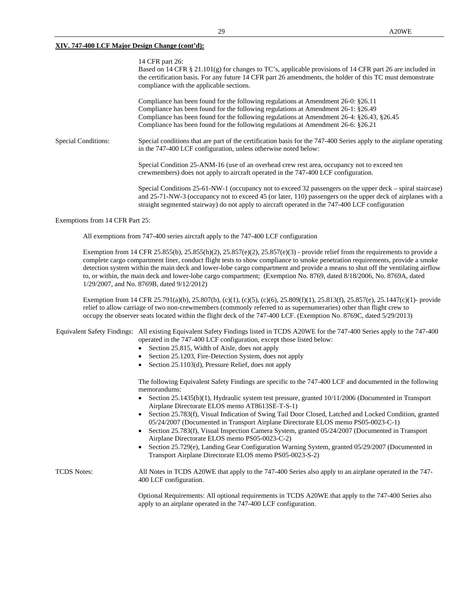|                            | 14 CFR part 26:<br>Based on 14 CFR § 21.101(g) for changes to TC's, applicable provisions of 14 CFR part 26 are included in<br>the certification basis. For any future 14 CFR part 26 amendments, the holder of this TC must demonstrate<br>compliance with the applicable sections.                                                                                   |
|----------------------------|------------------------------------------------------------------------------------------------------------------------------------------------------------------------------------------------------------------------------------------------------------------------------------------------------------------------------------------------------------------------|
|                            | Compliance has been found for the following regulations at Amendment $26-0$ : $\S 26.11$<br>Compliance has been found for the following regulations at Amendment $26-1$ : $\S 26.49$<br>Compliance has been found for the following regulations at Amendment 26-4: §26.43, §26.45<br>Compliance has been found for the following regulations at Amendment 26-6: §26.21 |
| <b>Special Conditions:</b> | Special conditions that are part of the certification basis for the 747-400 Series apply to the airplane operating<br>in the 747-400 LCF configuration, unless otherwise noted below:                                                                                                                                                                                  |
|                            | Special Condition 25-ANM-16 (use of an overhead crew rest area, occupancy not to exceed ten<br>crewmembers) does not apply to aircraft operated in the 747-400 LCF configuration.                                                                                                                                                                                      |
|                            | Special Conditions 25-61-NW-1 (occupancy not to exceed 32 passengers on the upper deck – spiral staircase)<br>and 25-71-NW-3 (occupancy not to exceed 45 (or later, 110) passengers on the upper deck of airplanes with a                                                                                                                                              |

Exemptions from 14 CFR Part 25:

All exemptions from 747-400 series aircraft apply to the 747-400 LCF configuration

Exemption from 14 CFR 25.855(b), 25.855(h)(2), 25.857(e)(2), 25.857(e)(3) - provide relief from the requirements to provide a complete cargo compartment liner, conduct flight tests to show compliance to smoke penetration requirements, provide a smoke detection system within the main deck and lower-lobe cargo compartment and provide a means to shut off the ventilating airflow to, or within, the main deck and lower-lobe cargo compartment; (Exemption No. 8769, dated 8/18/2006, No. 8769A, dated 1/29/2007, and No. 8769B, dated 9/12/2012)

straight segmented stairway) do not apply to aircraft operated in the 747-400 LCF configuration

Exemption from 14 CFR 25.791(a)(b), 25.807(b), (c)(1), (c)(5), (c)(6), 25.809(f)(1), 25.813(f), 25.857(e), 25.1447(c)(1)- provide relief to allow carriage of two non-crewmembers (commonly referred to as supernumeraries) other than flight crew to occupy the observer seats located within the flight deck of the 747-400 LCF. (Exemption No. 8769C, dated 5/29/2013)

Equivalent Safety Findings: All existing Equivalent Safety Findings listed in TCDS A20WE for the 747-400 Series apply to the 747-400 operated in the 747-400 LCF configuration, except those listed below:

- Section 25.815, Width of Aisle, does not apply
- Section 25.1203, Fire-Detection System, does not apply
- Section 25.1103(d), Pressure Relief, does not apply

The following Equivalent Safety Findings are specific to the 747-400 LCF and documented in the following memorandums:

- Section 25.1435(b)(1), Hydraulic system test pressure, granted 10/11/2006 (Documented in Transport Airplane Directorate ELOS memo AT8613SE-T-S-1)
- Section 25.783(f), Visual Indication of Swing Tail Door Closed, Latched and Locked Condition, granted 05/24/2007 (Documented in Transport Airplane Directorate ELOS memo PS05-0023-C-1)
- Section 25.783(f), Visual Inspection Camera System, granted 05/24/2007 (Documented in Transport Airplane Directorate ELOS memo PS05-0023-C-2)
- Section 25.729(e), Landing Gear Configuration Warning System, granted 05/29/2007 (Documented in Transport Airplane Directorate ELOS memo PS05-0023-S-2)

TCDS Notes: All Notes in TCDS A20WE that apply to the 747-400 Series also apply to an airplane operated in the 747- 400 LCF configuration.

> Optional Requirements: All optional requirements in TCDS A20WE that apply to the 747-400 Series also apply to an airplane operated in the 747-400 LCF configuration.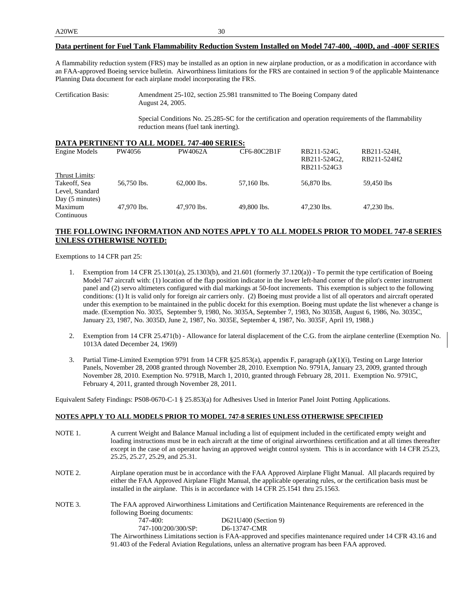### **Data pertinent for Fuel Tank Flammability Reduction System Installed on Model 747-400, -400D, and -400F SERIES**

A flammability reduction system (FRS) may be installed as an option in new airplane production, or as a modification in accordance with an FAA-approved Boeing service bulletin. Airworthiness limitations for the FRS are contained in section 9 of the applicable Maintenance Planning Data document for each airplane model incorporating the FRS.

Special Conditions No. 25.285-SC for the certification and operation requirements of the flammability reduction means (fuel tank inerting).

| <b>DATA PERTINENT TO ALL MODEL 747-400 SERIES:</b> |             |               |             |                                            |                            |  |  |
|----------------------------------------------------|-------------|---------------|-------------|--------------------------------------------|----------------------------|--|--|
| Engine Models                                      | PW4056      | PW4062A       | CF6-80C2B1F | RB211-524G.<br>RB211-524G2,<br>RB211-524G3 | RB211-524H,<br>RB211-524H2 |  |  |
| Thrust Limits:<br>Takeoff, Sea<br>Level, Standard  | 56,750 lbs. | $62,000$ lbs. | 57,160 lbs. | 56,870 lbs.                                | 59,450 lbs                 |  |  |
| Day (5 minutes)<br>Maximum<br>Continuous           | 47.970 lbs. | 47.970 lbs.   | 49,800 lbs. | 47,230 lbs.                                | 47,230 lbs.                |  |  |

# **THE FOLLOWING INFORMATION AND NOTES APPLY TO ALL MODELS PRIOR TO MODEL 747-8 SERIES UNLESS OTHERWISE NOTED:**

Exemptions to 14 CFR part 25:

- 1. Exemption from 14 CFR 25.1301(a), 25.1303(b), and 21.601 (formerly 37.120(a)) To permit the type certification of Boeing Model 747 aircraft with: (1) location of the flap position indicator in the lower left-hand corner of the pilot's center instrument panel and (2) servo altimeters configured with dial markings at 50-foot increments. This exemption is subject to the following conditions: (1) It is valid only for foreign air carriers only. (2) Boeing must provide a list of all operators and aircraft operated under this exemption to be maintained in the public docekt for this exemption. Boeing must update the list whenever a change is made. (Exemption No. 3035, September 9, 1980, No. 3035A, September 7, 1983, No 3035B, August 6, 1986, No. 3035C, January 23, 1987, No. 3035D, June 2, 1987, No. 3035E, September 4, 1987, No. 3035F, April 19, 1988.)
- 2. Exemption from 14 CFR 25.471(b) Allowance for lateral displacement of the C.G. from the airplane centerline (Exemption No. 1013A dated December 24, 1969)
- 3. Partial Time-Limited Exemption 9791 from 14 CFR §25.853(a), appendix F, paragraph (a)(1)(i), Testing on Large Interior Panels, November 28, 2008 granted through November 28, 2010. Exemption No. 9791A, January 23, 2009, granted through November 28, 2010. Exemption No. 9791B, March 1, 2010, granted through February 28, 2011. Exemption No. 9791C, February 4, 2011, granted through November 28, 2011.

Equivalent Safety Findings: PS08-0670-C-1 § 25.853(a) for Adhesives Used in Interior Panel Joint Potting Applications.

### **NOTES APPLY TO ALL MODELS PRIOR TO MODEL 747-8 SERIES UNLESS OTHERWISE SPECIFIED**

- NOTE 1. A current Weight and Balance Manual including a list of equipment included in the certificated empty weight and loading instructions must be in each aircraft at the time of original airworthiness certification and at all times thereafter except in the case of an operator having an approved weight control system. This is in accordance with 14 CFR 25.23, 25.25, 25.27, 25.29, and 25.31.
- NOTE 2. Airplane operation must be in accordance with the FAA Approved Airplane Flight Manual. All placards required by either the FAA Approved Airplane Flight Manual, the applicable operating rules, or the certification basis must be installed in the airplane. This is in accordance with 14 CFR 25.1541 thru 25.1563.
- NOTE 3. The FAA approved Airworthiness Limitations and Certification Maintenance Requirements are referenced in the following Boeing documents: 747-400: D621U400 (Section 9) 747-100/200/300/SP: D6-13747-CMR

The Airworthiness Limitations section is FAA-approved and specifies maintenance required under 14 CFR 43.16 and 91.403 of the Federal Aviation Regulations, unless an alternative program has been FAA approved.

Certification Basis: Amendment 25-102, section 25.981 transmitted to The Boeing Company dated August 24, 2005.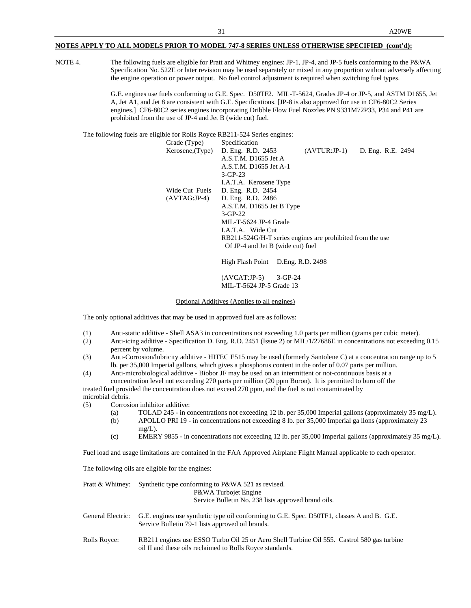NOTE 4. The following fuels are eligible for Pratt and Whitney engines: JP-1, JP-4, and JP-5 fuels conforming to the P&WA Specification No. 522E or later revision may be used separately or mixed in any proportion without adversely affecting the engine operation or power output. No fuel control adjustment is required when switching fuel types.

> G.E. engines use fuels conforming to G.E. Spec. D50TF2. MIL-T-5624, Grades JP-4 or JP-5, and ASTM D1655, Jet A, Jet A1, and Jet 8 are consistent with G.E. Specifications. [JP-8 is also approved for use in CF6-80C2 Series engines.] CF6-80C2 series engines incorporating Dribble Flow Fuel Nozzles PN 9331M72P33, P34 and P41 are prohibited from the use of JP-4 and Jet B (wide cut) fuel.

The following fuels are eligible for Rolls Royce RB211-524 Series engines:

| Grade (Type)     | Specification                                             |                |                   |
|------------------|-----------------------------------------------------------|----------------|-------------------|
| Kerosene, (Type) | D. Eng. R.D. 2453                                         | $(AVTUR:JP-1)$ | D. Eng. R.E. 2494 |
|                  | A.S.T.M. D1655 Jet A                                      |                |                   |
|                  | A.S.T.M. D1655 Jet A-1                                    |                |                   |
|                  | $3 - GP-23$                                               |                |                   |
|                  | I.A.T.A. Kerosene Type                                    |                |                   |
| Wide Cut Fuels   | D. Eng. R.D. 2454                                         |                |                   |
| $(AVTAG:JP-4)$   | D. Eng. R.D. 2486                                         |                |                   |
|                  | A.S.T.M. D1655 Jet B Type                                 |                |                   |
|                  | $3 - GP-22$                                               |                |                   |
|                  | MIL-T-5624 JP-4 Grade                                     |                |                   |
|                  | LA.T.A. Wide Cut                                          |                |                   |
|                  | RB211-524G/H-T series engines are prohibited from the use |                |                   |
|                  | Of JP-4 and Jet B (wide cut) fuel                         |                |                   |
|                  |                                                           |                |                   |

High Flash Point D.Eng. R.D. 2498

(AVCAT:JP-5) 3-GP-24 MIL-T-5624 JP-5 Grade 13

Optional Additives (Applies to all engines)

The only optional additives that may be used in approved fuel are as follows:

- (1) Anti-static additive Shell ASA3 in concentrations not exceeding 1.0 parts per million (grams per cubic meter).
- (2) Anti-icing additive Specification D. Eng. R.D. 2451 (Issue 2) or MIL/1/27686E in concentrations not exceeding 0.15 percent by volume.
- (3) Anti-Corrosion/lubricity additive HITEC E515 may be used (formerly Santolene C) at a concentration range up to 5 lb. per 35,000 Imperial gallons, which gives a phosphorus content in the order of 0.07 parts per million.
- (4) Anti-microbiological additive Biobor JF may be used on an intermittent or not-continuous basis at a concentration level not exceeding 270 parts per million (20 ppm Boron). It is permitted to burn off the

treated fuel provided the concentration does not exceed 270 ppm, and the fuel is not contaminated by microbial debris.

- (5) Corrosion inhibitor additive:
	- (a) TOLAD 245 in concentrations not exceeding 12 lb. per 35,000 Imperial gallons (approximately 35 mg/L).
	- (b) APOLLO PRI 19 in concentrations not exceeding 8 lb. per 35,000 Imperial ga llons (approximately 23
	- $mg/L$ ). (c) EMERY 9855 - in concentrations not exceeding 12 lb. per 35,000 Imperial gallons (approximately 35 mg/L).

Fuel load and usage limitations are contained in the FAA Approved Airplane Flight Manual applicable to each operator.

The following oils are eligible for the engines:

| Pratt & Whitney:  | Synthetic type conforming to P&WA 521 as revised.<br>P&WA Turbojet Engine<br>Service Bulletin No. 238 lists approved brand oils.                        |
|-------------------|---------------------------------------------------------------------------------------------------------------------------------------------------------|
| General Electric: | G.E. engines use synthetic type oil conforming to G.E. Spec. D50TF1, classes A and B. G.E.<br>Service Bulletin 79-1 lists approved oil brands.          |
| Rolls Royce:      | RB211 engines use ESSO Turbo Oil 25 or Aero Shell Turbine Oil 555. Castrol 580 gas turbine<br>oil II and these oils reclaimed to Rolls Royce standards. |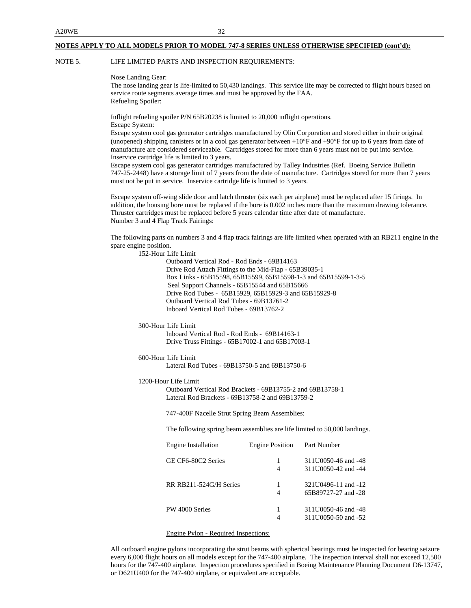### NOTE 5. LIFE LIMITED PARTS AND INSPECTION REQUIREMENTS:

Nose Landing Gear:

The nose landing gear is life-limited to 50,430 landings. This service life may be corrected to flight hours based on service route segments average times and must be approved by the FAA. Refueling Spoiler:

Inflight refueling spoiler P/N 65B20238 is limited to 20,000 inflight operations.

Escape System:

Escape system cool gas generator cartridges manufactured by Olin Corporation and stored either in their original (unopened) shipping canisters or in a cool gas generator between +10°F and +90°F for up to 6 years from date of manufacture are considered serviceable. Cartridges stored for more than 6 years must not be put into service. Inservice cartridge life is limited to 3 years.

Escape system cool gas generator cartridges manufactured by Talley Industries (Ref. Boeing Service Bulletin 747-25-2448) have a storage limit of 7 years from the date of manufacture. Cartridges stored for more than 7 years must not be put in service. Inservice cartridge life is limited to 3 years.

Escape system off-wing slide door and latch thruster (six each per airplane) must be replaced after 15 firings. In addition, the housing bore must be replaced if the bore is 0.002 inches more than the maximum drawing tolerance. Thruster cartridges must be replaced before 5 years calendar time after date of manufacture. Number 3 and 4 Flap Track Fairings:

The following parts on numbers 3 and 4 flap track fairings are life limited when operated with an RB211 engine in the spare engine position.

152-Hour Life Limit

Outboard Vertical Rod - Rod Ends - 69B14163 Drive Rod Attach Fittings to the Mid-Flap - 65B39035-1 Box Links - 65B15598, 65B15599, 65B15598-1-3 and 65B15599-1-3-5 Seal Support Channels - 65B15544 and 65B15666 Drive Rod Tubes - 65B15929, 65B15929-3 and 65B15929-8 Outboard Vertical Rod Tubes - 69B13761-2 Inboard Vertical Rod Tubes - 69B13762-2

300-Hour Life Limit

Inboard Vertical Rod - Rod Ends - 69B14163-1 Drive Truss Fittings - 65B17002-1 and 65B17003-1

600-Hour Life Limit

Lateral Rod Tubes - 69B13750-5 and 69B13750-6

1200-Hour Life Limit

Outboard Vertical Rod Brackets - 69B13755-2 and 69B13758-1 Lateral Rod Brackets - 69B13758-2 and 69B13759-2

747-400F Nacelle Strut Spring Beam Assemblies:

The following spring beam assemblies are life limited to 50,000 landings.

| Engine Installation    | <b>Engine Position</b> | Part Number         |
|------------------------|------------------------|---------------------|
| GE CF6-80C2 Series     | 1                      | 311U0050-46 and -48 |
|                        | 4                      | 311U0050-42 and -44 |
| RR RB211-524G/H Series | 1                      | 321U0496-11 and -12 |
|                        | 4                      | 65B89727-27 and -28 |
| PW 4000 Series         |                        | 311U0050-46 and -48 |
|                        |                        | 311U0050-50 and -52 |

Engine Pylon - Required Inspections:

All outboard engine pylons incorporating the strut beams with spherical bearings must be inspected for bearing seizure every 6,000 flight hours on all models except for the 747-400 airplane. The inspection interval shall not exceed 12,500 hours for the 747-400 airplane. Inspection procedures specified in Boeing Maintenance Planning Document D6-13747, or D621U400 for the 747-400 airplane, or equivalent are acceptable.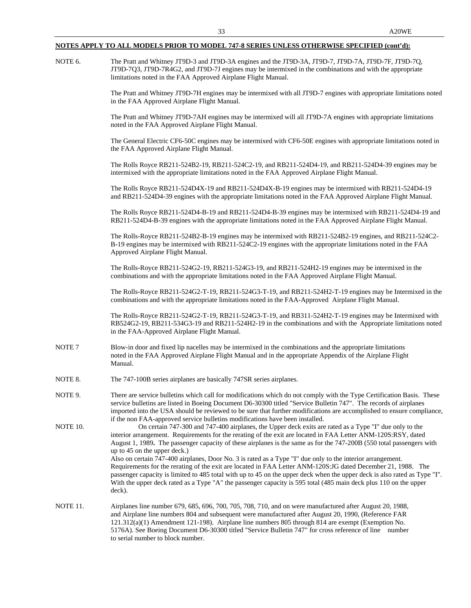NOTE 6. The Pratt and Whitney JT9D-3 and JT9D-3A engines and the JT9D-3A, JT9D-7, JT9D-7A, JT9D-7F, JT9D-7Q, JT9D-7Q3, JT9D-7R4G2, and JT9D-7J engines may be intermixed in the combinations and with the appropriate limitations noted in the FAA Approved Airplane Flight Manual. The Pratt and Whitney JT9D-7H engines may be intermixed with all JT9D-7 engines with appropriate limitations noted in the FAA Approved Airplane Flight Manual. The Pratt and Whitney JT9D-7AH engines may be intermixed will all JT9D-7A engines with appropriate limitations noted in the FAA Approved Airplane Flight Manual. The General Electric CF6-50C engines may be intermixed with CF6-50E engines with appropriate limitations noted in the FAA Approved Airplane Flight Manual. The Rolls Royce RB211-524B2-19, RB211-524C2-19, and RB211-524D4-19, and RB211-524D4-39 engines may be intermixed with the appropriate limitations noted in the FAA Approved Airplane Flight Manual. The Rolls Royce RB211-524D4X-19 and RB211-524D4X-B-19 engines may be intermixed with RB211-524D4-19 and RB211-524D4-39 engines with the appropriate limitations noted in the FAA Approved Airplane Flight Manual. The Rolls Royce RB211-524D4-B-19 and RB211-524D4-B-39 engines may be intermixed with RB211-524D4-19 and RB211-524D4-B-39 engines with the appropriate limitations noted in the FAA Approved Airplane Flight Manual. The Rolls-Royce RB211-524B2-B-19 engines may be intermixed with RB211-524B2-19 engines, and RB211-524C2- B-19 engines may be intermixed with RB211-524C2-19 engines with the appropriate limitations noted in the FAA Approved Airplane Flight Manual. The Rolls-Royce RB211-524G2-19, RB211-524G3-19, and RB211-524H2-19 engines may be intermixed in the combinations and with the appropriate limitations noted in the FAA Approved Airplane Flight Manual. The Rolls-Royce RB211-524G2-T-19, RB211-524G3-T-19, and RB211-524H2-T-19 engines may be Intermixed in the combinations and with the appropriate limitations noted in the FAA-Approved Airplane Flight Manual. The Rolls-Royce RB211-524G2-T-19, RB211-524G3-T-19, and RB311-524H2-T-19 engines may be Intermixed with RB524G2-19, RB211-534G3-19 and RB211-524H2-19 in the combinations and with the Appropriate limitations noted in the FAA-Approved Airplane Flight Manual. NOTE 7 Blow-in door and fixed lip nacelles may be intermixed in the combinations and the appropriate limitations noted in the FAA Approved Airplane Flight Manual and in the appropriate Appendix of the Airplane Flight Manual. NOTE 8. The 747-100B series airplanes are basically 747SR series airplanes. NOTE 9. There are service bulletins which call for modifications which do not comply with the Type Certification Basis. These service bulletins are listed in Boeing Document D6-30300 titled "Service Bulletin 747". The records of airplanes imported into the USA should be reviewed to be sure that further modifications are accomplished to ensure compliance, if the non FAA-approved service bulletins modifications have been installed. NOTE 10. On certain 747-300 and 747-400 airplanes, the Upper deck exits are rated as a Type "I" due only to the interior arrangement. Requirements for the rerating of the exit are located in FAA Letter ANM-120S:RSY, dated August 1, 1989**.** The passenger capacity of these airplanes is the same as for the 747-200B (550 total passengers with up to 45 on the upper deck.) Also on certain 747-400 airplanes, Door No. 3 is rated as a Type "I" due only to the interior arrangement. Requirements for the rerating of the exit are located in FAA Letter ANM-120S:JG dated December 21, 1988. The passenger capacity is limited to 485 total with up to 45 on the upper deck when the upper deck is also rated as Type "I". With the upper deck rated as a Type "A" the passenger capacity is 595 total (485 main deck plus 110 on the upper deck). NOTE 11. Airplanes line number 679, 685, 696, 700, 705, 708, 710, and on were manufactured after August 20, 1988, and Airplane line numbers 804 and subsequent were manufactured after August 20, 1990, (Reference FAR 121.312(a)(1) Amendment 121-198). Airplane line numbers 805 through 814 are exempt (Exemption No. 5176A). See Boeing Document D6-30300 titled "Service Bulletin 747" for cross reference of line number to serial number to block number.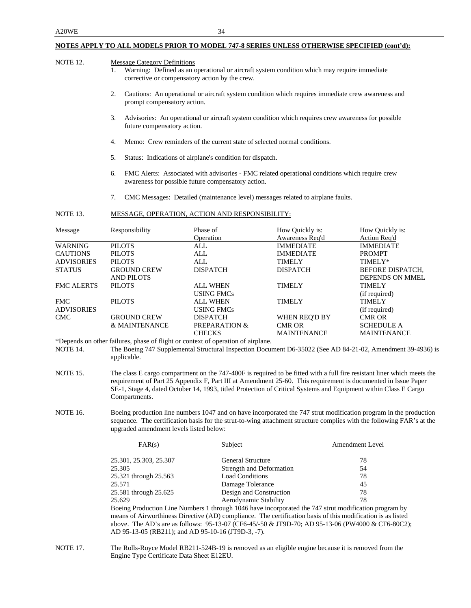| <b>NOTE 12.</b>   | <b>Message Category Definitions</b><br>Warning: Defined as an operational or aircraft system condition which may require immediate<br>1.<br>corrective or compensatory action by the crew.                                                                                                                                                                                   |                                                                                                                                                        |                                    |                                                                                                                                                                                                                                            |  |  |
|-------------------|------------------------------------------------------------------------------------------------------------------------------------------------------------------------------------------------------------------------------------------------------------------------------------------------------------------------------------------------------------------------------|--------------------------------------------------------------------------------------------------------------------------------------------------------|------------------------------------|--------------------------------------------------------------------------------------------------------------------------------------------------------------------------------------------------------------------------------------------|--|--|
|                   | 2.                                                                                                                                                                                                                                                                                                                                                                           | Cautions: An operational or aircraft system condition which requires immediate crew awareness and<br>prompt compensatory action.                       |                                    |                                                                                                                                                                                                                                            |  |  |
|                   | 3.<br>future compensatory action.                                                                                                                                                                                                                                                                                                                                            | Advisories: An operational or aircraft system condition which requires crew awareness for possible                                                     |                                    |                                                                                                                                                                                                                                            |  |  |
|                   | 4.                                                                                                                                                                                                                                                                                                                                                                           | Memo: Crew reminders of the current state of selected normal conditions.                                                                               |                                    |                                                                                                                                                                                                                                            |  |  |
|                   | 5.                                                                                                                                                                                                                                                                                                                                                                           | Status: Indications of airplane's condition for dispatch.                                                                                              |                                    |                                                                                                                                                                                                                                            |  |  |
|                   | 6.                                                                                                                                                                                                                                                                                                                                                                           | FMC Alerts: Associated with advisories - FMC related operational conditions which require crew<br>awareness for possible future compensatory action.   |                                    |                                                                                                                                                                                                                                            |  |  |
|                   | 7.                                                                                                                                                                                                                                                                                                                                                                           | CMC Messages: Detailed (maintenance level) messages related to airplane faults.                                                                        |                                    |                                                                                                                                                                                                                                            |  |  |
| NOTE 13.          |                                                                                                                                                                                                                                                                                                                                                                              | MESSAGE, OPERATION, ACTION AND RESPONSIBILITY:                                                                                                         |                                    |                                                                                                                                                                                                                                            |  |  |
| Message           | Responsibility                                                                                                                                                                                                                                                                                                                                                               | Phase of<br>Operation                                                                                                                                  | How Quickly is:<br>Awareness Req'd | How Quickly is:<br><b>Action Req'd</b>                                                                                                                                                                                                     |  |  |
| <b>WARNING</b>    | <b>PILOTS</b>                                                                                                                                                                                                                                                                                                                                                                | ALL                                                                                                                                                    | <b>IMMEDIATE</b>                   | <b>IMMEDIATE</b>                                                                                                                                                                                                                           |  |  |
| <b>CAUTIONS</b>   | <b>PILOTS</b>                                                                                                                                                                                                                                                                                                                                                                | ALL                                                                                                                                                    | <b>IMMEDIATE</b>                   | <b>PROMPT</b>                                                                                                                                                                                                                              |  |  |
| <b>ADVISORIES</b> | <b>PILOTS</b>                                                                                                                                                                                                                                                                                                                                                                | <b>ALL</b>                                                                                                                                             | <b>TIMELY</b>                      | TIMELY*                                                                                                                                                                                                                                    |  |  |
|                   |                                                                                                                                                                                                                                                                                                                                                                              |                                                                                                                                                        |                                    |                                                                                                                                                                                                                                            |  |  |
| <b>STATUS</b>     | <b>GROUND CREW</b>                                                                                                                                                                                                                                                                                                                                                           | <b>DISPATCH</b>                                                                                                                                        | <b>DISPATCH</b>                    | BEFORE DISPATCH,                                                                                                                                                                                                                           |  |  |
|                   | <b>AND PILOTS</b>                                                                                                                                                                                                                                                                                                                                                            |                                                                                                                                                        |                                    | <b>DEPENDS ON MMEL</b>                                                                                                                                                                                                                     |  |  |
| <b>FMC ALERTS</b> | <b>PILOTS</b>                                                                                                                                                                                                                                                                                                                                                                | <b>ALL WHEN</b>                                                                                                                                        | <b>TIMELY</b>                      | <b>TIMELY</b>                                                                                                                                                                                                                              |  |  |
|                   |                                                                                                                                                                                                                                                                                                                                                                              | USING FMCs                                                                                                                                             |                                    | (if required)                                                                                                                                                                                                                              |  |  |
| <b>FMC</b>        | <b>PILOTS</b>                                                                                                                                                                                                                                                                                                                                                                | ALL WHEN                                                                                                                                               | TIMELY                             | <b>TIMELY</b>                                                                                                                                                                                                                              |  |  |
| <b>ADVISORIES</b> |                                                                                                                                                                                                                                                                                                                                                                              | <b>USING FMCs</b>                                                                                                                                      |                                    | (if required)                                                                                                                                                                                                                              |  |  |
| <b>CMC</b>        | <b>GROUND CREW</b>                                                                                                                                                                                                                                                                                                                                                           | <b>DISPATCH</b>                                                                                                                                        | WHEN REQ'D BY                      | <b>CMR OR</b>                                                                                                                                                                                                                              |  |  |
|                   | & MAINTENANCE                                                                                                                                                                                                                                                                                                                                                                | <b>PREPARATION &amp;</b>                                                                                                                               | <b>CMR OR</b>                      | <b>SCHEDULE A</b>                                                                                                                                                                                                                          |  |  |
|                   |                                                                                                                                                                                                                                                                                                                                                                              |                                                                                                                                                        |                                    |                                                                                                                                                                                                                                            |  |  |
|                   |                                                                                                                                                                                                                                                                                                                                                                              | <b>CHECKS</b>                                                                                                                                          | <b>MAINTENANCE</b>                 | <b>MAINTENANCE</b>                                                                                                                                                                                                                         |  |  |
| NOTE 14.          | applicable.                                                                                                                                                                                                                                                                                                                                                                  | *Depends on other failures, phase of flight or context of operation of airplane.                                                                       |                                    | The Boeing 747 Supplemental Structural Inspection Document D6-35022 (See AD 84-21-02, Amendment 39-4936) is                                                                                                                                |  |  |
| NOTE 15.          | The class E cargo compartment on the 747-400F is required to be fitted with a full fire resistant liner which meets the<br>requirement of Part 25 Appendix F, Part III at Amendment 25-60. This requirement is documented in Issue Paper<br>SE-1, Stage 4, dated October 14, 1993, titled Protection of Critical Systems and Equipment within Class E Cargo<br>Compartments. |                                                                                                                                                        |                                    |                                                                                                                                                                                                                                            |  |  |
| <b>NOTE 16.</b>   | upgraded amendment levels listed below:                                                                                                                                                                                                                                                                                                                                      |                                                                                                                                                        |                                    | Boeing production line numbers 1047 and on have incorporated the 747 strut modification program in the production<br>sequence. The certification basis for the strut-to-wing attachment structure complies with the following FAR's at the |  |  |
|                   | FAR(s)                                                                                                                                                                                                                                                                                                                                                                       | Subject                                                                                                                                                |                                    | <b>Amendment Level</b>                                                                                                                                                                                                                     |  |  |
|                   | 25.301, 25.303, 25.307                                                                                                                                                                                                                                                                                                                                                       | General Structure                                                                                                                                      |                                    | 78                                                                                                                                                                                                                                         |  |  |
|                   | 25.305                                                                                                                                                                                                                                                                                                                                                                       | Strength and Deformation                                                                                                                               |                                    | 54                                                                                                                                                                                                                                         |  |  |
|                   | 25.321 through 25.563                                                                                                                                                                                                                                                                                                                                                        | <b>Load Conditions</b>                                                                                                                                 |                                    | 78                                                                                                                                                                                                                                         |  |  |
|                   | 25.571                                                                                                                                                                                                                                                                                                                                                                       |                                                                                                                                                        |                                    | 45                                                                                                                                                                                                                                         |  |  |
|                   |                                                                                                                                                                                                                                                                                                                                                                              | Damage Tolerance                                                                                                                                       |                                    | 78                                                                                                                                                                                                                                         |  |  |
|                   | 25.581 through 25.625                                                                                                                                                                                                                                                                                                                                                        | Design and Construction                                                                                                                                |                                    |                                                                                                                                                                                                                                            |  |  |
|                   | 78<br>25.629<br>Aerodynamic Stability                                                                                                                                                                                                                                                                                                                                        |                                                                                                                                                        |                                    |                                                                                                                                                                                                                                            |  |  |
|                   | Boeing Production Line Numbers 1 through 1046 have incorporated the 747 strut modification program by                                                                                                                                                                                                                                                                        |                                                                                                                                                        |                                    |                                                                                                                                                                                                                                            |  |  |
|                   | means of Airworthiness Directive (AD) compliance. The certification basis of this modification is as listed                                                                                                                                                                                                                                                                  |                                                                                                                                                        |                                    |                                                                                                                                                                                                                                            |  |  |
|                   |                                                                                                                                                                                                                                                                                                                                                                              | above. The AD's are as follows: 95-13-07 (CF6-45/-50 & JT9D-70; AD 95-13-06 (PW4000 & CF6-80C2);<br>AD 95-13-05 (RB211); and AD 95-10-16 (JT9D-3, -7). |                                    |                                                                                                                                                                                                                                            |  |  |
| <b>NOTE 17.</b>   | The Rolls-Royce Model RB211-524B-19 is removed as an eligible engine because it is removed from the<br>Engine Type Certificate Data Sheet E12EU.                                                                                                                                                                                                                             |                                                                                                                                                        |                                    |                                                                                                                                                                                                                                            |  |  |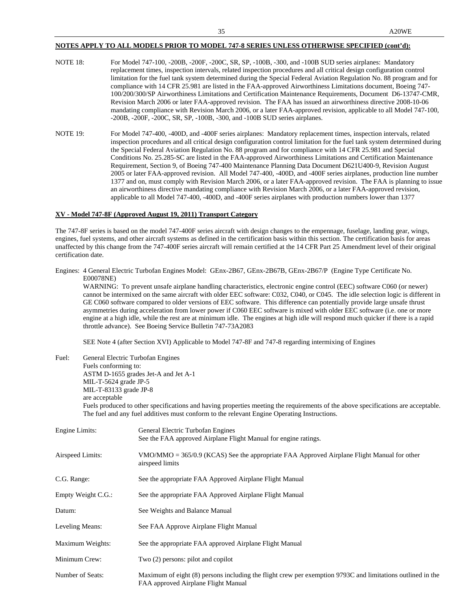- NOTE 18: For Model 747-100, -200B, -200F, -200C, SR, SP, -100B, -300, and -100B SUD series airplanes: Mandatory replacement times, inspection intervals, related inspection procedures and all critical design configuration control limitation for the fuel tank system determined during the Special Federal Aviation Regulation No. 88 program and for compliance with 14 CFR 25.981 are listed in the FAA-approved Airworthiness Limitations document, Boeing 747- 100/200/300/SP Airworthiness Limitations and Certification Maintenance Requirements, Document D6-13747-CMR, Revision March 2006 or later FAA-approved revision. The FAA has issued an airworthiness directive 2008-10-06 mandating compliance with Revision March 2006, or a later FAA-approved revision, applicable to all Model 747-100, -200B, -200F, -200C, SR, SP, -100B, -300, and -100B SUD series airplanes.
- NOTE 19: For Model 747-400, -400D, and -400F series airplanes: Mandatory replacement times, inspection intervals, related inspection procedures and all critical design configuration control limitation for the fuel tank system determined during the Special Federal Aviation Regulation No. 88 program and for compliance with 14 CFR 25.981 and Special Conditions No. 25.285-SC are listed in the FAA-approved Airworthiness Limitations and Certification Maintenance Requirement, Section 9, of Boeing 747-400 Maintenance Planning Data Document D621U400-9, Revision August 2005 or later FAA-approved revision. All Model 747-400, -400D, and -400F series airplanes, production line number 1377 and on, must comply with Revision March 2006, or a later FAA-approved revision. The FAA is planning to issue an airworthiness directive mandating compliance with Revision March 2006, or a later FAA-approved revision, applicable to all Model 747-400, -400D, and -400F series airplanes with production numbers lower than 1377

### **XV - Model 747-8F (Approved August 19, 2011) Transport Category**

The 747-8F series is based on the model 747-400F series aircraft with design changes to the empennage, fuselage, landing gear, wings, engines, fuel systems, and other aircraft systems as defined in the certification basis within this section. The certification basis for areas unaffected by this change from the 747-400F series aircraft will remain certified at the 14 CFR Part 25 Amendment level of their original certification date.

Engines: 4 General Electric Turbofan Engines Model: GEnx-2B67, GEnx-2B67B, GEnx-2B67/P (Engine Type Certificate No. E00078NE)

WARNING: To prevent unsafe airplane handling characteristics, electronic engine control (EEC) software C060 (or newer) cannot be intermixed on the same aircraft with older EEC software: C032, C040, or C045. The idle selection logic is different in GE C060 software compared to older versions of EEC software. This difference can potentially provide large unsafe thrust asymmetries during acceleration from lower power if C060 EEC software is mixed with older EEC software (i.e. one or more engine at a high idle, while the rest are at minimum idle. The engines at high idle will respond much quicker if there is a rapid throttle advance). See Boeing Service Bulletin 747-73A2083

SEE Note 4 (after Section XVI) Applicable to Model 747-8F and 747-8 regarding intermixing of Engines

Fuel: General Electric Turbofan Engines Fuels conforming to: ASTM D-1655 grades Jet-A and Jet A-1 MIL-T-5624 grade JP-5 MIL-T-83133 grade JP-8 are acceptable

Fuels produced to other specifications and having properties meeting the requirements of the above specifications are acceptable. The fuel and any fuel additives must conform to the relevant Engine Operating Instructions.

| Engine Limits:     | General Electric Turbofan Engines<br>See the FAA approved Airplane Flight Manual for engine ratings.                                              |
|--------------------|---------------------------------------------------------------------------------------------------------------------------------------------------|
| Airspeed Limits:   | $VMO/MMO = 365/0.9$ (KCAS) See the appropriate FAA Approved Airplane Flight Manual for other<br>airspeed limits                                   |
| C.G. Range:        | See the appropriate FAA Approved Airplane Flight Manual                                                                                           |
| Empty Weight C.G.: | See the appropriate FAA Approved Airplane Flight Manual                                                                                           |
| Datum:             | See Weights and Balance Manual                                                                                                                    |
| Leveling Means:    | See FAA Approve Airplane Flight Manual                                                                                                            |
| Maximum Weights:   | See the appropriate FAA approved Airplane Flight Manual                                                                                           |
| Minimum Crew:      | Two (2) persons: pilot and copilot                                                                                                                |
| Number of Seats:   | Maximum of eight (8) persons including the flight crew per exemption 9793C and limitations outlined in the<br>FAA approved Airplane Flight Manual |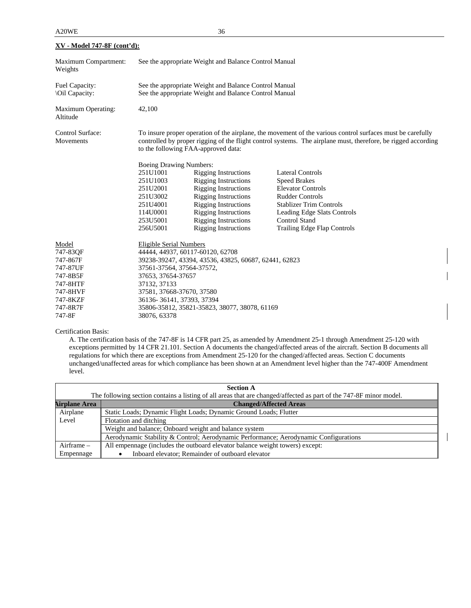| <u>XV - Model 747-8F (cont'd):</u>                                                                              |                                                                                                                                                                                                                                                                                                                           |                                                                                                                                                                                                                                                      |                                                                                                                                                                                                                              |  |
|-----------------------------------------------------------------------------------------------------------------|---------------------------------------------------------------------------------------------------------------------------------------------------------------------------------------------------------------------------------------------------------------------------------------------------------------------------|------------------------------------------------------------------------------------------------------------------------------------------------------------------------------------------------------------------------------------------------------|------------------------------------------------------------------------------------------------------------------------------------------------------------------------------------------------------------------------------|--|
| Maximum Compartment:<br>Weights                                                                                 | See the appropriate Weight and Balance Control Manual                                                                                                                                                                                                                                                                     |                                                                                                                                                                                                                                                      |                                                                                                                                                                                                                              |  |
| Fuel Capacity:<br><b>Oil Capacity:</b>                                                                          | See the appropriate Weight and Balance Control Manual<br>See the appropriate Weight and Balance Control Manual                                                                                                                                                                                                            |                                                                                                                                                                                                                                                      |                                                                                                                                                                                                                              |  |
| Maximum Operating:<br>Altitude                                                                                  | 42,100                                                                                                                                                                                                                                                                                                                    |                                                                                                                                                                                                                                                      |                                                                                                                                                                                                                              |  |
| Control Surface:<br>Movements                                                                                   | To insure proper operation of the airplane, the movement of the various control surfaces must be carefully<br>controlled by proper rigging of the flight control systems. The airplane must, therefore, be rigged according<br>to the following FAA-approved data:                                                        |                                                                                                                                                                                                                                                      |                                                                                                                                                                                                                              |  |
|                                                                                                                 | <b>Boeing Drawing Numbers:</b><br>251U1001<br>251U1003<br>251U2001<br>251U3002<br>251U4001<br>114U0001<br>253U5001<br>256U5001                                                                                                                                                                                            | <b>Rigging Instructions</b><br><b>Rigging Instructions</b><br><b>Rigging Instructions</b><br><b>Rigging Instructions</b><br><b>Rigging Instructions</b><br><b>Rigging Instructions</b><br><b>Rigging Instructions</b><br><b>Rigging Instructions</b> | <b>Lateral Controls</b><br><b>Speed Brakes</b><br><b>Elevator Controls</b><br><b>Rudder Controls</b><br><b>Stablizer Trim Controls</b><br>Leading Edge Slats Controls<br><b>Control Stand</b><br>Trailing Edge Flap Controls |  |
| Model<br>747-83QF<br>747-867F<br>747-87UF<br>747-8B5F<br>747-8HTF<br>747-8HVF<br>747-8KZF<br>747-8R7F<br>747-8F | <b>Eligible Serial Numbers</b><br>44444, 44937, 60117-60120, 62708<br>39238-39247, 43394, 43536, 43825, 60687, 62441, 62823<br>37561-37564, 37564-37572,<br>37653, 37654-37657<br>37132, 37133<br>37581, 37668-37670, 37580<br>36136-36141, 37393, 37394<br>35806-35812, 35821-35823, 38077, 38078, 61169<br>38076, 63378 |                                                                                                                                                                                                                                                      |                                                                                                                                                                                                                              |  |

Certification Basis:

A. The certification basis of the 747-8F is 14 CFR part 25, as amended by Amendment 25-1 through Amendment 25-120 with exceptions permitted by 14 CFR 21.101. Section A documents the changed/affected areas of the aircraft. Section B documents all regulations for which there are exceptions from Amendment 25-120 for the changed/affected areas. Section C documents unchanged/unaffected areas for which compliance has been shown at an Amendment level higher than the 747-400F Amendment level.

| <b>Section A</b>                                                                                                   |                                                                                      |  |  |  |
|--------------------------------------------------------------------------------------------------------------------|--------------------------------------------------------------------------------------|--|--|--|
| The following section contains a listing of all areas that are changed/affected as part of the 747-8F minor model. |                                                                                      |  |  |  |
| <b>Airplane Area</b>                                                                                               | <b>Changed/Affected Areas</b>                                                        |  |  |  |
| Airplane                                                                                                           | Static Loads; Dynamic Flight Loads; Dynamic Ground Loads; Flutter                    |  |  |  |
| Level                                                                                                              | Flotation and ditching                                                               |  |  |  |
|                                                                                                                    | Weight and balance; Onboard weight and balance system                                |  |  |  |
|                                                                                                                    | Aerodynamic Stability & Control; Aerodynamic Performance; Aerodynamic Configurations |  |  |  |
| Airframe $-$                                                                                                       | All empennage (includes the outboard elevator balance weight towers) except:         |  |  |  |
| Empennage                                                                                                          | Inboard elevator; Remainder of outboard elevator                                     |  |  |  |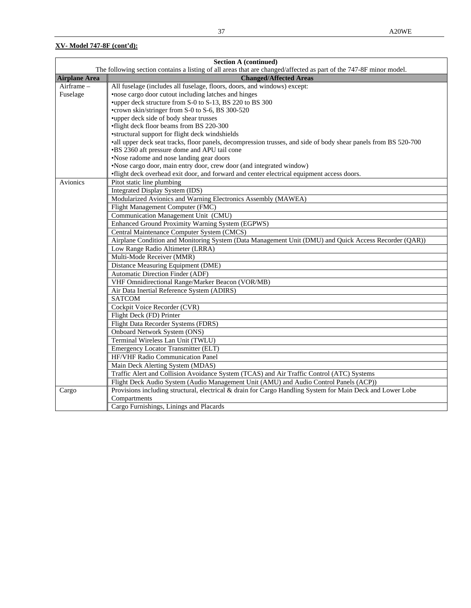|                      | <b>Section A (continued)</b>                                                                                       |  |  |  |
|----------------------|--------------------------------------------------------------------------------------------------------------------|--|--|--|
|                      | The following section contains a listing of all areas that are changed/affected as part of the 747-8F minor model. |  |  |  |
| <b>Airplane Area</b> | <b>Changed/Affected Areas</b>                                                                                      |  |  |  |
| Airframe -           | All fuselage (includes all fuselage, floors, doors, and windows) except:                                           |  |  |  |
| Fuselage             | •nose cargo door cutout including latches and hinges                                                               |  |  |  |
|                      | *upper deck structure from S-0 to S-13, BS 220 to BS 300                                                           |  |  |  |
|                      | •crown skin/stringer from S-0 to S-6, BS 300-520                                                                   |  |  |  |
|                      | *upper deck side of body shear trusses                                                                             |  |  |  |
|                      | •flight deck floor beams from BS 220-300                                                                           |  |  |  |
|                      | •structural support for flight deck windshields                                                                    |  |  |  |
|                      | •all upper deck seat tracks, floor panels, decompression trusses, and side of body shear panels from BS 520-700    |  |  |  |
|                      | •BS 2360 aft pressure dome and APU tail cone                                                                       |  |  |  |
|                      | •Nose radome and nose landing gear doors                                                                           |  |  |  |
|                      | •Nose cargo door, main entry door, crew door (and integrated window)                                               |  |  |  |
|                      | •flight deck overhead exit door, and forward and center electrical equipment access doors.                         |  |  |  |
| Avionics             | Pitot static line plumbing                                                                                         |  |  |  |
|                      | Integrated Display System (IDS)                                                                                    |  |  |  |
|                      | Modularized Avionics and Warning Electronics Assembly (MAWEA)                                                      |  |  |  |
|                      | Flight Management Computer (FMC)                                                                                   |  |  |  |
|                      | Communication Management Unit (CMU)                                                                                |  |  |  |
|                      | Enhanced Ground Proximity Warning System (EGPWS)                                                                   |  |  |  |
|                      | Central Maintenance Computer System (CMCS)                                                                         |  |  |  |
|                      | Airplane Condition and Monitoring System (Data Management Unit (DMU) and Quick Access Recorder (QAR))              |  |  |  |
|                      | Low Range Radio Altimeter (LRRA)                                                                                   |  |  |  |
|                      | Multi-Mode Receiver (MMR)                                                                                          |  |  |  |
|                      | Distance Measuring Equipment (DME)                                                                                 |  |  |  |
|                      | <b>Automatic Direction Finder (ADF)</b>                                                                            |  |  |  |
|                      | VHF Omnidirectional Range/Marker Beacon (VOR/MB)                                                                   |  |  |  |
|                      | Air Data Inertial Reference System (ADIRS)                                                                         |  |  |  |
|                      | <b>SATCOM</b>                                                                                                      |  |  |  |
|                      | Cockpit Voice Recorder (CVR)                                                                                       |  |  |  |
|                      | Flight Deck (FD) Printer                                                                                           |  |  |  |
|                      | Flight Data Recorder Systems (FDRS)                                                                                |  |  |  |
|                      | Onboard Network System (ONS)                                                                                       |  |  |  |
|                      | Terminal Wireless Lan Unit (TWLU)                                                                                  |  |  |  |
|                      | <b>Emergency Locator Transmitter (ELT)</b>                                                                         |  |  |  |
|                      | HF/VHF Radio Communication Panel                                                                                   |  |  |  |
|                      | Main Deck Alerting System (MDAS)                                                                                   |  |  |  |
|                      | Traffic Alert and Collision Avoidance System (TCAS) and Air Traffic Control (ATC) Systems                          |  |  |  |
|                      | Flight Deck Audio System (Audio Management Unit (AMU) and Audio Control Panels (ACP))                              |  |  |  |
| Cargo                | Provisions including structural, electrical & drain for Cargo Handling System for Main Deck and Lower Lobe         |  |  |  |
|                      | Compartments                                                                                                       |  |  |  |
|                      | Cargo Furnishings, Linings and Placards                                                                            |  |  |  |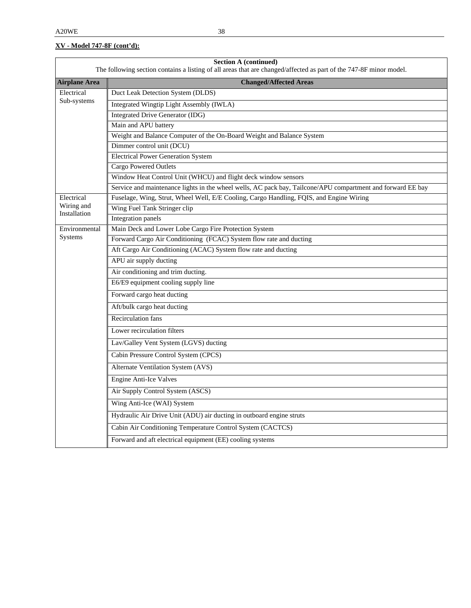| Section A (continued)<br>The following section contains a listing of all areas that are changed/affected as part of the 747-8F minor model. |                                                                                                             |  |  |  |  |
|---------------------------------------------------------------------------------------------------------------------------------------------|-------------------------------------------------------------------------------------------------------------|--|--|--|--|
| <b>Airplane Area</b>                                                                                                                        | <b>Changed/Affected Areas</b>                                                                               |  |  |  |  |
| Electrical                                                                                                                                  | Duct Leak Detection System (DLDS)                                                                           |  |  |  |  |
| Sub-systems                                                                                                                                 | Integrated Wingtip Light Assembly (IWLA)                                                                    |  |  |  |  |
|                                                                                                                                             | <b>Integrated Drive Generator (IDG)</b>                                                                     |  |  |  |  |
|                                                                                                                                             | Main and APU battery                                                                                        |  |  |  |  |
|                                                                                                                                             | Weight and Balance Computer of the On-Board Weight and Balance System                                       |  |  |  |  |
|                                                                                                                                             | Dimmer control unit (DCU)                                                                                   |  |  |  |  |
|                                                                                                                                             | <b>Electrical Power Generation System</b>                                                                   |  |  |  |  |
|                                                                                                                                             | <b>Cargo Powered Outlets</b>                                                                                |  |  |  |  |
|                                                                                                                                             | Window Heat Control Unit (WHCU) and flight deck window sensors                                              |  |  |  |  |
|                                                                                                                                             | Service and maintenance lights in the wheel wells, AC pack bay, Tailcone/APU compartment and forward EE bay |  |  |  |  |
| Electrical                                                                                                                                  | Fuselage, Wing, Strut, Wheel Well, E/E Cooling, Cargo Handling, FQIS, and Engine Wiring                     |  |  |  |  |
| Wiring and<br>Installation                                                                                                                  | Wing Fuel Tank Stringer clip                                                                                |  |  |  |  |
|                                                                                                                                             | Integration panels                                                                                          |  |  |  |  |
| Environmental<br>Systems                                                                                                                    | Main Deck and Lower Lobe Cargo Fire Protection System                                                       |  |  |  |  |
|                                                                                                                                             | Forward Cargo Air Conditioning (FCAC) System flow rate and ducting                                          |  |  |  |  |
|                                                                                                                                             | Aft Cargo Air Conditioning (ACAC) System flow rate and ducting                                              |  |  |  |  |
|                                                                                                                                             | APU air supply ducting                                                                                      |  |  |  |  |
|                                                                                                                                             | Air conditioning and trim ducting.                                                                          |  |  |  |  |
|                                                                                                                                             | E6/E9 equipment cooling supply line                                                                         |  |  |  |  |
|                                                                                                                                             | Forward cargo heat ducting                                                                                  |  |  |  |  |
|                                                                                                                                             | Aft/bulk cargo heat ducting                                                                                 |  |  |  |  |
|                                                                                                                                             | Recirculation fans                                                                                          |  |  |  |  |
|                                                                                                                                             | Lower recirculation filters                                                                                 |  |  |  |  |
|                                                                                                                                             | Lav/Galley Vent System (LGVS) ducting                                                                       |  |  |  |  |
|                                                                                                                                             | Cabin Pressure Control System (CPCS)                                                                        |  |  |  |  |
|                                                                                                                                             | <b>Alternate Ventilation System (AVS)</b>                                                                   |  |  |  |  |
|                                                                                                                                             | <b>Engine Anti-Ice Valves</b>                                                                               |  |  |  |  |
|                                                                                                                                             | Air Supply Control System (ASCS)                                                                            |  |  |  |  |
|                                                                                                                                             | Wing Anti-Ice (WAI) System                                                                                  |  |  |  |  |
|                                                                                                                                             | Hydraulic Air Drive Unit (ADU) air ducting in outboard engine struts                                        |  |  |  |  |
|                                                                                                                                             | Cabin Air Conditioning Temperature Control System (CACTCS)                                                  |  |  |  |  |
|                                                                                                                                             | Forward and aft electrical equipment (EE) cooling systems                                                   |  |  |  |  |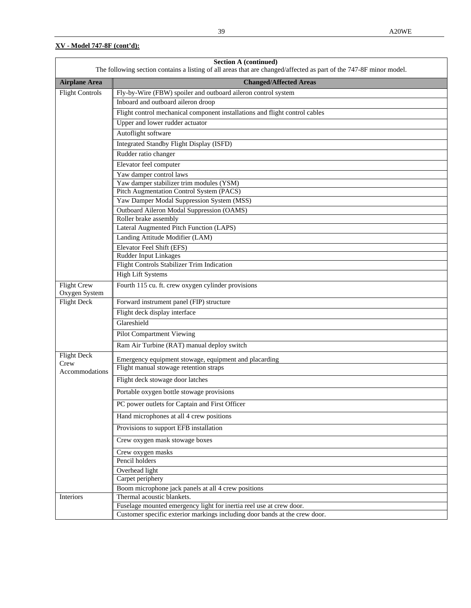| <b>Section A (continued)</b><br>The following section contains a listing of all areas that are changed/affected as part of the 747-8F minor model. |                                                                             |  |  |
|----------------------------------------------------------------------------------------------------------------------------------------------------|-----------------------------------------------------------------------------|--|--|
| <b>Airplane Area</b>                                                                                                                               | <b>Changed/Affected Areas</b>                                               |  |  |
| Flight Controls                                                                                                                                    | Fly-by-Wire (FBW) spoiler and outboard aileron control system               |  |  |
|                                                                                                                                                    | Inboard and outboard aileron droop                                          |  |  |
|                                                                                                                                                    | Flight control mechanical component installations and flight control cables |  |  |
|                                                                                                                                                    | Upper and lower rudder actuator                                             |  |  |
|                                                                                                                                                    | Autoflight software                                                         |  |  |
|                                                                                                                                                    | <b>Integrated Standby Flight Display (ISFD)</b>                             |  |  |
|                                                                                                                                                    | Rudder ratio changer                                                        |  |  |
|                                                                                                                                                    | Elevator feel computer                                                      |  |  |
|                                                                                                                                                    | Yaw damper control laws                                                     |  |  |
|                                                                                                                                                    | Yaw damper stabilizer trim modules (YSM)                                    |  |  |
|                                                                                                                                                    | Pitch Augmentation Control System (PACS)                                    |  |  |
|                                                                                                                                                    | Yaw Damper Modal Suppression System (MSS)                                   |  |  |
|                                                                                                                                                    | Outboard Aileron Modal Suppression (OAMS)                                   |  |  |
|                                                                                                                                                    | Roller brake assembly                                                       |  |  |
|                                                                                                                                                    | Lateral Augmented Pitch Function (LAPS)                                     |  |  |
|                                                                                                                                                    | Landing Attitude Modifier (LAM)                                             |  |  |
|                                                                                                                                                    | Elevator Feel Shift (EFS)                                                   |  |  |
|                                                                                                                                                    | Rudder Input Linkages                                                       |  |  |
|                                                                                                                                                    | Flight Controls Stabilizer Trim Indication                                  |  |  |
|                                                                                                                                                    | <b>High Lift Systems</b>                                                    |  |  |
| <b>Flight Crew</b><br>Oxygen System                                                                                                                | Fourth 115 cu. ft. crew oxygen cylinder provisions                          |  |  |
| <b>Flight Deck</b>                                                                                                                                 | Forward instrument panel (FIP) structure                                    |  |  |
|                                                                                                                                                    | Flight deck display interface                                               |  |  |
|                                                                                                                                                    | Glareshield                                                                 |  |  |
|                                                                                                                                                    | Pilot Compartment Viewing                                                   |  |  |
|                                                                                                                                                    | Ram Air Turbine (RAT) manual deploy switch                                  |  |  |
| <b>Flight Deck</b>                                                                                                                                 | Emergency equipment stowage, equipment and placarding                       |  |  |
| Crew<br>Accommodations                                                                                                                             | Flight manual stowage retention straps                                      |  |  |
|                                                                                                                                                    | Flight deck stowage door latches                                            |  |  |
|                                                                                                                                                    | Portable oxygen bottle stowage provisions                                   |  |  |
|                                                                                                                                                    | PC power outlets for Captain and First Officer                              |  |  |
|                                                                                                                                                    | Hand microphones at all 4 crew positions                                    |  |  |
|                                                                                                                                                    | Provisions to support EFB installation                                      |  |  |
|                                                                                                                                                    | Crew oxygen mask stowage boxes                                              |  |  |
|                                                                                                                                                    | Crew oxygen masks                                                           |  |  |
|                                                                                                                                                    | Pencil holders                                                              |  |  |
|                                                                                                                                                    | Overhead light                                                              |  |  |
|                                                                                                                                                    | Carpet periphery                                                            |  |  |
|                                                                                                                                                    | Boom microphone jack panels at all 4 crew positions                         |  |  |
| Interiors                                                                                                                                          | Thermal acoustic blankets.                                                  |  |  |
|                                                                                                                                                    | Fuselage mounted emergency light for inertia reel use at crew door.         |  |  |
|                                                                                                                                                    | Customer specific exterior markings including door bands at the crew door.  |  |  |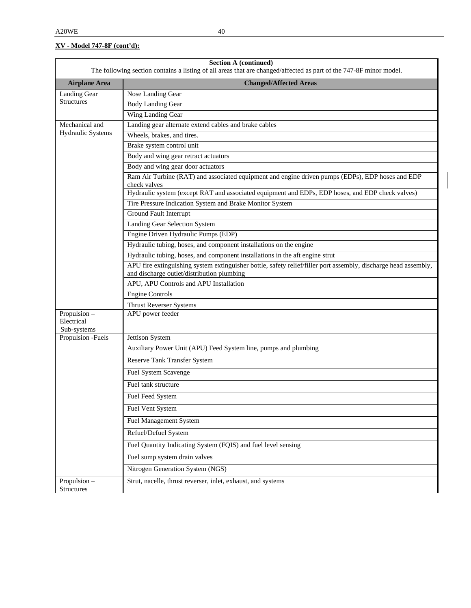| <b>Section A (continued)</b><br>The following section contains a listing of all areas that are changed/affected as part of the 747-8F minor model. |                                                                                                                                                               |  |  |
|----------------------------------------------------------------------------------------------------------------------------------------------------|---------------------------------------------------------------------------------------------------------------------------------------------------------------|--|--|
| <b>Airplane Area</b>                                                                                                                               | <b>Changed/Affected Areas</b>                                                                                                                                 |  |  |
| Landing Gear                                                                                                                                       | Nose Landing Gear                                                                                                                                             |  |  |
| <b>Structures</b>                                                                                                                                  | <b>Body Landing Gear</b>                                                                                                                                      |  |  |
|                                                                                                                                                    | Wing Landing Gear                                                                                                                                             |  |  |
| Mechanical and                                                                                                                                     | Landing gear alternate extend cables and brake cables                                                                                                         |  |  |
| Hydraulic Systems                                                                                                                                  | Wheels, brakes, and tires.                                                                                                                                    |  |  |
|                                                                                                                                                    | Brake system control unit                                                                                                                                     |  |  |
|                                                                                                                                                    | Body and wing gear retract actuators                                                                                                                          |  |  |
|                                                                                                                                                    | Body and wing gear door actuators                                                                                                                             |  |  |
|                                                                                                                                                    | Ram Air Turbine (RAT) and associated equipment and engine driven pumps (EDPs), EDP hoses and EDP<br>check valves                                              |  |  |
|                                                                                                                                                    | Hydraulic system (except RAT and associated equipment and EDPs, EDP hoses, and EDP check valves)                                                              |  |  |
|                                                                                                                                                    | Tire Pressure Indication System and Brake Monitor System                                                                                                      |  |  |
|                                                                                                                                                    | <b>Ground Fault Interrupt</b>                                                                                                                                 |  |  |
|                                                                                                                                                    | Landing Gear Selection System                                                                                                                                 |  |  |
|                                                                                                                                                    | Engine Driven Hydraulic Pumps (EDP)                                                                                                                           |  |  |
|                                                                                                                                                    | Hydraulic tubing, hoses, and component installations on the engine                                                                                            |  |  |
|                                                                                                                                                    | Hydraulic tubing, hoses, and component installations in the aft engine strut                                                                                  |  |  |
|                                                                                                                                                    | APU fire extinguishing system extinguisher bottle, safety relief/filler port assembly, discharge head assembly,<br>and discharge outlet/distribution plumbing |  |  |
|                                                                                                                                                    | APU, APU Controls and APU Installation                                                                                                                        |  |  |
|                                                                                                                                                    | <b>Engine Controls</b>                                                                                                                                        |  |  |
|                                                                                                                                                    | <b>Thrust Reverser Systems</b>                                                                                                                                |  |  |
| Propulsion -<br>Electrical<br>Sub-systems                                                                                                          | APU power feeder                                                                                                                                              |  |  |
| Propulsion -Fuels                                                                                                                                  | Jettison System                                                                                                                                               |  |  |
|                                                                                                                                                    | Auxiliary Power Unit (APU) Feed System line, pumps and plumbing                                                                                               |  |  |
|                                                                                                                                                    | <b>Reserve Tank Transfer System</b>                                                                                                                           |  |  |
|                                                                                                                                                    | <b>Fuel System Scavenge</b>                                                                                                                                   |  |  |
|                                                                                                                                                    | Fuel tank structure                                                                                                                                           |  |  |
|                                                                                                                                                    | Fuel Feed System                                                                                                                                              |  |  |
|                                                                                                                                                    | Fuel Vent System                                                                                                                                              |  |  |
|                                                                                                                                                    | <b>Fuel Management System</b>                                                                                                                                 |  |  |
|                                                                                                                                                    | Refuel/Defuel System                                                                                                                                          |  |  |
|                                                                                                                                                    | Fuel Quantity Indicating System (FQIS) and fuel level sensing                                                                                                 |  |  |
|                                                                                                                                                    | Fuel sump system drain valves                                                                                                                                 |  |  |
|                                                                                                                                                    | Nitrogen Generation System (NGS)                                                                                                                              |  |  |
| Propulsion -<br>Structures                                                                                                                         | Strut, nacelle, thrust reverser, inlet, exhaust, and systems                                                                                                  |  |  |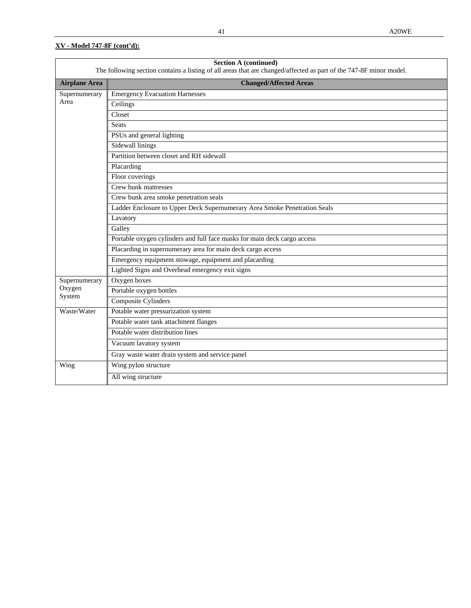| <b>Section A (continued)</b><br>The following section contains a listing of all areas that are changed/affected as part of the 747-8F minor model. |                                                                           |  |  |  |  |
|----------------------------------------------------------------------------------------------------------------------------------------------------|---------------------------------------------------------------------------|--|--|--|--|
| <b>Airplane Area</b>                                                                                                                               | <b>Changed/Affected Areas</b>                                             |  |  |  |  |
| Supernumerary                                                                                                                                      | <b>Emergency Evacuation Harnesses</b>                                     |  |  |  |  |
| Area                                                                                                                                               | Ceilings                                                                  |  |  |  |  |
|                                                                                                                                                    | Closet                                                                    |  |  |  |  |
|                                                                                                                                                    | Seats                                                                     |  |  |  |  |
|                                                                                                                                                    | PSUs and general lighting                                                 |  |  |  |  |
|                                                                                                                                                    | Sidewall linings                                                          |  |  |  |  |
|                                                                                                                                                    | Partition between closet and RH sidewall                                  |  |  |  |  |
|                                                                                                                                                    | Placarding                                                                |  |  |  |  |
|                                                                                                                                                    | Floor coverings                                                           |  |  |  |  |
|                                                                                                                                                    | Crew bunk mattresses                                                      |  |  |  |  |
|                                                                                                                                                    | Crew bunk area smoke penetration seals                                    |  |  |  |  |
|                                                                                                                                                    | Ladder Enclosure to Upper Deck Supernumerary Area Smoke Penetration Seals |  |  |  |  |
|                                                                                                                                                    | Lavatory                                                                  |  |  |  |  |
|                                                                                                                                                    | Galley                                                                    |  |  |  |  |
|                                                                                                                                                    | Portable oxygen cylinders and full face masks for main deck cargo access  |  |  |  |  |
|                                                                                                                                                    | Placarding in supernumerary area for main deck cargo access               |  |  |  |  |
|                                                                                                                                                    | Emergency equipment stowage, equipment and placarding                     |  |  |  |  |
|                                                                                                                                                    | Lighted Signs and Overhead emergency exit signs                           |  |  |  |  |
| Supernumerary                                                                                                                                      | Oxygen boxes                                                              |  |  |  |  |
| Oxygen<br>System                                                                                                                                   | Portable oxygen bottles                                                   |  |  |  |  |
|                                                                                                                                                    | Composite Cylinders                                                       |  |  |  |  |
| Waste/Water                                                                                                                                        | Potable water pressurization system                                       |  |  |  |  |
|                                                                                                                                                    | Potable water tank attachment flanges                                     |  |  |  |  |
|                                                                                                                                                    | Potable water distribution lines                                          |  |  |  |  |
|                                                                                                                                                    | Vacuum lavatory system                                                    |  |  |  |  |
|                                                                                                                                                    | Gray waste water drain system and service panel                           |  |  |  |  |
| Wing                                                                                                                                               | Wing pylon structure                                                      |  |  |  |  |
|                                                                                                                                                    | All wing structure                                                        |  |  |  |  |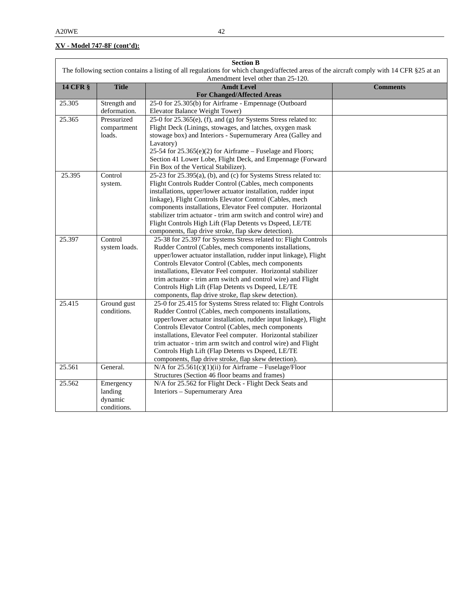| <b>Section B</b>                                                                                                                          |               |                                                                  |                 |  |
|-------------------------------------------------------------------------------------------------------------------------------------------|---------------|------------------------------------------------------------------|-----------------|--|
| The following section contains a listing of all regulations for which changed/affected areas of the aircraft comply with 14 CFR §25 at an |               |                                                                  |                 |  |
|                                                                                                                                           |               | Amendment level other than 25-120.                               |                 |  |
| <b>14 CFR §</b>                                                                                                                           | <b>Title</b>  | <b>Amdt Level</b>                                                | <b>Comments</b> |  |
|                                                                                                                                           |               | <b>For Changed/Affected Areas</b>                                |                 |  |
| 25.305                                                                                                                                    | Strength and  | 25-0 for 25.305(b) for Airframe - Empennage (Outboard            |                 |  |
|                                                                                                                                           | deformation.  | Elevator Balance Weight Tower)                                   |                 |  |
| 25.365                                                                                                                                    | Pressurized   | 25-0 for 25.365(e), (f), and (g) for Systems Stress related to:  |                 |  |
|                                                                                                                                           | compartment   | Flight Deck (Linings, stowages, and latches, oxygen mask         |                 |  |
|                                                                                                                                           | loads.        | stowage box) and Interiors - Supernumerary Area (Galley and      |                 |  |
|                                                                                                                                           |               | Lavatory)                                                        |                 |  |
|                                                                                                                                           |               | 25-54 for 25.365(e)(2) for Airframe - Fuselage and Floors;       |                 |  |
|                                                                                                                                           |               | Section 41 Lower Lobe, Flight Deck, and Empennage (Forward       |                 |  |
|                                                                                                                                           |               | Fin Box of the Vertical Stabilizer).                             |                 |  |
| 25.395                                                                                                                                    | Control       | 25-23 for 25.395(a), (b), and (c) for Systems Stress related to: |                 |  |
|                                                                                                                                           | system.       | Flight Controls Rudder Control (Cables, mech components          |                 |  |
|                                                                                                                                           |               | installations, upper/lower actuator installation, rudder input   |                 |  |
|                                                                                                                                           |               | linkage), Flight Controls Elevator Control (Cables, mech         |                 |  |
|                                                                                                                                           |               | components installations, Elevator Feel computer. Horizontal     |                 |  |
|                                                                                                                                           |               | stabilizer trim actuator - trim arm switch and control wire) and |                 |  |
|                                                                                                                                           |               | Flight Controls High Lift (Flap Detents vs Dspeed, LE/TE         |                 |  |
|                                                                                                                                           |               | components, flap drive stroke, flap skew detection).             |                 |  |
| 25.397                                                                                                                                    | Control       | 25-38 for 25.397 for Systems Stress related to: Flight Controls  |                 |  |
|                                                                                                                                           | system loads. | Rudder Control (Cables, mech components installations,           |                 |  |
|                                                                                                                                           |               | upper/lower actuator installation, rudder input linkage), Flight |                 |  |
|                                                                                                                                           |               | Controls Elevator Control (Cables, mech components               |                 |  |
|                                                                                                                                           |               | installations, Elevator Feel computer. Horizontal stabilizer     |                 |  |
|                                                                                                                                           |               | trim actuator - trim arm switch and control wire) and Flight     |                 |  |
|                                                                                                                                           |               | Controls High Lift (Flap Detents vs Dspeed, LE/TE                |                 |  |
|                                                                                                                                           |               | components, flap drive stroke, flap skew detection).             |                 |  |
| 25.415                                                                                                                                    | Ground gust   | 25-0 for 25.415 for Systems Stress related to: Flight Controls   |                 |  |
|                                                                                                                                           | conditions.   | Rudder Control (Cables, mech components installations,           |                 |  |
|                                                                                                                                           |               | upper/lower actuator installation, rudder input linkage), Flight |                 |  |
|                                                                                                                                           |               | Controls Elevator Control (Cables, mech components               |                 |  |
|                                                                                                                                           |               | installations, Elevator Feel computer. Horizontal stabilizer     |                 |  |
|                                                                                                                                           |               | trim actuator - trim arm switch and control wire) and Flight     |                 |  |
|                                                                                                                                           |               | Controls High Lift (Flap Detents vs Dspeed, LE/TE                |                 |  |
|                                                                                                                                           |               | components, flap drive stroke, flap skew detection).             |                 |  |
| 25.561                                                                                                                                    | General.      | N/A for $25.561(c)(1)(ii)$ for Airframe – Fuselage/Floor         |                 |  |
|                                                                                                                                           |               | Structures (Section 46 floor beams and frames)                   |                 |  |
| 25.562                                                                                                                                    | Emergency     | N/A for 25.562 for Flight Deck - Flight Deck Seats and           |                 |  |
|                                                                                                                                           | landing       | Interiors - Supernumerary Area                                   |                 |  |
|                                                                                                                                           | dynamic       |                                                                  |                 |  |
|                                                                                                                                           | conditions.   |                                                                  |                 |  |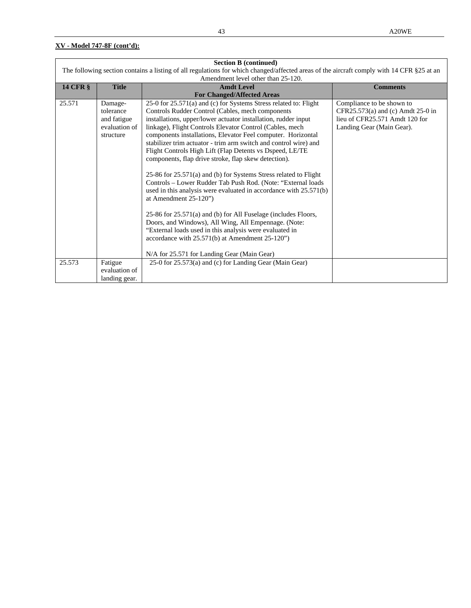| <b>Section B (continued)</b>                                                                                                              |               |                                                                   |                                   |  |
|-------------------------------------------------------------------------------------------------------------------------------------------|---------------|-------------------------------------------------------------------|-----------------------------------|--|
| The following section contains a listing of all regulations for which changed/affected areas of the aircraft comply with 14 CFR §25 at an |               |                                                                   |                                   |  |
|                                                                                                                                           |               | Amendment level other than 25-120.                                |                                   |  |
| <b>14 CFR §</b>                                                                                                                           | <b>Title</b>  | <b>Amdt Level</b>                                                 | <b>Comments</b>                   |  |
|                                                                                                                                           |               | <b>For Changed/Affected Areas</b>                                 |                                   |  |
| 25.571                                                                                                                                    | Damage-       | 25-0 for 25.571(a) and (c) for Systems Stress related to: Flight  | Compliance to be shown to         |  |
|                                                                                                                                           | tolerance     | Controls Rudder Control (Cables, mech components                  | CFR25.573(a) and (c) Amdt 25-0 in |  |
|                                                                                                                                           | and fatigue   | installations, upper/lower actuator installation, rudder input    | lieu of CFR25.571 Amdt 120 for    |  |
|                                                                                                                                           | evaluation of | linkage), Flight Controls Elevator Control (Cables, mech          | Landing Gear (Main Gear).         |  |
|                                                                                                                                           | structure     | components installations, Elevator Feel computer. Horizontal      |                                   |  |
|                                                                                                                                           |               | stabilizer trim actuator - trim arm switch and control wire) and  |                                   |  |
|                                                                                                                                           |               | Flight Controls High Lift (Flap Detents vs Dspeed, LE/TE          |                                   |  |
|                                                                                                                                           |               | components, flap drive stroke, flap skew detection).              |                                   |  |
|                                                                                                                                           |               |                                                                   |                                   |  |
|                                                                                                                                           |               | 25-86 for 25.571(a) and (b) for Systems Stress related to Flight  |                                   |  |
|                                                                                                                                           |               | Controls - Lower Rudder Tab Push Rod. (Note: "External loads      |                                   |  |
|                                                                                                                                           |               | used in this analysis were evaluated in accordance with 25.571(b) |                                   |  |
|                                                                                                                                           |               | at Amendment 25-120")                                             |                                   |  |
|                                                                                                                                           |               |                                                                   |                                   |  |
|                                                                                                                                           |               | 25-86 for 25.571(a) and (b) for All Fuselage (includes Floors,    |                                   |  |
|                                                                                                                                           |               | Doors, and Windows), All Wing, All Empennage. (Note:              |                                   |  |
|                                                                                                                                           |               | "External loads used in this analysis were evaluated in           |                                   |  |
|                                                                                                                                           |               | accordance with $25.571(b)$ at Amendment $25-120$ ")              |                                   |  |
|                                                                                                                                           |               |                                                                   |                                   |  |
|                                                                                                                                           |               | N/A for 25.571 for Landing Gear (Main Gear)                       |                                   |  |
| 25.573                                                                                                                                    | Fatigue       | 25-0 for 25.573(a) and (c) for Landing Gear (Main Gear)           |                                   |  |
|                                                                                                                                           | evaluation of |                                                                   |                                   |  |
|                                                                                                                                           | landing gear. |                                                                   |                                   |  |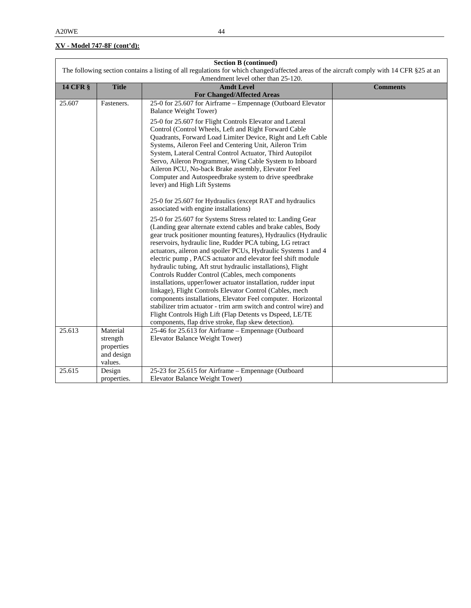| <b>Section B (continued)</b>                                                                                                              |                                                             |                                                                                                                                                                                                                                                                                                                                                                                                                                                                                                                                                                                                                                                                                                                                                                                                                                                                                                                                                                                                              |                 |  |
|-------------------------------------------------------------------------------------------------------------------------------------------|-------------------------------------------------------------|--------------------------------------------------------------------------------------------------------------------------------------------------------------------------------------------------------------------------------------------------------------------------------------------------------------------------------------------------------------------------------------------------------------------------------------------------------------------------------------------------------------------------------------------------------------------------------------------------------------------------------------------------------------------------------------------------------------------------------------------------------------------------------------------------------------------------------------------------------------------------------------------------------------------------------------------------------------------------------------------------------------|-----------------|--|
| The following section contains a listing of all regulations for which changed/affected areas of the aircraft comply with 14 CFR §25 at an |                                                             |                                                                                                                                                                                                                                                                                                                                                                                                                                                                                                                                                                                                                                                                                                                                                                                                                                                                                                                                                                                                              |                 |  |
|                                                                                                                                           |                                                             | Amendment level other than 25-120.                                                                                                                                                                                                                                                                                                                                                                                                                                                                                                                                                                                                                                                                                                                                                                                                                                                                                                                                                                           |                 |  |
| <b>14 CFR §</b>                                                                                                                           | <b>Title</b>                                                | <b>Amdt Level</b>                                                                                                                                                                                                                                                                                                                                                                                                                                                                                                                                                                                                                                                                                                                                                                                                                                                                                                                                                                                            | <b>Comments</b> |  |
|                                                                                                                                           |                                                             | <b>For Changed/Affected Areas</b>                                                                                                                                                                                                                                                                                                                                                                                                                                                                                                                                                                                                                                                                                                                                                                                                                                                                                                                                                                            |                 |  |
| 25.607                                                                                                                                    | Fasteners.                                                  | 25-0 for 25.607 for Airframe – Empennage (Outboard Elevator<br><b>Balance Weight Tower)</b>                                                                                                                                                                                                                                                                                                                                                                                                                                                                                                                                                                                                                                                                                                                                                                                                                                                                                                                  |                 |  |
|                                                                                                                                           |                                                             | 25-0 for 25.607 for Flight Controls Elevator and Lateral<br>Control (Control Wheels, Left and Right Forward Cable<br>Quadrants, Forward Load Limiter Device, Right and Left Cable<br>Systems, Aileron Feel and Centering Unit, Aileron Trim<br>System, Lateral Central Control Actuator, Third Autopilot<br>Servo, Aileron Programmer, Wing Cable System to Inboard<br>Aileron PCU, No-back Brake assembly, Elevator Feel<br>Computer and Autospeedbrake system to drive speedbrake<br>lever) and High Lift Systems                                                                                                                                                                                                                                                                                                                                                                                                                                                                                          |                 |  |
|                                                                                                                                           |                                                             | 25-0 for 25.607 for Hydraulics (except RAT and hydraulics<br>associated with engine installations)<br>25-0 for 25.607 for Systems Stress related to: Landing Gear<br>(Landing gear alternate extend cables and brake cables, Body<br>gear truck positioner mounting features), Hydraulics (Hydraulic<br>reservoirs, hydraulic line, Rudder PCA tubing, LG retract<br>actuators, aileron and spoiler PCUs, Hydraulic Systems 1 and 4<br>electric pump, PACS actuator and elevator feel shift module<br>hydraulic tubing, Aft strut hydraulic installations), Flight<br>Controls Rudder Control (Cables, mech components<br>installations, upper/lower actuator installation, rudder input<br>linkage), Flight Controls Elevator Control (Cables, mech<br>components installations, Elevator Feel computer. Horizontal<br>stabilizer trim actuator - trim arm switch and control wire) and<br>Flight Controls High Lift (Flap Detents vs Dspeed, LE/TE<br>components, flap drive stroke, flap skew detection). |                 |  |
| 25.613                                                                                                                                    | Material<br>strength<br>properties<br>and design<br>values. | 25-46 for 25.613 for Airframe - Empennage (Outboard<br>Elevator Balance Weight Tower)                                                                                                                                                                                                                                                                                                                                                                                                                                                                                                                                                                                                                                                                                                                                                                                                                                                                                                                        |                 |  |
| 25.615                                                                                                                                    | Design<br>properties.                                       | 25-23 for 25.615 for Airframe - Empennage (Outboard<br>Elevator Balance Weight Tower)                                                                                                                                                                                                                                                                                                                                                                                                                                                                                                                                                                                                                                                                                                                                                                                                                                                                                                                        |                 |  |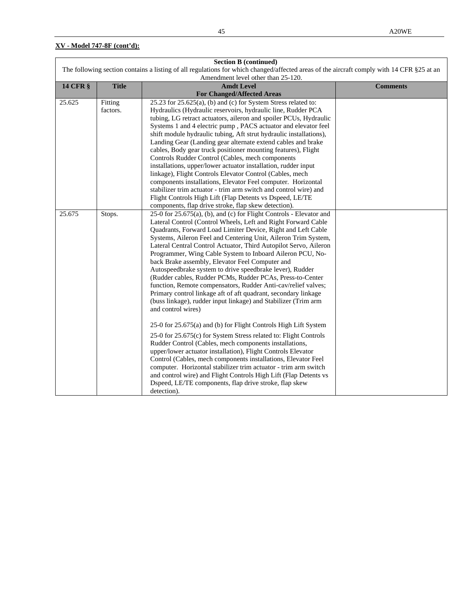| <b>Section B (continued)</b>                                                                                                              |              |                                                                     |                 |  |
|-------------------------------------------------------------------------------------------------------------------------------------------|--------------|---------------------------------------------------------------------|-----------------|--|
| The following section contains a listing of all regulations for which changed/affected areas of the aircraft comply with 14 CFR §25 at an |              |                                                                     |                 |  |
|                                                                                                                                           |              | Amendment level other than 25-120.                                  |                 |  |
| <b>14 CFR §</b>                                                                                                                           | <b>Title</b> | <b>Amdt Level</b>                                                   | <b>Comments</b> |  |
|                                                                                                                                           |              | <b>For Changed/Affected Areas</b>                                   |                 |  |
| 25.625                                                                                                                                    | Fitting      | $25.23$ for $25.625(a)$ , (b) and (c) for System Stress related to: |                 |  |
|                                                                                                                                           | factors.     | Hydraulics (Hydraulic reservoirs, hydraulic line, Rudder PCA        |                 |  |
|                                                                                                                                           |              | tubing, LG retract actuators, aileron and spoiler PCUs, Hydraulic   |                 |  |
|                                                                                                                                           |              | Systems 1 and 4 electric pump, PACS actuator and elevator feel      |                 |  |
|                                                                                                                                           |              | shift module hydraulic tubing, Aft strut hydraulic installations),  |                 |  |
|                                                                                                                                           |              | Landing Gear (Landing gear alternate extend cables and brake        |                 |  |
|                                                                                                                                           |              | cables, Body gear truck positioner mounting features), Flight       |                 |  |
|                                                                                                                                           |              | Controls Rudder Control (Cables, mech components                    |                 |  |
|                                                                                                                                           |              | installations, upper/lower actuator installation, rudder input      |                 |  |
|                                                                                                                                           |              | linkage), Flight Controls Elevator Control (Cables, mech            |                 |  |
|                                                                                                                                           |              | components installations, Elevator Feel computer. Horizontal        |                 |  |
|                                                                                                                                           |              | stabilizer trim actuator - trim arm switch and control wire) and    |                 |  |
|                                                                                                                                           |              | Flight Controls High Lift (Flap Detents vs Dspeed, LE/TE            |                 |  |
|                                                                                                                                           |              | components, flap drive stroke, flap skew detection).                |                 |  |
| 25.675                                                                                                                                    | Stops.       | 25-0 for 25.675(a), (b), and (c) for Flight Controls - Elevator and |                 |  |
|                                                                                                                                           |              | Lateral Control (Control Wheels, Left and Right Forward Cable       |                 |  |
|                                                                                                                                           |              | Quadrants, Forward Load Limiter Device, Right and Left Cable        |                 |  |
|                                                                                                                                           |              | Systems, Aileron Feel and Centering Unit, Aileron Trim System,      |                 |  |
|                                                                                                                                           |              | Lateral Central Control Actuator, Third Autopilot Servo, Aileron    |                 |  |
|                                                                                                                                           |              | Programmer, Wing Cable System to Inboard Aileron PCU, No-           |                 |  |
|                                                                                                                                           |              | back Brake assembly, Elevator Feel Computer and                     |                 |  |
|                                                                                                                                           |              | Autospeedbrake system to drive speedbrake lever), Rudder            |                 |  |
|                                                                                                                                           |              | (Rudder cables, Rudder PCMs, Rudder PCAs, Press-to-Center           |                 |  |
|                                                                                                                                           |              | function, Remote compensators, Rudder Anti-cav/relief valves;       |                 |  |
|                                                                                                                                           |              | Primary control linkage aft of aft quadrant, secondary linkage      |                 |  |
|                                                                                                                                           |              | (buss linkage), rudder input linkage) and Stabilizer (Trim arm      |                 |  |
|                                                                                                                                           |              | and control wires)                                                  |                 |  |
|                                                                                                                                           |              |                                                                     |                 |  |
|                                                                                                                                           |              | 25-0 for 25.675(a) and (b) for Flight Controls High Lift System     |                 |  |
|                                                                                                                                           |              | 25-0 for 25.675(c) for System Stress related to: Flight Controls    |                 |  |
|                                                                                                                                           |              | Rudder Control (Cables, mech components installations,              |                 |  |
|                                                                                                                                           |              | upper/lower actuator installation), Flight Controls Elevator        |                 |  |
|                                                                                                                                           |              | Control (Cables, mech components installations, Elevator Feel       |                 |  |
|                                                                                                                                           |              | computer. Horizontal stabilizer trim actuator - trim arm switch     |                 |  |
|                                                                                                                                           |              | and control wire) and Flight Controls High Lift (Flap Detents vs    |                 |  |
|                                                                                                                                           |              | Dspeed, LE/TE components, flap drive stroke, flap skew              |                 |  |
|                                                                                                                                           |              | detection).                                                         |                 |  |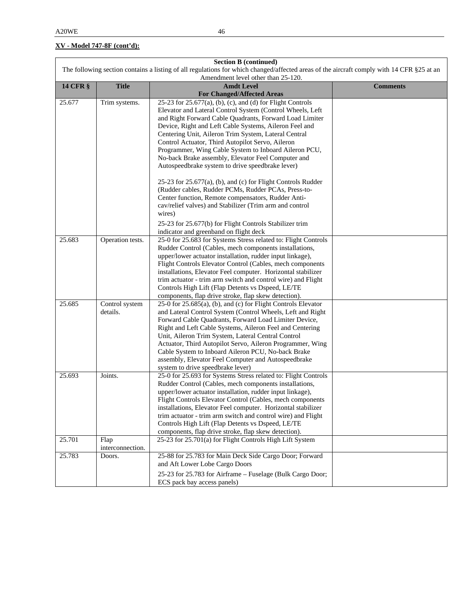| <b>Section B (continued)</b> |                                                                                                                                           |                                                                                                                  |                 |  |  |
|------------------------------|-------------------------------------------------------------------------------------------------------------------------------------------|------------------------------------------------------------------------------------------------------------------|-----------------|--|--|
|                              | The following section contains a listing of all regulations for which changed/affected areas of the aircraft comply with 14 CFR §25 at an |                                                                                                                  |                 |  |  |
|                              | Amendment level other than 25-120.                                                                                                        |                                                                                                                  |                 |  |  |
| <b>14 CFR §</b>              | <b>Title</b>                                                                                                                              | <b>Amdt Level</b>                                                                                                | <b>Comments</b> |  |  |
|                              |                                                                                                                                           | <b>For Changed/Affected Areas</b>                                                                                |                 |  |  |
| 25.677                       | Trim systems.                                                                                                                             | 25-23 for $25.677(a)$ , (b), (c), and (d) for Flight Controls                                                    |                 |  |  |
|                              |                                                                                                                                           | Elevator and Lateral Control System (Control Wheels, Left                                                        |                 |  |  |
|                              |                                                                                                                                           | and Right Forward Cable Quadrants, Forward Load Limiter                                                          |                 |  |  |
|                              |                                                                                                                                           | Device, Right and Left Cable Systems, Aileron Feel and                                                           |                 |  |  |
|                              |                                                                                                                                           | Centering Unit, Aileron Trim System, Lateral Central                                                             |                 |  |  |
|                              |                                                                                                                                           | Control Actuator, Third Autopilot Servo, Aileron                                                                 |                 |  |  |
|                              |                                                                                                                                           | Programmer, Wing Cable System to Inboard Aileron PCU,                                                            |                 |  |  |
|                              |                                                                                                                                           | No-back Brake assembly, Elevator Feel Computer and                                                               |                 |  |  |
|                              |                                                                                                                                           | Autospeedbrake system to drive speedbrake lever)                                                                 |                 |  |  |
|                              |                                                                                                                                           |                                                                                                                  |                 |  |  |
|                              |                                                                                                                                           | $25-23$ for $25.677(a)$ , (b), and (c) for Flight Controls Rudder                                                |                 |  |  |
|                              |                                                                                                                                           | (Rudder cables, Rudder PCMs, Rudder PCAs, Press-to-                                                              |                 |  |  |
|                              |                                                                                                                                           | Center function, Remote compensators, Rudder Anti-                                                               |                 |  |  |
|                              |                                                                                                                                           | cav/relief valves) and Stabilizer (Trim arm and control                                                          |                 |  |  |
|                              |                                                                                                                                           | wires)                                                                                                           |                 |  |  |
|                              |                                                                                                                                           | 25-23 for 25.677(b) for Flight Controls Stabilizer trim                                                          |                 |  |  |
|                              |                                                                                                                                           | indicator and greenband on flight deck                                                                           |                 |  |  |
| 25.683                       | Operation tests.                                                                                                                          | 25-0 for 25.683 for Systems Stress related to: Flight Controls                                                   |                 |  |  |
|                              |                                                                                                                                           | Rudder Control (Cables, mech components installations,                                                           |                 |  |  |
|                              |                                                                                                                                           | upper/lower actuator installation, rudder input linkage),                                                        |                 |  |  |
|                              |                                                                                                                                           | Flight Controls Elevator Control (Cables, mech components                                                        |                 |  |  |
|                              |                                                                                                                                           | installations, Elevator Feel computer. Horizontal stabilizer                                                     |                 |  |  |
|                              |                                                                                                                                           | trim actuator - trim arm switch and control wire) and Flight                                                     |                 |  |  |
|                              |                                                                                                                                           | Controls High Lift (Flap Detents vs Dspeed, LE/TE                                                                |                 |  |  |
|                              |                                                                                                                                           | components, flap drive stroke, flap skew detection).                                                             |                 |  |  |
| 25.685                       | Control system                                                                                                                            | 25-0 for 25.685(a), (b), and (c) for Flight Controls Elevator                                                    |                 |  |  |
|                              | details.                                                                                                                                  | and Lateral Control System (Control Wheels, Left and Right                                                       |                 |  |  |
|                              |                                                                                                                                           | Forward Cable Quadrants, Forward Load Limiter Device,                                                            |                 |  |  |
|                              |                                                                                                                                           | Right and Left Cable Systems, Aileron Feel and Centering                                                         |                 |  |  |
|                              |                                                                                                                                           | Unit, Aileron Trim System, Lateral Central Control                                                               |                 |  |  |
|                              |                                                                                                                                           | Actuator, Third Autopilot Servo, Aileron Programmer, Wing                                                        |                 |  |  |
|                              |                                                                                                                                           | Cable System to Inboard Aileron PCU, No-back Brake                                                               |                 |  |  |
|                              |                                                                                                                                           | assembly, Elevator Feel Computer and Autospeedbrake                                                              |                 |  |  |
|                              |                                                                                                                                           | system to drive speedbrake lever)                                                                                |                 |  |  |
| 25.693                       | Joints.                                                                                                                                   | 25-0 for 25.693 for Systems Stress related to: Flight Controls                                                   |                 |  |  |
|                              |                                                                                                                                           | Rudder Control (Cables, mech components installations,                                                           |                 |  |  |
|                              |                                                                                                                                           | upper/lower actuator installation, rudder input linkage),                                                        |                 |  |  |
|                              |                                                                                                                                           | Flight Controls Elevator Control (Cables, mech components                                                        |                 |  |  |
|                              |                                                                                                                                           | installations, Elevator Feel computer. Horizontal stabilizer                                                     |                 |  |  |
|                              |                                                                                                                                           | trim actuator - trim arm switch and control wire) and Flight                                                     |                 |  |  |
|                              |                                                                                                                                           | Controls High Lift (Flap Detents vs Dspeed, LE/TE                                                                |                 |  |  |
|                              |                                                                                                                                           |                                                                                                                  |                 |  |  |
| 25.701                       | Flap                                                                                                                                      | components, flap drive stroke, flap skew detection).<br>25-23 for 25.701(a) for Flight Controls High Lift System |                 |  |  |
|                              | interconnection.                                                                                                                          |                                                                                                                  |                 |  |  |
| 25.783                       | Doors.                                                                                                                                    | 25-88 for 25.783 for Main Deck Side Cargo Door; Forward                                                          |                 |  |  |
|                              |                                                                                                                                           | and Aft Lower Lobe Cargo Doors                                                                                   |                 |  |  |
|                              |                                                                                                                                           | 25-23 for 25.783 for Airframe - Fuselage (Bulk Cargo Door;                                                       |                 |  |  |
|                              |                                                                                                                                           | ECS pack bay access panels)                                                                                      |                 |  |  |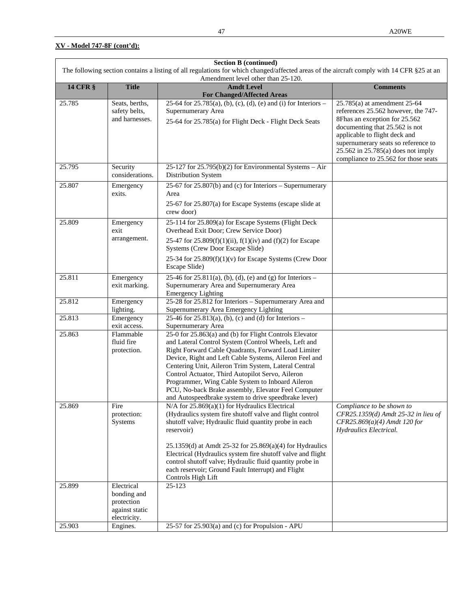| <b>Section B (continued)</b>                                                                                                                                                    |                                |                                                                                                                         |                                                                 |  |
|---------------------------------------------------------------------------------------------------------------------------------------------------------------------------------|--------------------------------|-------------------------------------------------------------------------------------------------------------------------|-----------------------------------------------------------------|--|
| The following section contains a listing of all regulations for which changed/affected areas of the aircraft comply with 14 CFR §25 at an<br>Amendment level other than 25-120. |                                |                                                                                                                         |                                                                 |  |
| <b>14 CFR §</b>                                                                                                                                                                 | <b>Title</b>                   | <b>Amdt Level</b>                                                                                                       | <b>Comments</b>                                                 |  |
|                                                                                                                                                                                 |                                | <b>For Changed/Affected Areas</b>                                                                                       |                                                                 |  |
| 25.785                                                                                                                                                                          | Seats, berths,                 | 25-64 for 25.785(a), (b), (c), (d), (e) and (i) for Interiors –                                                         | 25.785(a) at amendment 25-64                                    |  |
|                                                                                                                                                                                 | safety belts,                  | Supernumerary Area                                                                                                      | references 25.562 however, the 747-                             |  |
|                                                                                                                                                                                 | and harnesses.                 | 25-64 for 25.785(a) for Flight Deck - Flight Deck Seats                                                                 | 8Fhas an exception for 25.562<br>documenting that 25.562 is not |  |
|                                                                                                                                                                                 |                                |                                                                                                                         | applicable to flight deck and                                   |  |
|                                                                                                                                                                                 |                                |                                                                                                                         | supernumerary seats so reference to                             |  |
|                                                                                                                                                                                 |                                |                                                                                                                         | $25.562$ in $25.785$ (a) does not imply                         |  |
|                                                                                                                                                                                 |                                |                                                                                                                         | compliance to 25.562 for those seats                            |  |
| 25.795                                                                                                                                                                          | Security                       | 25-127 for $25.795(b)(2)$ for Environmental Systems - Air                                                               |                                                                 |  |
|                                                                                                                                                                                 | considerations.                | Distribution System                                                                                                     |                                                                 |  |
| 25.807                                                                                                                                                                          | Emergency                      | 25-67 for 25.807(b) and (c) for Interiors - Supernumerary                                                               |                                                                 |  |
|                                                                                                                                                                                 | exits.                         | Area                                                                                                                    |                                                                 |  |
|                                                                                                                                                                                 |                                | 25-67 for 25.807(a) for Escape Systems (escape slide at                                                                 |                                                                 |  |
|                                                                                                                                                                                 |                                | crew door)                                                                                                              |                                                                 |  |
| 25.809                                                                                                                                                                          | Emergency                      | 25-114 for 25.809(a) for Escape Systems (Flight Deck                                                                    |                                                                 |  |
|                                                                                                                                                                                 | exit                           | Overhead Exit Door; Crew Service Door)                                                                                  |                                                                 |  |
|                                                                                                                                                                                 | arrangement.                   | 25-47 for 25.809(f)(1)(ii), f(1)(iv) and (f)(2) for Escape                                                              |                                                                 |  |
|                                                                                                                                                                                 |                                | Systems (Crew Door Escape Slide)                                                                                        |                                                                 |  |
|                                                                                                                                                                                 |                                | 25-34 for $25.809(f)(1)(v)$ for Escape Systems (Crew Door                                                               |                                                                 |  |
|                                                                                                                                                                                 |                                | Escape Slide)                                                                                                           |                                                                 |  |
| 25.811                                                                                                                                                                          | Emergency                      | 25-46 for 25.811(a), (b), (d), (e) and (g) for Interiors –                                                              |                                                                 |  |
|                                                                                                                                                                                 | exit marking.                  | Supernumerary Area and Supernumerary Area<br><b>Emergency Lighting</b>                                                  |                                                                 |  |
| 25.812                                                                                                                                                                          | Emergency                      | 25-28 for 25.812 for Interiors - Supernumerary Area and                                                                 |                                                                 |  |
|                                                                                                                                                                                 | lighting.                      | Supernumerary Area Emergency Lighting                                                                                   |                                                                 |  |
| 25.813                                                                                                                                                                          | Emergency                      | 25-46 for 25.813(a), (b), (c) and (d) for Interiors –                                                                   |                                                                 |  |
|                                                                                                                                                                                 | exit access.                   | Supernumerary Area                                                                                                      |                                                                 |  |
| 25.863                                                                                                                                                                          | Flammable<br>fluid fire        | 25-0 for 25.863(a) and (b) for Flight Controls Elevator                                                                 |                                                                 |  |
|                                                                                                                                                                                 | protection.                    | and Lateral Control System (Control Wheels, Left and<br>Right Forward Cable Quadrants, Forward Load Limiter             |                                                                 |  |
|                                                                                                                                                                                 |                                | Device, Right and Left Cable Systems, Aileron Feel and                                                                  |                                                                 |  |
|                                                                                                                                                                                 |                                | Centering Unit, Aileron Trim System, Lateral Central                                                                    |                                                                 |  |
|                                                                                                                                                                                 |                                | Control Actuator, Third Autopilot Servo, Aileron                                                                        |                                                                 |  |
|                                                                                                                                                                                 |                                | Programmer, Wing Cable System to Inboard Aileron                                                                        |                                                                 |  |
|                                                                                                                                                                                 |                                | PCU, No-back Brake assembly, Elevator Feel Computer                                                                     |                                                                 |  |
| 25.869                                                                                                                                                                          | Fire                           | and Autospeedbrake system to drive speedbrake lever)<br>$N/A$ for 25.869(a)(1) for Hydraulics Electrical                | Compliance to be shown to                                       |  |
|                                                                                                                                                                                 | protection:                    | (Hydraulics system fire shutoff valve and flight control                                                                | CFR25.1359(d) Amdt 25-32 in lieu of                             |  |
|                                                                                                                                                                                 | Systems                        | shutoff valve; Hydraulic fluid quantity probe in each                                                                   | $CFR25.869(a)(4)$ Amdt 120 for                                  |  |
|                                                                                                                                                                                 |                                | reservoir)                                                                                                              | Hydraulics Electrical.                                          |  |
|                                                                                                                                                                                 |                                |                                                                                                                         |                                                                 |  |
|                                                                                                                                                                                 |                                | 25.1359(d) at Amdt 25-32 for 25.869(a)(4) for Hydraulics<br>Electrical (Hydraulics system fire shutoff valve and flight |                                                                 |  |
|                                                                                                                                                                                 |                                | control shutoff valve; Hydraulic fluid quantity probe in                                                                |                                                                 |  |
|                                                                                                                                                                                 |                                | each reservoir; Ground Fault Interrupt) and Flight                                                                      |                                                                 |  |
|                                                                                                                                                                                 |                                | Controls High Lift                                                                                                      |                                                                 |  |
| 25.899                                                                                                                                                                          | Electrical                     | 25-123                                                                                                                  |                                                                 |  |
|                                                                                                                                                                                 | bonding and                    |                                                                                                                         |                                                                 |  |
|                                                                                                                                                                                 | protection                     |                                                                                                                         |                                                                 |  |
|                                                                                                                                                                                 | against static<br>electricity. |                                                                                                                         |                                                                 |  |
| 25.903                                                                                                                                                                          | Engines.                       | 25-57 for 25.903(a) and (c) for Propulsion - APU                                                                        |                                                                 |  |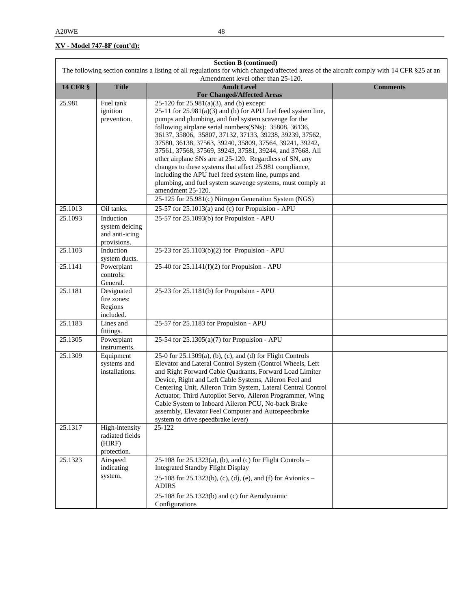| <b>Section B (continued)</b><br>The following section contains a listing of all regulations for which changed/affected areas of the aircraft comply with 14 CFR §25 at an |                                    |                                                                                                                      |                 |  |  |
|---------------------------------------------------------------------------------------------------------------------------------------------------------------------------|------------------------------------|----------------------------------------------------------------------------------------------------------------------|-----------------|--|--|
|                                                                                                                                                                           | Amendment level other than 25-120. |                                                                                                                      |                 |  |  |
| <b>14 CFR §</b>                                                                                                                                                           | <b>Title</b>                       | <b>Amdt Level</b>                                                                                                    | <b>Comments</b> |  |  |
|                                                                                                                                                                           |                                    | <b>For Changed/Affected Areas</b>                                                                                    |                 |  |  |
| 25.981                                                                                                                                                                    | Fuel tank<br>ignition              | 25-120 for 25.981(a)(3), and (b) except:<br>$25-11$ for $25.981(a)(3)$ and (b) for APU fuel feed system line,        |                 |  |  |
|                                                                                                                                                                           | prevention.                        | pumps and plumbing, and fuel system scavenge for the                                                                 |                 |  |  |
|                                                                                                                                                                           |                                    | following airplane serial numbers(SNs): 35808, 36136,                                                                |                 |  |  |
|                                                                                                                                                                           |                                    | 36137, 35806, 35807, 37132, 37133, 39238, 39239, 37562,                                                              |                 |  |  |
|                                                                                                                                                                           |                                    | 37580, 36138, 37563, 39240, 35809, 37564, 39241, 39242,                                                              |                 |  |  |
|                                                                                                                                                                           |                                    | 37561, 37568, 37569, 39243, 37581, 39244, and 37668. All<br>other airplane SNs are at 25-120. Regardless of SN, any  |                 |  |  |
|                                                                                                                                                                           |                                    | changes to these systems that affect 25.981 compliance,                                                              |                 |  |  |
|                                                                                                                                                                           |                                    | including the APU fuel feed system line, pumps and                                                                   |                 |  |  |
|                                                                                                                                                                           |                                    | plumbing, and fuel system scavenge systems, must comply at                                                           |                 |  |  |
|                                                                                                                                                                           |                                    | amendment 25-120.                                                                                                    |                 |  |  |
| 25.1013                                                                                                                                                                   | Oil tanks.                         | 25-125 for 25.981(c) Nitrogen Generation System (NGS)                                                                |                 |  |  |
| 25.1093                                                                                                                                                                   | Induction                          | 25-57 for $25.1013(a)$ and (c) for Propulsion - APU                                                                  |                 |  |  |
|                                                                                                                                                                           | system deicing                     | 25-57 for 25.1093(b) for Propulsion - APU                                                                            |                 |  |  |
|                                                                                                                                                                           | and anti-icing                     |                                                                                                                      |                 |  |  |
|                                                                                                                                                                           | provisions.                        |                                                                                                                      |                 |  |  |
| 25.1103                                                                                                                                                                   | Induction                          | 25-23 for 25.1103(b)(2) for Propulsion - APU                                                                         |                 |  |  |
| 25.1141                                                                                                                                                                   | system ducts.<br>Powerplant        | 25-40 for $25.1141(f)(2)$ for Propulsion - APU                                                                       |                 |  |  |
|                                                                                                                                                                           | controls:                          |                                                                                                                      |                 |  |  |
|                                                                                                                                                                           | General.                           |                                                                                                                      |                 |  |  |
| 25.1181                                                                                                                                                                   | Designated                         | 25-23 for 25.1181(b) for Propulsion - APU                                                                            |                 |  |  |
|                                                                                                                                                                           | fire zones:<br>Regions             |                                                                                                                      |                 |  |  |
|                                                                                                                                                                           | included.                          |                                                                                                                      |                 |  |  |
| 25.1183                                                                                                                                                                   | Lines and                          | 25-57 for 25.1183 for Propulsion - APU                                                                               |                 |  |  |
|                                                                                                                                                                           | fittings.                          |                                                                                                                      |                 |  |  |
| 25.1305                                                                                                                                                                   | Powerplant<br>instruments.         | 25-54 for 25.1305(a)(7) for Propulsion - APU                                                                         |                 |  |  |
| 25.1309                                                                                                                                                                   | Equipment                          | 25-0 for 25.1309(a), (b), (c), and (d) for Flight Controls                                                           |                 |  |  |
|                                                                                                                                                                           | systems and<br>installations.      | Elevator and Lateral Control System (Control Wheels, Left<br>and Right Forward Cable Quadrants, Forward Load Limiter |                 |  |  |
|                                                                                                                                                                           |                                    | Device, Right and Left Cable Systems, Aileron Feel and                                                               |                 |  |  |
|                                                                                                                                                                           |                                    | Centering Unit, Aileron Trim System, Lateral Central Control                                                         |                 |  |  |
|                                                                                                                                                                           |                                    | Actuator, Third Autopilot Servo, Aileron Programmer, Wing                                                            |                 |  |  |
|                                                                                                                                                                           |                                    | Cable System to Inboard Aileron PCU, No-back Brake                                                                   |                 |  |  |
|                                                                                                                                                                           |                                    | assembly, Elevator Feel Computer and Autospeedbrake<br>system to drive speedbrake lever)                             |                 |  |  |
| 25.1317                                                                                                                                                                   | High-intensity                     | 25-122                                                                                                               |                 |  |  |
|                                                                                                                                                                           | radiated fields                    |                                                                                                                      |                 |  |  |
|                                                                                                                                                                           | (HIRF)                             |                                                                                                                      |                 |  |  |
| 25.1323                                                                                                                                                                   | protection.<br>Airspeed            | 25-108 for $25.1323(a)$ , (b), and (c) for Flight Controls –                                                         |                 |  |  |
|                                                                                                                                                                           | indicating                         | <b>Integrated Standby Flight Display</b>                                                                             |                 |  |  |
|                                                                                                                                                                           | system.                            | 25-108 for 25.1323(b), (c), (d), (e), and (f) for Avionics -<br><b>ADIRS</b>                                         |                 |  |  |
|                                                                                                                                                                           |                                    | 25-108 for 25.1323(b) and (c) for Aerodynamic                                                                        |                 |  |  |
|                                                                                                                                                                           |                                    | Configurations                                                                                                       |                 |  |  |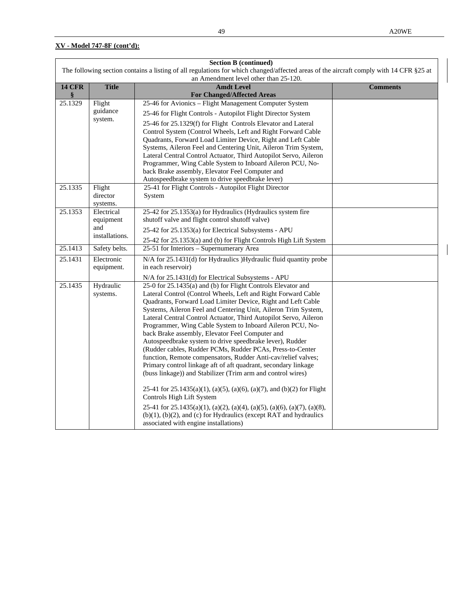| <b>Section B (continued)</b>                                                                                                                                                    |                      |                                                                                                                                    |                 |  |
|---------------------------------------------------------------------------------------------------------------------------------------------------------------------------------|----------------------|------------------------------------------------------------------------------------------------------------------------------------|-----------------|--|
| The following section contains a listing of all regulations for which changed/affected areas of the aircraft comply with 14 CFR §25 at<br>an Amendment level other than 25-120. |                      |                                                                                                                                    |                 |  |
| <b>14 CFR</b>                                                                                                                                                                   | <b>Title</b>         | <b>Amdt Level</b>                                                                                                                  | <b>Comments</b> |  |
| §                                                                                                                                                                               |                      | <b>For Changed/Affected Areas</b>                                                                                                  |                 |  |
| 25.1329                                                                                                                                                                         | Flight               | 25-46 for Avionics - Flight Management Computer System                                                                             |                 |  |
|                                                                                                                                                                                 | guidance             | 25-46 for Flight Controls - Autopilot Flight Director System                                                                       |                 |  |
|                                                                                                                                                                                 | system.              | 25-46 for 25.1329(f) for Flight Controls Elevator and Lateral                                                                      |                 |  |
|                                                                                                                                                                                 |                      | Control System (Control Wheels, Left and Right Forward Cable                                                                       |                 |  |
|                                                                                                                                                                                 |                      | Quadrants, Forward Load Limiter Device, Right and Left Cable                                                                       |                 |  |
|                                                                                                                                                                                 |                      | Systems, Aileron Feel and Centering Unit, Aileron Trim System,<br>Lateral Central Control Actuator, Third Autopilot Servo, Aileron |                 |  |
|                                                                                                                                                                                 |                      | Programmer, Wing Cable System to Inboard Aileron PCU, No-                                                                          |                 |  |
|                                                                                                                                                                                 |                      | back Brake assembly, Elevator Feel Computer and                                                                                    |                 |  |
|                                                                                                                                                                                 |                      | Autospeedbrake system to drive speedbrake lever)                                                                                   |                 |  |
| 25.1335                                                                                                                                                                         | Flight               | 25-41 for Flight Controls - Autopilot Flight Director                                                                              |                 |  |
|                                                                                                                                                                                 | director<br>systems. | System                                                                                                                             |                 |  |
| 25.1353                                                                                                                                                                         | Electrical           | 25-42 for 25.1353(a) for Hydraulics (Hydraulics system fire                                                                        |                 |  |
|                                                                                                                                                                                 | equipment            | shutoff valve and flight control shutoff valve)                                                                                    |                 |  |
|                                                                                                                                                                                 | and                  | 25-42 for 25.1353(a) for Electrical Subsystems - APU                                                                               |                 |  |
|                                                                                                                                                                                 | installations.       | 25-42 for 25.1353(a) and (b) for Flight Controls High Lift System                                                                  |                 |  |
| 25.1413                                                                                                                                                                         | Safety belts.        | 25-51 for Interiors - Supernumerary Area                                                                                           |                 |  |
| 25.1431                                                                                                                                                                         | Electronic           | N/A for 25.1431(d) for Hydraulics )Hydraulic fluid quantity probe                                                                  |                 |  |
|                                                                                                                                                                                 | equipment.           | in each reservoir)                                                                                                                 |                 |  |
|                                                                                                                                                                                 |                      | N/A for 25.1431(d) for Electrical Subsystems - APU                                                                                 |                 |  |
| 25.1435                                                                                                                                                                         | Hydraulic            | 25-0 for 25.1435(a) and (b) for Flight Controls Elevator and                                                                       |                 |  |
|                                                                                                                                                                                 | systems.             | Lateral Control (Control Wheels, Left and Right Forward Cable<br>Quadrants, Forward Load Limiter Device, Right and Left Cable      |                 |  |
|                                                                                                                                                                                 |                      | Systems, Aileron Feel and Centering Unit, Aileron Trim System,                                                                     |                 |  |
|                                                                                                                                                                                 |                      | Lateral Central Control Actuator, Third Autopilot Servo, Aileron                                                                   |                 |  |
|                                                                                                                                                                                 |                      | Programmer, Wing Cable System to Inboard Aileron PCU, No-                                                                          |                 |  |
|                                                                                                                                                                                 |                      | back Brake assembly, Elevator Feel Computer and                                                                                    |                 |  |
|                                                                                                                                                                                 |                      | Autospeedbrake system to drive speedbrake lever), Rudder<br>(Rudder cables, Rudder PCMs, Rudder PCAs, Press-to-Center              |                 |  |
|                                                                                                                                                                                 |                      | function, Remote compensators, Rudder Anti-cav/relief valves;                                                                      |                 |  |
|                                                                                                                                                                                 |                      | Primary control linkage aft of aft quadrant, secondary linkage                                                                     |                 |  |
|                                                                                                                                                                                 |                      | (buss linkage)) and Stabilizer (Trim arm and control wires)                                                                        |                 |  |
|                                                                                                                                                                                 |                      | 25-41 for $25.1435(a)(1)$ , (a)(5), (a)(6), (a)(7), and (b)(2) for Flight                                                          |                 |  |
|                                                                                                                                                                                 |                      | Controls High Lift System                                                                                                          |                 |  |
|                                                                                                                                                                                 |                      | 25-41 for $25.1435(a)(1)$ , (a)(2), (a)(4), (a)(5), (a)(6), (a)(7), (a)(8),                                                        |                 |  |
|                                                                                                                                                                                 |                      | $(b)(1)$ , $(b)(2)$ , and $(c)$ for Hydraulics (except RAT and hydraulics<br>associated with engine installations)                 |                 |  |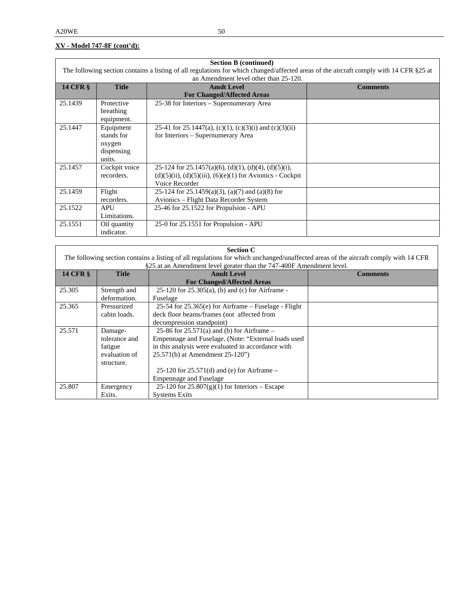| <b>Section B (continued)</b>                                                                                                           |               |                                                                   |                 |  |
|----------------------------------------------------------------------------------------------------------------------------------------|---------------|-------------------------------------------------------------------|-----------------|--|
| The following section contains a listing of all regulations for which changed/affected areas of the aircraft comply with 14 CFR §25 at |               |                                                                   |                 |  |
|                                                                                                                                        |               | an Amendment level other than 25-120.                             |                 |  |
| <b>14 CFR §</b>                                                                                                                        | <b>Title</b>  | <b>Amdt Level</b>                                                 | <b>Comments</b> |  |
|                                                                                                                                        |               | <b>For Changed/Affected Areas</b>                                 |                 |  |
| 25.1439                                                                                                                                | Protective    | 25-38 for Interiors – Supernumerary Area                          |                 |  |
|                                                                                                                                        | breathing     |                                                                   |                 |  |
|                                                                                                                                        | equipment.    |                                                                   |                 |  |
| 25.1447                                                                                                                                | Equipment     | 25-41 for 25.1447(a), (c)(1), (c)(3)(i) and (c)(3)(ii)            |                 |  |
|                                                                                                                                        | stands for    | for Interiors – Supernumerary Area                                |                 |  |
|                                                                                                                                        | oxygen        |                                                                   |                 |  |
|                                                                                                                                        | dispensing    |                                                                   |                 |  |
|                                                                                                                                        | units.        |                                                                   |                 |  |
| 25.1457                                                                                                                                | Cockpit voice | 25-124 for 25.1457(a)(6), (d)(1), (d)(4), (d)(5)(i),              |                 |  |
|                                                                                                                                        | recorders.    | $(d)(5)(ii)$ , $(d)(5)(iii)$ , $(6)(e)(1)$ for Avionics - Cockpit |                 |  |
|                                                                                                                                        |               | Voice Recorder                                                    |                 |  |
| 25.1459                                                                                                                                | Flight        | 25-124 for 25.1459(a)(3), (a)(7) and (a)(8) for                   |                 |  |
|                                                                                                                                        | recorders.    | Avionics – Flight Data Recorder System                            |                 |  |
| 25.1522                                                                                                                                | <b>APU</b>    | 25-46 for 25.1522 for Propulsion - APU                            |                 |  |
|                                                                                                                                        | Limitations.  |                                                                   |                 |  |
| 25.1551                                                                                                                                | Oil quantity  | 25-0 for 25.1551 for Propulsion - APU                             |                 |  |
|                                                                                                                                        | indicator.    |                                                                   |                 |  |

| <b>Section C</b> |               |                                                                                                                                     |                 |  |
|------------------|---------------|-------------------------------------------------------------------------------------------------------------------------------------|-----------------|--|
|                  |               | The following section contains a listing of all regulations for which unchanged/unaffected areas of the aircraft comply with 14 CFR |                 |  |
|                  |               | §25 at an Amendment level greater than the 747-400F Amendment level.                                                                |                 |  |
| <b>14 CFR §</b>  | <b>Title</b>  | <b>Amdt Level</b>                                                                                                                   | <b>Comments</b> |  |
|                  |               | <b>For Changed/Affected Areas</b>                                                                                                   |                 |  |
| 25.305           | Strength and  | 25-120 for $25.305(a)$ , (b) and (c) for Airframe -                                                                                 |                 |  |
|                  | deformation.  | Fuselage                                                                                                                            |                 |  |
| 25.365           | Pressurized   | $25-54$ for $25.365$ (e) for Airframe – Fuselage - Flight                                                                           |                 |  |
|                  | cabin loads.  | deck floor beams/frames (not affected from                                                                                          |                 |  |
|                  |               | decompression standpoint)                                                                                                           |                 |  |
| 25.571           | Damage-       | 25-86 for $25.571(a)$ and (b) for Airframe –                                                                                        |                 |  |
|                  | tolerance and | Empennage and Fuselage. (Note: "External loads used                                                                                 |                 |  |
|                  | fatigue       | in this analysis were evaluated in accordance with                                                                                  |                 |  |
|                  | evaluation of | 25.571(b) at Amendment 25-120")                                                                                                     |                 |  |
|                  | structure.    |                                                                                                                                     |                 |  |
|                  |               | 25-120 for $25.571(d)$ and (e) for Airframe –                                                                                       |                 |  |
|                  |               | <b>Empennage and Fuselage</b>                                                                                                       |                 |  |
| 25.807           | Emergency     | 25-120 for $25.807(g)(1)$ for Interiors – Escape                                                                                    |                 |  |
|                  | Exits.        | <b>Systems Exits</b>                                                                                                                |                 |  |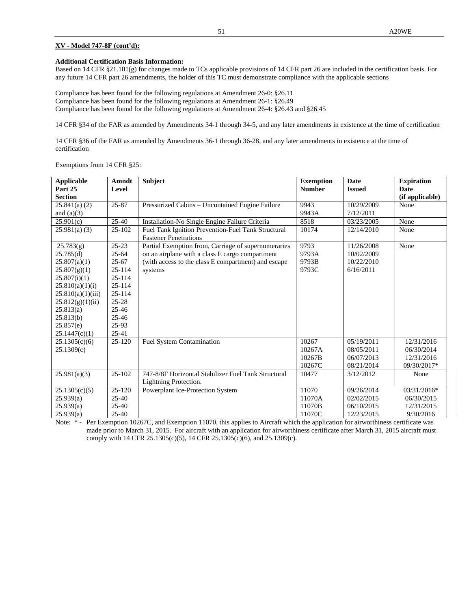#### **Additional Certification Basis Information:**

Based on 14 CFR §21.101(g) for changes made to TCs applicable provisions of 14 CFR part 26 are included in the certification basis. For any future 14 CFR part 26 amendments, the holder of this TC must demonstrate compliance with the applicable sections

Compliance has been found for the following regulations at Amendment 26-0: §26.11 Compliance has been found for the following regulations at Amendment 26-1: §26.49 Compliance has been found for the following regulations at Amendment 26-4: §26.43 and §26.45

14 CFR §34 of the FAR as amended by Amendments 34-1 through 34-5, and any later amendments in existence at the time of certification

14 CFR §36 of the FAR as amended by Amendments 36-1 through 36-28, and any later amendments in existence at the time of certification

Exemptions from 14 CFR §25:

| <b>Applicable</b><br>Part 25<br><b>Section</b>                                                                                                                                             | Amndt<br>Level                                                                                                                                         | <b>Subject</b>                                                                                                                                                           | <b>Exemption</b><br><b>Number</b>   | <b>Date</b><br><b>Issued</b>                         | <b>Expiration</b><br><b>Date</b><br>(if applicable)    |
|--------------------------------------------------------------------------------------------------------------------------------------------------------------------------------------------|--------------------------------------------------------------------------------------------------------------------------------------------------------|--------------------------------------------------------------------------------------------------------------------------------------------------------------------------|-------------------------------------|------------------------------------------------------|--------------------------------------------------------|
| 25.841(a) (2)<br>and $(a)(3)$                                                                                                                                                              | 25-87                                                                                                                                                  | Pressurized Cabins - Uncontained Engine Failure                                                                                                                          | 9943<br>9943A                       | 10/29/2009<br>7/12/2011                              | None                                                   |
| 25.901(c)                                                                                                                                                                                  | $25-40$                                                                                                                                                | Installation-No Single Engine Failure Criteria                                                                                                                           | 8518                                | 03/23/2005                                           | None                                                   |
| 25.981(a) (3)                                                                                                                                                                              | $25-102$                                                                                                                                               | Fuel Tank Ignition Prevention-Fuel Tank Structural<br><b>Fastener Penetrations</b>                                                                                       | 10174                               | 12/14/2010                                           | None                                                   |
| 25.783(g)<br>25.785(d)<br>25.807(a)(1)<br>25.807(g)(1)<br>25.807(i)(1)<br>25.810(a)(1)(i)<br>25.810(a)(1)(iii)<br>25.812(g)(1)(ii)<br>25.813(a)<br>25.813(b)<br>25.857(e)<br>25.1447(c)(1) | $25 - 23$<br>$25 - 64$<br>$25 - 67$<br>$25 - 114$<br>$25 - 114$<br>$25 - 114$<br>$25 - 114$<br>$25 - 28$<br>$25 - 46$<br>$25 - 46$<br>25-93<br>$25-41$ | Partial Exemption from, Carriage of supernumeraries<br>on an airplane with a class E cargo compartment<br>(with access to the class E compartment) and escape<br>systems | 9793<br>9793A<br>9793B<br>9793C     | 11/26/2008<br>10/02/2009<br>10/22/2010<br>6/16/2011  | None                                                   |
| 25.1305(c)(6)<br>25.1309(c)                                                                                                                                                                | $25-120$                                                                                                                                               | <b>Fuel System Contamination</b>                                                                                                                                         | 10267<br>10267A<br>10267B<br>10267C | 05/19/2011<br>08/05/2011<br>06/07/2013<br>08/21/2014 | 12/31/2016<br>06/30/2014<br>12/31/2016<br>09/30/2017*  |
| 25.981(a)(3)                                                                                                                                                                               | 25-102                                                                                                                                                 | 747-8/8F Horizontal Stabilizer Fuel Tank Structural<br>Lightning Protection.                                                                                             | 10477                               | 3/12/2012                                            | None                                                   |
| 25.1305(c)(5)<br>25.939(a)<br>25.939(a)<br>25.939(a)                                                                                                                                       | $25-120$<br>25-40<br>25-40<br>$25-40$                                                                                                                  | Powerplant Ice-Protection System                                                                                                                                         | 11070<br>11070A<br>11070B<br>11070C | 09/26/2014<br>02/02/2015<br>06/10/2015<br>12/23/2015 | $03/31/2016*$<br>06/30/2015<br>12/31/2015<br>9/30/2016 |

Note:  $*$  - Per Exemption 10267C, and Exemption 11070, this applies to Aircraft which the application for airworthiness certificate was made prior to March 31, 2015. For aircraft with an application for airworthiness certificate after March 31, 2015 aircraft must comply with 14 CFR 25.1305(c)(5), 14 CFR 25.1305(c)(6), and 25.1309(c).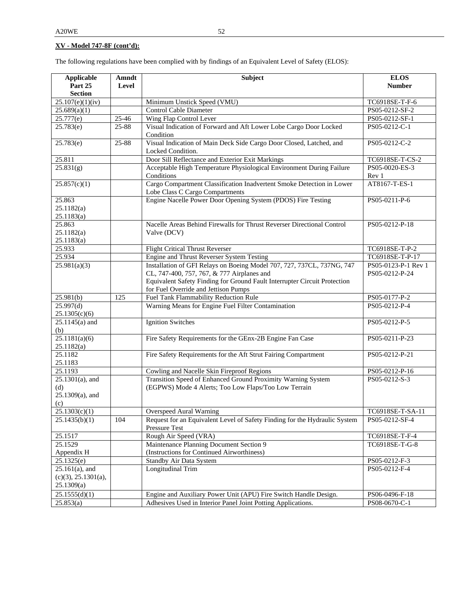The following regulations have been complied with by findings of an Equivalent Level of Safety (ELOS):

| <b>Applicable</b>                                      | Amndt     | Subject                                                                                                                                                                                           | <b>ELOS</b>                           |
|--------------------------------------------------------|-----------|---------------------------------------------------------------------------------------------------------------------------------------------------------------------------------------------------|---------------------------------------|
| Part 25                                                | Level     |                                                                                                                                                                                                   | <b>Number</b>                         |
| <b>Section</b>                                         |           |                                                                                                                                                                                                   |                                       |
| $\overline{25.107(e)(1)(iv)}$                          |           | Minimum Unstick Speed (VMU)                                                                                                                                                                       | TC6918SE-T-F-6                        |
| 25.689(a)(1)                                           |           | <b>Control Cable Diameter</b>                                                                                                                                                                     | PS05-0212-SF-2                        |
| 25.777(e)                                              | 25-46     | Wing Flap Control Lever                                                                                                                                                                           | PS05-0212-SF-1                        |
| 25.783(e)                                              | $25 - 88$ | Visual Indication of Forward and Aft Lower Lobe Cargo Door Locked<br>Condition                                                                                                                    | PS05-0212-C-1                         |
| 25.783(e)                                              | 25-88     | Visual Indication of Main Deck Side Cargo Door Closed, Latched, and<br>Locked Condition.                                                                                                          | PS05-0212-C-2                         |
| 25.811                                                 |           | Door Sill Reflectance and Exterior Exit Markings                                                                                                                                                  | TC6918SE-T-CS-2                       |
| 25.831(g)                                              |           | Acceptable High Temperature Physiological Environment During Failure<br>Conditions                                                                                                                | PS05-0020-ES-3<br>Rev 1               |
| 25.857(c)(1)                                           |           | Cargo Compartment Classification Inadvertent Smoke Detection in Lower<br>Lobe Class C Cargo Compartments                                                                                          | AT8167-T-ES-1                         |
| 25.863<br>25.1182(a)<br>25.1183(a)                     |           | Engine Nacelle Power Door Opening System (PDOS) Fire Testing                                                                                                                                      | PS05-0211-P-6                         |
| 25.863<br>25.1182(a)<br>25.1183(a)                     |           | Nacelle Areas Behind Firewalls for Thrust Reverser Directional Control<br>Valve (DCV)                                                                                                             | PS05-0212-P-18                        |
| 25.933                                                 |           | <b>Flight Critical Thrust Reverser</b>                                                                                                                                                            | TC6918SE-T-P-2                        |
| 25.934                                                 |           | <b>Engine and Thrust Reverser System Testing</b>                                                                                                                                                  | TC6918SE-T-P-17                       |
| 25.981(a)(3)                                           |           | Installation of GFI Relays on Boeing Model 707, 727, 737CL, 737NG, 747<br>CL, 747-400, 757, 767, & 777 Airplanes and<br>Equivalent Safety Finding for Ground Fault Interrupter Circuit Protection | PS05-0123-P-1 Rev 1<br>PS05-0212-P-24 |
|                                                        |           | for Fuel Override and Jettison Pumps                                                                                                                                                              |                                       |
| 25.981(b)                                              | 125       | Fuel Tank Flammability Reduction Rule                                                                                                                                                             | PS05-0177-P-2                         |
| 25.997(d)<br>25.1305(c)(6)                             |           | Warning Means for Engine Fuel Filter Contamination                                                                                                                                                | PS05-0212-P-4                         |
| $25.1145(a)$ and<br>(b)                                |           | <b>Ignition Switches</b>                                                                                                                                                                          | PS05-0212-P-5                         |
| 25.1181(a)(6)<br>25.1182(a)                            |           | Fire Safety Requirements for the GEnx-2B Engine Fan Case                                                                                                                                          | PS05-0211-P-23                        |
| 25.1182<br>25.1183                                     |           | Fire Safety Requirements for the Aft Strut Fairing Compartment                                                                                                                                    | PS05-0212-P-21                        |
| 25.1193                                                |           | Cowling and Nacelle Skin Fireproof Regions                                                                                                                                                        | PS05-0212-P-16                        |
| $25.1301(a)$ , and<br>(d)<br>$25.1309(a)$ , and<br>(c) |           | Transition Speed of Enhanced Ground Proximity Warning System<br>(EGPWS) Mode 4 Alerts; Too Low Flaps/Too Low Terrain                                                                              | PS05-0212-S-3                         |
| 25.1303(c)(1)                                          |           | <b>Overspeed Aural Warning</b>                                                                                                                                                                    | TC6918SE-T-SA-11                      |
| 25.1435(b)(1)                                          | 104       | Request for an Equivalent Level of Safety Finding for the Hydraulic System<br>Pressure Test                                                                                                       | PS05-0212-SF-4                        |
| 25.1517                                                |           | Rough Air Speed (VRA)                                                                                                                                                                             | TC6918SE-T-F-4                        |
| 25.1529                                                |           | Maintenance Planning Document Section 9                                                                                                                                                           | TC6918SE-T-G-8                        |
| Appendix H                                             |           | (Instructions for Continued Airworthiness)                                                                                                                                                        |                                       |
| 25.1325(e)                                             |           | Standby Air Data System                                                                                                                                                                           | PS05-0212-F-3                         |
| $25.161(a)$ , and<br>(c)(3), 25.1301(a),<br>25.1309(a) |           | Longitudinal Trim                                                                                                                                                                                 | PS05-0212-F-4                         |
| 25.1555(d)(1)                                          |           | Engine and Auxiliary Power Unit (APU) Fire Switch Handle Design.                                                                                                                                  | PS06-0496-F-18                        |
| 25.853(a)                                              |           | Adhesives Used in Interior Panel Joint Potting Applications.                                                                                                                                      | PS08-0670-C-1                         |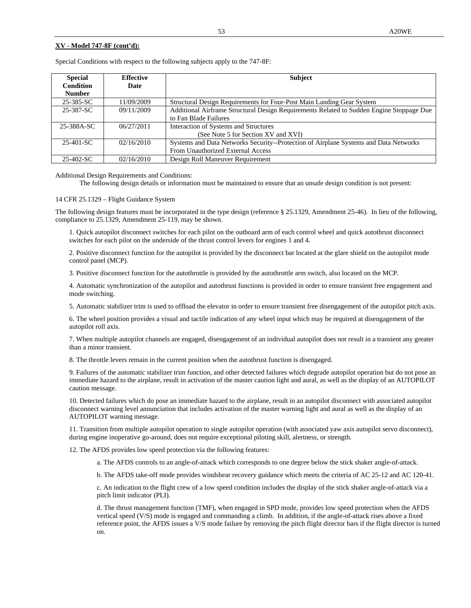| <b>Special</b>   | <b>Effective</b> | <b>Subject</b>                                                                           |
|------------------|------------------|------------------------------------------------------------------------------------------|
| <b>Condition</b> | Date             |                                                                                          |
| <b>Number</b>    |                  |                                                                                          |
| 25-385-SC        | 11/09/2009       | Structural Design Requirements for Four-Post Main Landing Gear System                    |
| 25-387-SC        | 09/11/2009       | Additional Airframe Structural Design Requirements Related to Sudden Engine Stoppage Due |
|                  |                  | to Fan Blade Failures                                                                    |
| 25-388A-SC       | 06/27/2011       | Interaction of Systems and Structures                                                    |
|                  |                  | (See Note 5 for Section XV and XVI)                                                      |
| $25-401-SC$      | 02/16/2010       | Systems and Data Networks Security--Protection of Airplane Systems and Data Networks     |
|                  |                  | From Unauthorized External Access                                                        |
| 25-402-SC        | 02/16/2010       | Design Roll Maneuver Requirement                                                         |

Special Conditions with respect to the following subjects apply to the 747-8F:

Additional Design Requirements and Conditions:

The following design details or information must be maintained to ensure that an unsafe design condition is not present:

14 CFR 25.1329 – Flight Guidance System

The following design features must be incorporated in the type design (reference § 25.1329, Amendment 25-46). In lieu of the following, compliance to 25.1329, Amendment 25-119, may be shown.

1. Quick autopilot disconnect switches for each pilot on the outboard arm of each control wheel and quick autothrust disconnect switches for each pilot on the underside of the thrust control levers for engines 1 and 4.

2. Positive disconnect function for the autopilot is provided by the disconnect bar located at the glare shield on the autopilot mode control panel (MCP).

3. Positive disconnect function for the autothrottle is provided by the autothrottle arm switch, also located on the MCP.

4. Automatic synchronization of the autopilot and autothrust functions is provided in order to ensure transient free engagement and mode switching.

5. Automatic stabilizer trim is used to offload the elevator in order to ensure transient free disengagement of the autopilot pitch axis.

6. The wheel position provides a visual and tactile indication of any wheel input which may be required at disengagement of the autopilot roll axis.

7. When multiple autopilot channels are engaged, disengagement of an individual autopilot does not result in a transient any greater than a minor transient.

8. The throttle levers remain in the current position when the autothrust function is disengaged.

9. Failures of the automatic stabilizer trim function, and other detected failures which degrade autopilot operation but do not pose an immediate hazard to the airplane, result in activation of the master caution light and aural, as well as the display of an AUTOPILOT caution message.

10. Detected failures which do pose an immediate hazard to the airplane, result in an autopilot disconnect with associated autopilot disconnect warning level annunciation that includes activation of the master warning light and aural as well as the display of an AUTOPILOT warning message.

11. Transition from multiple autopilot operation to single autopilot operation (with associated yaw axis autopilot servo disconnect), during engine inoperative go-around, does not require exceptional piloting skill, alertness, or strength.

12. The AFDS provides low speed protection via the following features:

a. The AFDS controls to an angle-of-attack which corresponds to one degree below the stick shaker angle-of-attack.

b. The AFDS take-off mode provides windshear recovery guidance which meets the criteria of AC 25-12 and AC 120-41.

c. An indication to the flight crew of a low speed condition includes the display of the stick shaker angle-of-attack via a pitch limit indicator (PLI).

d. The thrust management function (TMF), when engaged in SPD mode, provides low speed protection when the AFDS vertical speed (V/S) mode is engaged and commanding a climb. In addition, if the angle-of-attack rises above a fixed reference point, the AFDS issues a V/S mode failure by removing the pitch flight director bars if the flight director is turned on.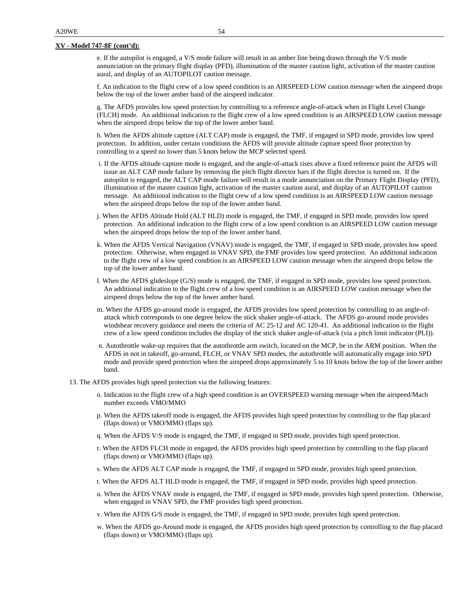e. If the autopilot is engaged, a V/S mode failure will result in an amber line being drawn through the V/S mode annunciation on the primary flight display (PFD), illumination of the master caution light, activation of the master caution aural, and display of an AUTOPILOT caution message.

f. An indication to the flight crew of a low speed condition is an AIRSPEED LOW caution message when the airspeed drops below the top of the lower amber band of the airspeed indicator.

g. The AFDS provides low speed protection by controlling to a reference angle-of-attack when in Flight Level Change (FLCH) mode. An additional indication to the flight crew of a low speed condition is an AIRSPEED LOW caution message when the airspeed drops below the top of the lower amber band.

h. When the AFDS altitude capture (ALT CAP) mode is engaged, the TMF, if engaged in SPD mode, provides low speed protection. In addition, under certain conditions the AFDS will provide altitude capture speed floor protection by controlling to a speed no lower than 5 knots below the MCP selected speed.

- i. If the AFDS altitude capture mode is engaged, and the angle-of-attack rises above a fixed reference point the AFDS will issue an ALT CAP mode failure by removing the pitch flight director bars if the flight director is turned on. If the autopilot is engaged, the ALT CAP mode failure will result in a mode annunciation on the Primary Flight Display (PFD), illumination of the master caution light, activation of the master caution aural, and display of an AUTOPILOT caution message. An additional indication to the flight crew of a low speed condition is an AIRSPEED LOW caution message when the airspeed drops below the top of the lower amber band.
- j. When the AFDS Altitude Hold (ALT HLD) mode is engaged, the TMF, if engaged in SPD mode, provides low speed protection. An additional indication to the flight crew of a low speed condition is an AIRSPEED LOW caution message when the airspeed drops below the top of the lower amber band.
- k. When the AFDS Vertical Navigation (VNAV) mode is engaged, the TMF, if engaged in SPD mode, provides low speed protection. Otherwise, when engaged in VNAV SPD, the FMF provides low speed protection. An additional indication to the flight crew of a low speed condition is an AIRSPEED LOW caution message when the airspeed drops below the top of the lower amber band.
- l. When the AFDS glideslope (G/S) mode is engaged, the TMF, if engaged in SPD mode, provides low speed protection. An additional indication to the flight crew of a low speed condition is an AIRSPEED LOW caution message when the airspeed drops below the top of the lower amber band.
- m. When the AFDS go-around mode is engaged, the AFDS provides low speed protection by controlling to an angle-ofattack which corresponds to one degree below the stick shaker angle-of-attack. The AFDS go-around mode provides windshear recovery guidance and meets the criteria of AC 25-12 and AC 120-41. An additional indication to the flight crew of a low speed condition includes the display of the stick shaker angle-of-attack (via a pitch limit indicator (PLI)).
- n. Autothrottle wake-up requires that the autothrottle arm switch, located on the MCP, be in the ARM position. When the AFDS in not in takeoff, go-around, FLCH, or VNAV SPD modes, the autothrottle will automatically engage into SPD mode and provide speed protection when the airspeed drops approximately 5 to 10 knots below the top of the lower amber band.
- 13. The AFDS provides high speed protection via the following features:
	- o. Indication to the flight crew of a high speed condition is an OVERSPEED warning message when the airspeed/Mach number exceeds VMO/MMO
	- p. When the AFDS takeoff mode is engaged, the AFDS provides high speed protection by controlling to the flap placard (flaps down) or VMO/MMO (flaps up).
	- q. When the AFDS V/S mode is engaged, the TMF, if engaged in SPD mode, provides high speed protection.
	- r. When the AFDS FLCH mode in engaged, the AFDS provides high speed protection by controlling to the flap placard (flaps down) or VMO/MMO (flaps up).
	- s. When the AFDS ALT CAP mode is engaged, the TMF, if engaged in SPD mode, provides high speed protection.
	- t. When the AFDS ALT HLD mode is engaged, the TMF, if engaged in SPD mode, provides high speed protection.
	- u. When the AFDS VNAV mode is engaged, the TMF, if engaged in SPD mode, provides high speed protection. Otherwise, when engaged in VNAV SPD, the FMF provides high speed protection.
	- v. When the AFDS G/S mode is engaged, the TMF, if engaged in SPD mode, provides high speed protection.
	- w. When the AFDS go-Around mode is engaged, the AFDS provides high speed protection by controlling to the flap placard (flaps down) or VMO/MMO (flaps up).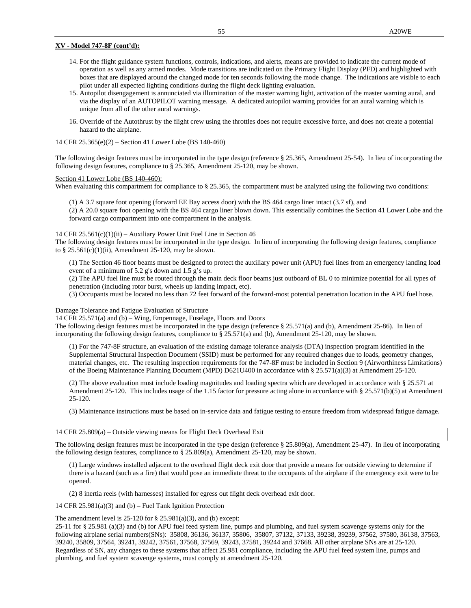- 14. For the flight guidance system functions, controls, indications, and alerts, means are provided to indicate the current mode of operation as well as any armed modes. Mode transitions are indicated on the Primary Flight Display (PFD) and highlighted with boxes that are displayed around the changed mode for ten seconds following the mode change. The indications are visible to each pilot under all expected lighting conditions during the flight deck lighting evaluation.
- 15. Autopilot disengagement is annunciated via illumination of the master warning light, activation of the master warning aural, and via the display of an AUTOPILOT warning message. A dedicated autopilot warning provides for an aural warning which is unique from all of the other aural warnings.
- 16. Override of the Autothrust by the flight crew using the throttles does not require excessive force, and does not create a potential hazard to the airplane.

14 CFR 25.365(e)(2) – Section 41 Lower Lobe (BS 140-460)

The following design features must be incorporated in the type design (reference § 25.365, Amendment 25-54). In lieu of incorporating the following design features, compliance to § 25.365, Amendment 25-120, may be shown.

#### Section 41 Lower Lobe (BS 140-460):

When evaluating this compartment for compliance to § 25.365, the compartment must be analyzed using the following two conditions:

(1) A 3.7 square foot opening (forward EE Bay access door) with the BS 464 cargo liner intact (3.7 sf), and

(2) A 20.0 square foot opening with the BS 464 cargo liner blown down. This essentially combines the Section 41 Lower Lobe and the forward cargo compartment into one compartment in the analysis.

#### 14 CFR  $25.561(c)(1)(ii)$  – Auxiliary Power Unit Fuel Line in Section 46

The following design features must be incorporated in the type design. In lieu of incorporating the following design features, compliance to §  $25.561(c)(1)(ii)$ , Amendment 25-120, may be shown.

(1) The Section 46 floor beams must be designed to protect the auxiliary power unit (APU) fuel lines from an emergency landing load event of a minimum of 5.2 g's down and 1.5 g's up.

(2) The APU fuel line must be routed through the main deck floor beams just outboard of BL 0 to minimize potential for all types of penetration (including rotor burst, wheels up landing impact, etc).

(3) Occupants must be located no less than 72 feet forward of the forward-most potential penetration location in the APU fuel hose.

#### Damage Tolerance and Fatigue Evaluation of Structure

14 CFR 25.571(a) and (b) – Wing, Empennage, Fuselage, Floors and Doors

The following design features must be incorporated in the type design (reference § 25.571(a) and (b), Amendment 25-86). In lieu of incorporating the following design features, compliance to § 25.571(a) and (b), Amendment 25-120, may be shown.

(1) For the 747-8F structure, an evaluation of the existing damage tolerance analysis (DTA) inspection program identified in the Supplemental Structural Inspection Document (SSID) must be performed for any required changes due to loads, geometry changes, material changes, etc. The resulting inspection requirements for the 747-8F must be included in Section 9 (Airworthiness Limitations) of the Boeing Maintenance Planning Document (MPD) D621U400 in accordance with § 25.571(a)(3) at Amendment 25-120.

(2) The above evaluation must include loading magnitudes and loading spectra which are developed in accordance with § 25.571 at Amendment 25-120. This includes usage of the 1.15 factor for pressure acting alone in accordance with § 25.571(b)(5) at Amendment 25-120.

(3) Maintenance instructions must be based on in-service data and fatigue testing to ensure freedom from widespread fatigue damage.

#### 14 CFR 25.809(a) – Outside viewing means for Flight Deck Overhead Exit

The following design features must be incorporated in the type design (reference § 25.809(a), Amendment 25-47). In lieu of incorporating the following design features, compliance to § 25.809(a), Amendment 25-120, may be shown.

(1) Large windows installed adjacent to the overhead flight deck exit door that provide a means for outside viewing to determine if there is a hazard (such as a fire) that would pose an immediate threat to the occupants of the airplane if the emergency exit were to be opened.

(2) 8 inertia reels (with harnesses) installed for egress out flight deck overhead exit door.

14 CFR 25.981(a)(3) and (b) – Fuel Tank Ignition Protection

#### The amendment level is  $25-120$  for  $\S 25.981(a)(3)$ , and (b) except:

25-11 for § 25.981 (a)(3) and (b) for APU fuel feed system line, pumps and plumbing, and fuel system scavenge systems only for the following airplane serial numbers(SNs): 35808, 36136, 36137, 35806, 35807, 37132, 37133, 39238, 39239, 37562, 37580, 36138, 37563, 39240, 35809, 37564, 39241, 39242, 37561, 37568, 37569, 39243, 37581, 39244 and 37668. All other airplane SNs are at 25-120. Regardless of SN, any changes to these systems that affect 25.981 compliance, including the APU fuel feed system line, pumps and plumbing, and fuel system scavenge systems, must comply at amendment 25-120.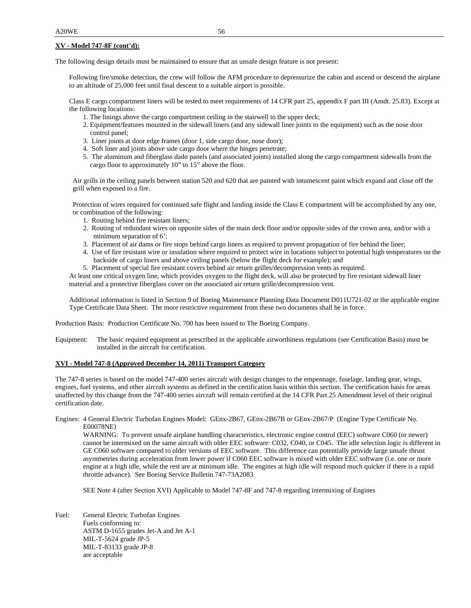The following design details must be maintained to ensure that an unsafe design feature is not present:

Following fire/smoke detection, the crew will follow the AFM procedure to depressurize the cabin and ascend or descend the airplane to an altitude of 25,000 feet until final descent to a suitable airport is possible.

Class E cargo compartment liners will be tested to meet requirements of 14 CFR part 25, appendix F part III (Amdt. 25.83). Except at the following locations:

- 1. The linings above the cargo compartment ceiling in the stairwell to the upper deck;
- 2. Equipment/features mounted in the sidewall liners (and any sidewall liner joints to the equipment) such as the nose door control panel;
- 3. Liner joints at door edge frames (door 1, side cargo door, nose door);
- 4. Soft liner and joints above side cargo door where the hinges penetrate;
- 5. The aluminum and fiberglass dado panels (and associated joints) installed along the cargo compartment sidewalls from the cargo floor to approximately 10" to 15" above the floor.

Air grills in the ceiling panels between station 520 and 620 that are painted with intumescent paint which expand and close off the grill when exposed to a fire.

Protection of wires required for continued safe flight and landing inside the Class E compartment will be accomplished by any one, or combination of the following:

- 1. Routing behind fire resistant liners;
- 2. Routing of redundant wires on opposite sides of the main deck floor and/or opposite sides of the crown area, and/or with a minimum separation of 6';
- 3. Placement of air dams or fire stops behind cargo liners as required to prevent propagation of fire behind the liner;
- 4. Use of fire resistant wire or insulation where required to protect wire in locations subject to potential high temperatures on the backside of cargo liners and above ceiling panels (below the flight deck for example); and
- 5. Placement of special fire resistant covers behind air return grilles/decompression vents as required.

At least one critical oxygen line, which provides oxygen to the flight deck, will also be protected by fire resistant sidewall liner material and a protective fiberglass cover on the associated air return grille/decompression vent.

Additional information is listed in Section 9 of Boeing Maintenance Planning Data Document D011U721-02 or the applicable engine Type Certificate Data Sheet. The more restrictive requirement from these two documents shall be in force.

Production Basis: Production Certificate No. 700 has been issued to The Boeing Company.

Equipment: The basic required equipment as prescribed in the applicable airworthiness regulations (see Certification Basis) must be installed in the aircraft for certification.

#### **XVI - Model 747-8 (Approved December 14, 2011) Transport Category**

The 747-8 series is based on the model 747-400 series aircraft with design changes to the empennage, fuselage, landing gear, wings, engines, fuel systems, and other aircraft systems as defined in the certification basis within this section. The certification basis for areas unaffected by this change from the 747-400 series aircraft will remain certified at the 14 CFR Part 25 Amendment level of their original certification date.

Engines: 4 General Electric Turbofan Engines Model: GEnx-2B67, GEnx-2B67B or GEnx-2B67/P (Engine Type Certificate No. E00078NE)

WARNING: To prevent unsafe airplane handling characteristics, electronic engine control (EEC) software C060 (or newer) cannot be intermixed on the same aircraft with older EEC software: C032, C040, or C045. The idle selection logic is different in GE C060 software compared to older versions of EEC software. This difference can potentially provide large unsafe thrust asymmetries during acceleration from lower power if C060 EEC software is mixed with older EEC software (i.e. one or more engine at a high idle, while the rest are at minimum idle. The engines at high idle will respond much quicker if there is a rapid throttle advance). See Boeing Service Bulletin 747-73A2083

SEE Note 4 (after Section XVI) Applicable to Model 747-8F and 747-8 regarding intermixing of Engines

Fuel: General Electric Turbofan Engines Fuels conforming to: ASTM D-1655 grades Jet-A and Jet A-1 MIL-T-5624 grade JP-5 MIL-T-83133 grade JP-8 are acceptable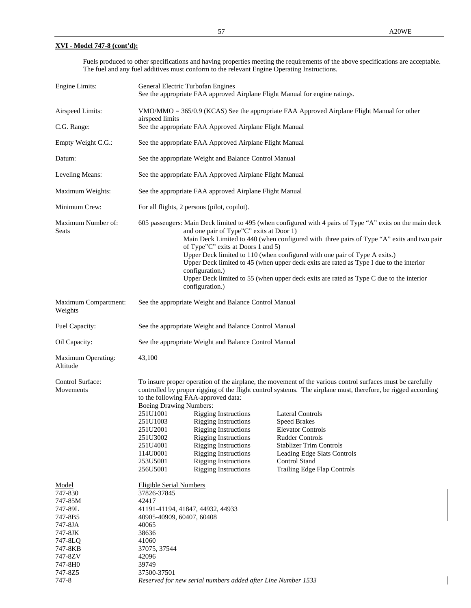Fuels produced to other specifications and having properties meeting the requirements of the above specifications are acceptable. The fuel and any fuel additives must conform to the relevant Engine Operating Instructions.

| Engine Limits:                                                                                                                          |                                                                                                                                                                                                                                                                                                                                                                                                                                                                                                                                                                                                    | General Electric Turbofan Engines                                                                                                                                                                                                                                                           | See the appropriate FAA approved Airplane Flight Manual for engine ratings.                                                                                                                                                                                                                                                                                                                                                                   |  |
|-----------------------------------------------------------------------------------------------------------------------------------------|----------------------------------------------------------------------------------------------------------------------------------------------------------------------------------------------------------------------------------------------------------------------------------------------------------------------------------------------------------------------------------------------------------------------------------------------------------------------------------------------------------------------------------------------------------------------------------------------------|---------------------------------------------------------------------------------------------------------------------------------------------------------------------------------------------------------------------------------------------------------------------------------------------|-----------------------------------------------------------------------------------------------------------------------------------------------------------------------------------------------------------------------------------------------------------------------------------------------------------------------------------------------------------------------------------------------------------------------------------------------|--|
| Airspeed Limits:                                                                                                                        | airspeed limits                                                                                                                                                                                                                                                                                                                                                                                                                                                                                                                                                                                    |                                                                                                                                                                                                                                                                                             | VMO/MMO = 365/0.9 (KCAS) See the appropriate FAA Approved Airplane Flight Manual for other                                                                                                                                                                                                                                                                                                                                                    |  |
| C.G. Range:                                                                                                                             |                                                                                                                                                                                                                                                                                                                                                                                                                                                                                                                                                                                                    | See the appropriate FAA Approved Airplane Flight Manual                                                                                                                                                                                                                                     |                                                                                                                                                                                                                                                                                                                                                                                                                                               |  |
| Empty Weight C.G.:                                                                                                                      | See the appropriate FAA Approved Airplane Flight Manual                                                                                                                                                                                                                                                                                                                                                                                                                                                                                                                                            |                                                                                                                                                                                                                                                                                             |                                                                                                                                                                                                                                                                                                                                                                                                                                               |  |
| Datum:                                                                                                                                  |                                                                                                                                                                                                                                                                                                                                                                                                                                                                                                                                                                                                    | See the appropriate Weight and Balance Control Manual                                                                                                                                                                                                                                       |                                                                                                                                                                                                                                                                                                                                                                                                                                               |  |
| Leveling Means:                                                                                                                         | See the appropriate FAA Approved Airplane Flight Manual                                                                                                                                                                                                                                                                                                                                                                                                                                                                                                                                            |                                                                                                                                                                                                                                                                                             |                                                                                                                                                                                                                                                                                                                                                                                                                                               |  |
| Maximum Weights:                                                                                                                        | See the appropriate FAA approved Airplane Flight Manual                                                                                                                                                                                                                                                                                                                                                                                                                                                                                                                                            |                                                                                                                                                                                                                                                                                             |                                                                                                                                                                                                                                                                                                                                                                                                                                               |  |
| Minimum Crew:                                                                                                                           | For all flights, 2 persons (pilot, copilot).                                                                                                                                                                                                                                                                                                                                                                                                                                                                                                                                                       |                                                                                                                                                                                                                                                                                             |                                                                                                                                                                                                                                                                                                                                                                                                                                               |  |
| Maximum Number of:<br><b>Seats</b>                                                                                                      | 605 passengers: Main Deck limited to 495 (when configured with 4 pairs of Type "A" exits on the main deck<br>and one pair of Type"C" exits at Door 1)<br>Main Deck Limited to 440 (when configured with three pairs of Type "A" exits and two pair<br>of Type"C" exits at Doors 1 and 5)<br>Upper Deck limited to 110 (when configured with one pair of Type A exits.)<br>Upper Deck limited to 45 (when upper deck exits are rated as Type I due to the interior<br>configuration.)<br>Upper Deck limited to 55 (when upper deck exits are rated as Type C due to the interior<br>configuration.) |                                                                                                                                                                                                                                                                                             |                                                                                                                                                                                                                                                                                                                                                                                                                                               |  |
| Maximum Compartment:<br>Weights                                                                                                         |                                                                                                                                                                                                                                                                                                                                                                                                                                                                                                                                                                                                    | See the appropriate Weight and Balance Control Manual                                                                                                                                                                                                                                       |                                                                                                                                                                                                                                                                                                                                                                                                                                               |  |
| Fuel Capacity:                                                                                                                          |                                                                                                                                                                                                                                                                                                                                                                                                                                                                                                                                                                                                    | See the appropriate Weight and Balance Control Manual                                                                                                                                                                                                                                       |                                                                                                                                                                                                                                                                                                                                                                                                                                               |  |
| Oil Capacity:                                                                                                                           |                                                                                                                                                                                                                                                                                                                                                                                                                                                                                                                                                                                                    | See the appropriate Weight and Balance Control Manual                                                                                                                                                                                                                                       |                                                                                                                                                                                                                                                                                                                                                                                                                                               |  |
| Maximum Operating:<br>Altitude                                                                                                          | 43,100                                                                                                                                                                                                                                                                                                                                                                                                                                                                                                                                                                                             |                                                                                                                                                                                                                                                                                             |                                                                                                                                                                                                                                                                                                                                                                                                                                               |  |
| Control Surface:<br>Movements                                                                                                           | <b>Boeing Drawing Numbers:</b><br>251U1001<br>251U1003<br>251U2001<br>251U3002<br>251U4001<br>114U0001<br>253U5001<br>256U5001                                                                                                                                                                                                                                                                                                                                                                                                                                                                     | to the following FAA-approved data:<br><b>Rigging Instructions</b><br><b>Rigging Instructions</b><br><b>Rigging Instructions</b><br><b>Rigging Instructions</b><br><b>Rigging Instructions</b><br><b>Rigging Instructions</b><br><b>Rigging Instructions</b><br><b>Rigging Instructions</b> | To insure proper operation of the airplane, the movement of the various control surfaces must be carefully<br>controlled by proper rigging of the flight control systems. The airplane must, therefore, be rigged according<br>Lateral Controls<br><b>Speed Brakes</b><br><b>Elevator Controls</b><br><b>Rudder Controls</b><br><b>Stablizer Trim Controls</b><br>Leading Edge Slats Controls<br>Control Stand<br>Trailing Edge Flap Controls |  |
| Model<br>747-830<br>747-85M<br>747-89L<br>747-8B5<br>747-8JA<br>747-8JK<br>747-8LQ<br>747-8KB<br>747-8ZV<br>747-8H0<br>747-8Z5<br>747-8 | <b>Eligible Serial Numbers</b><br>37826-37845<br>42417<br>40905-40909, 60407, 60408<br>40065<br>38636<br>41060<br>37075, 37544<br>42096<br>39749<br>37500-37501                                                                                                                                                                                                                                                                                                                                                                                                                                    | 41191-41194, 41847, 44932, 44933<br>Reserved for new serial numbers added after Line Number 1533                                                                                                                                                                                            |                                                                                                                                                                                                                                                                                                                                                                                                                                               |  |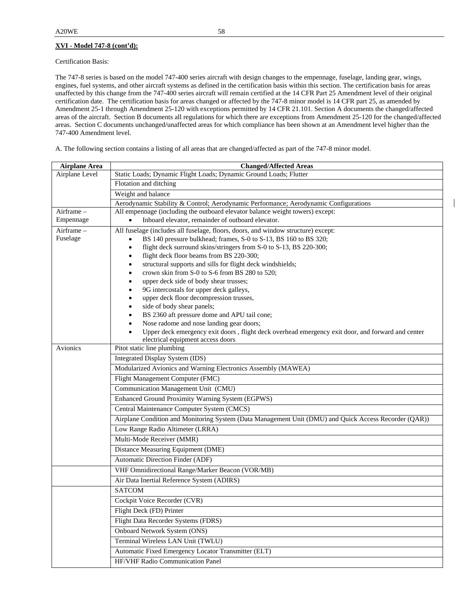Certification Basis:

The 747-8 series is based on the model 747-400 series aircraft with design changes to the empennage, fuselage, landing gear, wings, engines, fuel systems, and other aircraft systems as defined in the certification basis within this section. The certification basis for areas unaffected by this change from the 747-400 series aircraft will remain certified at the 14 CFR Part 25 Amendment level of their original certification date. The certification basis for areas changed or affected by the 747-8 minor model is 14 CFR part 25, as amended by Amendment 25-1 through Amendment 25-120 with exceptions permitted by 14 CFR 21.101. Section A documents the changed/affected areas of the aircraft. Section B documents all regulations for which there are exceptions from Amendment 25-120 for the changed/affected areas. Section C documents unchanged/unaffected areas for which compliance has been shown at an Amendment level higher than the 747-400 Amendment level.

A. The following section contains a listing of all areas that are changed/affected as part of the 747-8 minor model.

| <b>Airplane Area</b>   | <b>Changed/Affected Areas</b>                                                                                                                         |  |  |  |
|------------------------|-------------------------------------------------------------------------------------------------------------------------------------------------------|--|--|--|
| Airplane Level         | Static Loads; Dynamic Flight Loads; Dynamic Ground Loads; Flutter                                                                                     |  |  |  |
|                        | Flotation and ditching                                                                                                                                |  |  |  |
|                        | Weight and balance                                                                                                                                    |  |  |  |
|                        | Aerodynamic Stability & Control; Aerodynamic Performance; Aerodynamic Configurations                                                                  |  |  |  |
| Airframe -             | All empennage (including the outboard elevator balance weight towers) except:<br>Inboard elevator, remainder of outboard elevator.                    |  |  |  |
| Empennage              |                                                                                                                                                       |  |  |  |
| Airframe -<br>Fuselage | All fuselage (includes all fuselage, floors, doors, and window structure) except:<br>BS 140 pressure bulkhead; frames, S-0 to S-13, BS 160 to BS 320; |  |  |  |
|                        | flight deck surround skins/stringers from S-0 to S-13, BS 220-300;<br>$\bullet$                                                                       |  |  |  |
|                        | flight deck floor beams from BS 220-300;                                                                                                              |  |  |  |
|                        | structural supports and sills for flight deck windshields;                                                                                            |  |  |  |
|                        | crown skin from S-0 to S-6 from BS 280 to 520;                                                                                                        |  |  |  |
|                        | upper deck side of body shear trusses;                                                                                                                |  |  |  |
|                        | 9G intercostals for upper deck galleys,<br>upper deck floor decompression trusses,                                                                    |  |  |  |
|                        | side of body shear panels;                                                                                                                            |  |  |  |
|                        | BS 2360 aft pressure dome and APU tail cone;                                                                                                          |  |  |  |
|                        | Nose radome and nose landing gear doors;                                                                                                              |  |  |  |
|                        | Upper deck emergency exit doors, flight deck overhead emergency exit door, and forward and center                                                     |  |  |  |
|                        | electrical equipment access doors                                                                                                                     |  |  |  |
| Avionics               | Pitot static line plumbing<br>Integrated Display System (IDS)                                                                                         |  |  |  |
|                        | Modularized Avionics and Warning Electronics Assembly (MAWEA)                                                                                         |  |  |  |
|                        | Flight Management Computer (FMC)                                                                                                                      |  |  |  |
|                        | Communication Management Unit (CMU)                                                                                                                   |  |  |  |
|                        | Enhanced Ground Proximity Warning System (EGPWS)                                                                                                      |  |  |  |
|                        | Central Maintenance Computer System (CMCS)                                                                                                            |  |  |  |
|                        | Airplane Condition and Monitoring System (Data Management Unit (DMU) and Quick Access Recorder (QAR))                                                 |  |  |  |
|                        | Low Range Radio Altimeter (LRRA)                                                                                                                      |  |  |  |
|                        | Multi-Mode Receiver (MMR)                                                                                                                             |  |  |  |
|                        | Distance Measuring Equipment (DME)                                                                                                                    |  |  |  |
|                        | Automatic Direction Finder (ADF)                                                                                                                      |  |  |  |
|                        | VHF Omnidirectional Range/Marker Beacon (VOR/MB)                                                                                                      |  |  |  |
|                        | Air Data Inertial Reference System (ADIRS)                                                                                                            |  |  |  |
|                        | <b>SATCOM</b>                                                                                                                                         |  |  |  |
|                        | Cockpit Voice Recorder (CVR)                                                                                                                          |  |  |  |
|                        | Flight Deck (FD) Printer                                                                                                                              |  |  |  |
|                        | Flight Data Recorder Systems (FDRS)                                                                                                                   |  |  |  |
|                        | Onboard Network System (ONS)                                                                                                                          |  |  |  |
|                        | Terminal Wireless LAN Unit (TWLU)                                                                                                                     |  |  |  |
|                        | Automatic Fixed Emergency Locator Transmitter (ELT)                                                                                                   |  |  |  |
|                        | HF/VHF Radio Communication Panel                                                                                                                      |  |  |  |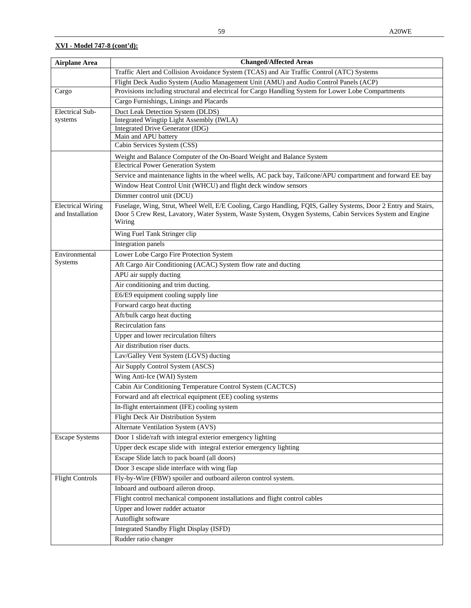| <b>Airplane Area</b>                         | <b>Changed/Affected Areas</b>                                                                                      |
|----------------------------------------------|--------------------------------------------------------------------------------------------------------------------|
|                                              | Traffic Alert and Collision Avoidance System (TCAS) and Air Traffic Control (ATC) Systems                          |
|                                              | Flight Deck Audio System (Audio Management Unit (AMU) and Audio Control Panels (ACP)                               |
| Cargo                                        | Provisions including structural and electrical for Cargo Handling System for Lower Lobe Compartments               |
|                                              | Cargo Furnishings, Linings and Placards                                                                            |
| <b>Electrical Sub-</b>                       | Duct Leak Detection System (DLDS)                                                                                  |
| systems                                      | Integrated Wingtip Light Assembly (IWLA)                                                                           |
|                                              | Integrated Drive Generator (IDG)                                                                                   |
|                                              | Main and APU battery<br>Cabin Services System (CSS)                                                                |
|                                              |                                                                                                                    |
|                                              | Weight and Balance Computer of the On-Board Weight and Balance System<br><b>Electrical Power Generation System</b> |
|                                              | Service and maintenance lights in the wheel wells, AC pack bay, Tailcone/APU compartment and forward EE bay        |
|                                              | Window Heat Control Unit (WHCU) and flight deck window sensors                                                     |
|                                              | Dimmer control unit (DCU)                                                                                          |
|                                              | Fuselage, Wing, Strut, Wheel Well, E/E Cooling, Cargo Handling, FQIS, Galley Systems, Door 2 Entry and Stairs,     |
| <b>Electrical Wiring</b><br>and Installation | Door 5 Crew Rest, Lavatory, Water System, Waste System, Oxygen Systems, Cabin Services System and Engine<br>Wiring |
|                                              | Wing Fuel Tank Stringer clip                                                                                       |
|                                              | Integration panels                                                                                                 |
| Environmental                                | Lower Lobe Cargo Fire Protection System                                                                            |
| Systems                                      | Aft Cargo Air Conditioning (ACAC) System flow rate and ducting                                                     |
|                                              | APU air supply ducting                                                                                             |
|                                              | Air conditioning and trim ducting.                                                                                 |
|                                              | E6/E9 equipment cooling supply line                                                                                |
|                                              | Forward cargo heat ducting                                                                                         |
|                                              | Aft/bulk cargo heat ducting                                                                                        |
|                                              | <b>Recirculation fans</b>                                                                                          |
|                                              | Upper and lower recirculation filters                                                                              |
|                                              | Air distribution riser ducts.                                                                                      |
|                                              | Lav/Galley Vent System (LGVS) ducting                                                                              |
|                                              | Air Supply Control System (ASCS)                                                                                   |
|                                              | Wing Anti-Ice (WAI) System                                                                                         |
|                                              | Cabin Air Conditioning Temperature Control System (CACTCS)                                                         |
|                                              | Forward and aft electrical equipment (EE) cooling systems                                                          |
|                                              | In-flight entertainment (IFE) cooling system                                                                       |
|                                              | Flight Deck Air Distribution System                                                                                |
|                                              | Alternate Ventilation System (AVS)                                                                                 |
| <b>Escape Systems</b>                        | Door 1 slide/raft with integral exterior emergency lighting                                                        |
|                                              | Upper deck escape slide with integral exterior emergency lighting                                                  |
|                                              | Escape Slide latch to pack board (all doors)                                                                       |
|                                              | Door 3 escape slide interface with wing flap                                                                       |
| <b>Flight Controls</b>                       | Fly-by-Wire (FBW) spoiler and outboard aileron control system.                                                     |
|                                              | Inboard and outboard aileron droop.                                                                                |
|                                              | Flight control mechanical component installations and flight control cables                                        |
|                                              | Upper and lower rudder actuator                                                                                    |
|                                              | Autoflight software                                                                                                |
|                                              | Integrated Standby Flight Display (ISFD)                                                                           |
|                                              | Rudder ratio changer                                                                                               |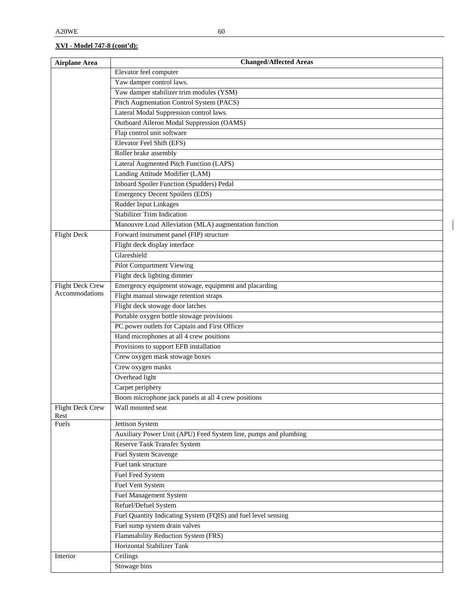| <b>Airplane Area</b>    | <b>Changed/Affected Areas</b>                                   |
|-------------------------|-----------------------------------------------------------------|
|                         | Elevator feel computer                                          |
|                         | Yaw damper control laws.                                        |
|                         | Yaw damper stabilizer trim modules (YSM)                        |
|                         | Pitch Augmentation Control System (PACS)                        |
|                         | Lateral Modal Suppression control laws.                         |
|                         | Outboard Aileron Modal Suppression (OAMS)                       |
|                         | Flap control unit software                                      |
|                         | Elevator Feel Shift (EFS)                                       |
|                         | Roller brake assembly                                           |
|                         | Lateral Augmented Pitch Function (LAPS)                         |
|                         | Landing Attitude Modifier (LAM)                                 |
|                         | Inboard Spoiler Function (Spudders) Pedal                       |
|                         | <b>Emergency Decent Spoilers (EDS)</b>                          |
|                         | Rudder Input Linkages                                           |
|                         | <b>Stabilizer Trim Indication</b>                               |
|                         | Manouvre Load Alleviation (MLA) augmentation function           |
| <b>Flight Deck</b>      | Forward instrument panel (FIP) structure                        |
|                         | Flight deck display interface                                   |
|                         | Glareshield                                                     |
|                         | <b>Pilot Compartment Viewing</b>                                |
|                         | Flight deck lighting dimmer                                     |
| <b>Flight Deck Crew</b> | Emergency equipment stowage, equipment and placarding           |
| Accommodations          | Flight manual stowage retention straps                          |
|                         | Flight deck stowage door latches                                |
|                         | Portable oxygen bottle stowage provisions                       |
|                         | PC power outlets for Captain and First Officer                  |
|                         | Hand microphones at all 4 crew positions                        |
|                         | Provisions to support EFB installation                          |
|                         | Crew oxygen mask stowage boxes                                  |
|                         | Crew oxygen masks                                               |
|                         | Overhead light                                                  |
|                         | Carpet periphery                                                |
|                         | Boom microphone jack panels at all 4 crew positions             |
| <b>Flight Deck Crew</b> | Wall mounted seat                                               |
| Rest<br>Fuels           | Jettison System                                                 |
|                         | Auxiliary Power Unit (APU) Feed System line, pumps and plumbing |
|                         | Reserve Tank Transfer System                                    |
|                         | Fuel System Scavenge                                            |
|                         | Fuel tank structure                                             |
|                         | Fuel Feed System                                                |
|                         | <b>Fuel Vent System</b>                                         |
|                         | <b>Fuel Management System</b>                                   |
|                         | Refuel/Defuel System                                            |
|                         | Fuel Quantity Indicating System (FQIS) and fuel level sensing   |
|                         | Fuel sump system drain valves                                   |
|                         | Flammability Reduction System (FRS)                             |
|                         | Horizontal Stabilizer Tank                                      |
| Interior                | Ceilings                                                        |
|                         | Stowage bins                                                    |
|                         |                                                                 |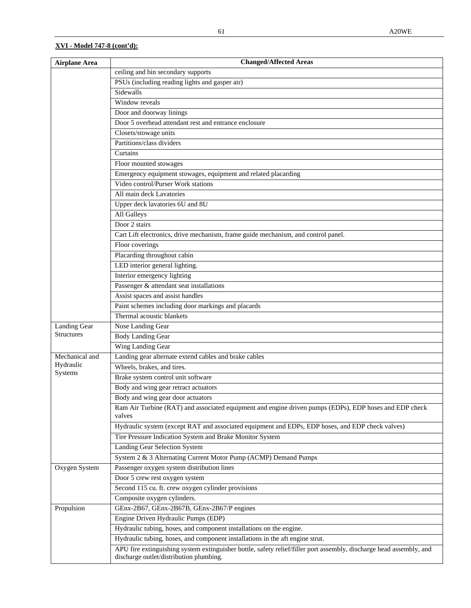| <b>Airplane Area</b> | <b>Changed/Affected Areas</b>                                                                                                                                  |
|----------------------|----------------------------------------------------------------------------------------------------------------------------------------------------------------|
|                      | ceiling and bin secondary supports                                                                                                                             |
|                      | PSUs (including reading lights and gasper air)                                                                                                                 |
|                      | Sidewalls                                                                                                                                                      |
|                      | Window reveals                                                                                                                                                 |
|                      | Door and doorway linings                                                                                                                                       |
|                      | Door 5 overhead attendant rest and entrance enclosure                                                                                                          |
|                      | Closets/stowage units                                                                                                                                          |
|                      | Partitions/class dividers                                                                                                                                      |
|                      | Curtains                                                                                                                                                       |
|                      | Floor mounted stowages                                                                                                                                         |
|                      | Emergency equipment stowages, equipment and related placarding                                                                                                 |
|                      | Video control/Purser Work stations                                                                                                                             |
|                      | All main deck Lavatories                                                                                                                                       |
|                      | Upper deck lavatories 6U and 8U                                                                                                                                |
|                      | All Galleys                                                                                                                                                    |
|                      | Door 2 stairs                                                                                                                                                  |
|                      | Cart Lift electronics, drive mechanism, frame guide mechanism, and control panel.                                                                              |
|                      | Floor coverings                                                                                                                                                |
|                      | Placarding throughout cabin                                                                                                                                    |
|                      | LED interior general lighting.                                                                                                                                 |
|                      | Interior emergency lighting                                                                                                                                    |
|                      | Passenger & attendant seat installations                                                                                                                       |
|                      | Assist spaces and assist handles                                                                                                                               |
|                      | Paint schemes including door markings and placards                                                                                                             |
|                      | Thermal acoustic blankets                                                                                                                                      |
| Landing Gear         | Nose Landing Gear                                                                                                                                              |
| <b>Structures</b>    | <b>Body Landing Gear</b>                                                                                                                                       |
|                      | <b>Wing Landing Gear</b>                                                                                                                                       |
| Mechanical and       | Landing gear alternate extend cables and brake cables                                                                                                          |
| Hydraulic<br>Systems | Wheels, brakes, and tires.                                                                                                                                     |
|                      | Brake system control unit software                                                                                                                             |
|                      | Body and wing gear retract actuators                                                                                                                           |
|                      | Body and wing gear door actuators                                                                                                                              |
|                      | Ram Air Turbine (RAT) and associated equipment and engine driven pumps (EDPs), EDP hoses and EDP check<br>valves                                               |
|                      | Hydraulic system (except RAT and associated equipment and EDPs, EDP hoses, and EDP check valves)                                                               |
|                      | Tire Pressure Indication System and Brake Monitor System                                                                                                       |
|                      | Landing Gear Selection System                                                                                                                                  |
|                      | System 2 & 3 Alternating Current Motor Pump (ACMP) Demand Pumps                                                                                                |
| Oxygen System        | Passenger oxygen system distribution lines                                                                                                                     |
|                      | Door 5 crew rest oxygen system                                                                                                                                 |
|                      | Second 115 cu. ft. crew oxygen cylinder provisions                                                                                                             |
|                      | Composite oxygen cylinders.                                                                                                                                    |
| Propulsion           | GEnx-2B67, GEnx-2B67B, GEnx-2B67/P engines                                                                                                                     |
|                      | Engine Driven Hydraulic Pumps (EDP)                                                                                                                            |
|                      | Hydraulic tubing, hoses, and component installations on the engine.                                                                                            |
|                      | Hydraulic tubing, hoses, and component installations in the aft engine strut.                                                                                  |
|                      | APU fire extinguishing system extinguisher bottle, safety relief/filler port assembly, discharge head assembly, and<br>discharge outlet/distribution plumbing. |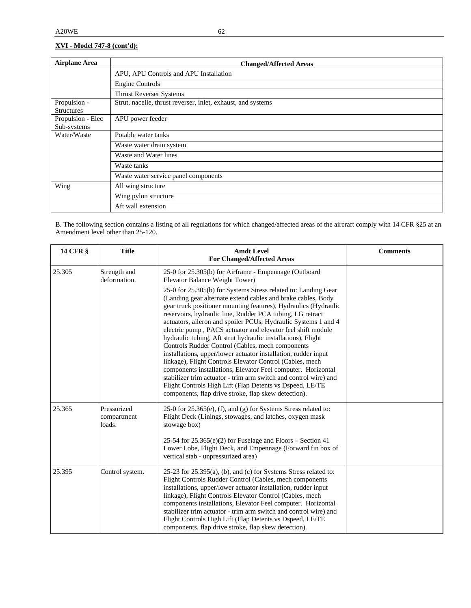| <b>Airplane Area</b> | <b>Changed/Affected Areas</b>                                |
|----------------------|--------------------------------------------------------------|
|                      | APU, APU Controls and APU Installation                       |
|                      | Engine Controls                                              |
|                      | <b>Thrust Reverser Systems</b>                               |
| Propulsion -         | Strut, nacelle, thrust reverser, inlet, exhaust, and systems |
| <b>Structures</b>    |                                                              |
| Propulsion - Elec    | APU power feeder                                             |
| Sub-systems          |                                                              |
| Water/Waste          | Potable water tanks                                          |
|                      | Waste water drain system                                     |
|                      | Waste and Water lines                                        |
|                      | Waste tanks                                                  |
|                      | Waste water service panel components                         |
| Wing                 | All wing structure                                           |
|                      | Wing pylon structure                                         |
|                      | Aft wall extension                                           |

B. The following section contains a listing of all regulations for which changed/affected areas of the aircraft comply with 14 CFR §25 at an Amendment level other than 25-120.

| <b>14 CFR §</b> | <b>Title</b>                         | <b>Amdt Level</b><br><b>For Changed/Affected Areas</b>                                                                                                                                                                                                                                                                                                                                                                                                                                                                                                                                                                                                                                                                                                                                                                                                                                                    | <b>Comments</b> |
|-----------------|--------------------------------------|-----------------------------------------------------------------------------------------------------------------------------------------------------------------------------------------------------------------------------------------------------------------------------------------------------------------------------------------------------------------------------------------------------------------------------------------------------------------------------------------------------------------------------------------------------------------------------------------------------------------------------------------------------------------------------------------------------------------------------------------------------------------------------------------------------------------------------------------------------------------------------------------------------------|-----------------|
| 25.305          | Strength and<br>deformation.         | 25-0 for 25.305(b) for Airframe - Empennage (Outboard<br>Elevator Balance Weight Tower)                                                                                                                                                                                                                                                                                                                                                                                                                                                                                                                                                                                                                                                                                                                                                                                                                   |                 |
|                 |                                      | 25-0 for 25.305(b) for Systems Stress related to: Landing Gear<br>(Landing gear alternate extend cables and brake cables, Body<br>gear truck positioner mounting features), Hydraulics (Hydraulic<br>reservoirs, hydraulic line, Rudder PCA tubing, LG retract<br>actuators, aileron and spoiler PCUs, Hydraulic Systems 1 and 4<br>electric pump, PACS actuator and elevator feel shift module<br>hydraulic tubing, Aft strut hydraulic installations), Flight<br>Controls Rudder Control (Cables, mech components<br>installations, upper/lower actuator installation, rudder input<br>linkage), Flight Controls Elevator Control (Cables, mech<br>components installations, Elevator Feel computer. Horizontal<br>stabilizer trim actuator - trim arm switch and control wire) and<br>Flight Controls High Lift (Flap Detents vs Dspeed, LE/TE<br>components, flap drive stroke, flap skew detection). |                 |
| 25.365          | Pressurized<br>compartment<br>loads. | $25-0$ for $25.365(e)$ , (f), and (g) for Systems Stress related to:<br>Flight Deck (Linings, stowages, and latches, oxygen mask<br>stowage box)<br>25-54 for 25.365(e)(2) for Fuselage and Floors - Section 41<br>Lower Lobe, Flight Deck, and Empennage (Forward fin box of                                                                                                                                                                                                                                                                                                                                                                                                                                                                                                                                                                                                                             |                 |
|                 |                                      | vertical stab - unpressurized area)                                                                                                                                                                                                                                                                                                                                                                                                                                                                                                                                                                                                                                                                                                                                                                                                                                                                       |                 |
| 25.395          | Control system.                      | $25-23$ for $25.395(a)$ , (b), and (c) for Systems Stress related to:<br>Flight Controls Rudder Control (Cables, mech components<br>installations, upper/lower actuator installation, rudder input<br>linkage), Flight Controls Elevator Control (Cables, mech<br>components installations, Elevator Feel computer. Horizontal<br>stabilizer trim actuator - trim arm switch and control wire) and<br>Flight Controls High Lift (Flap Detents vs Dspeed, LE/TE<br>components, flap drive stroke, flap skew detection).                                                                                                                                                                                                                                                                                                                                                                                    |                 |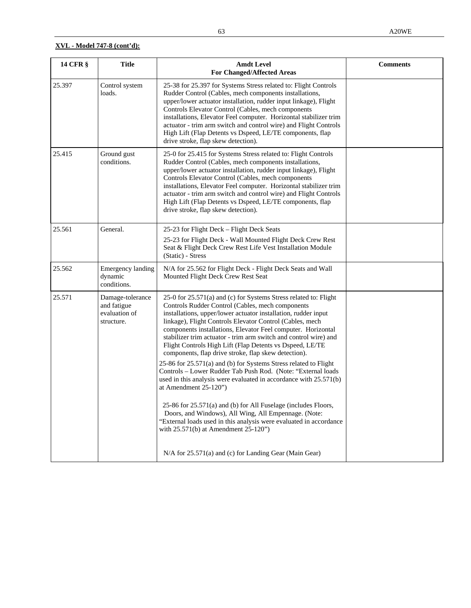| 14 CFR § | <b>Title</b>                                                   | <b>Amdt Level</b><br><b>For Changed/Affected Areas</b>                                                                                                                                                                                                                                                                                                                                                                                                                                                                                                                                                                                                                                                              | <b>Comments</b> |
|----------|----------------------------------------------------------------|---------------------------------------------------------------------------------------------------------------------------------------------------------------------------------------------------------------------------------------------------------------------------------------------------------------------------------------------------------------------------------------------------------------------------------------------------------------------------------------------------------------------------------------------------------------------------------------------------------------------------------------------------------------------------------------------------------------------|-----------------|
| 25.397   | Control system<br>loads.                                       | 25-38 for 25.397 for Systems Stress related to: Flight Controls<br>Rudder Control (Cables, mech components installations,<br>upper/lower actuator installation, rudder input linkage), Flight<br>Controls Elevator Control (Cables, mech components<br>installations, Elevator Feel computer. Horizontal stabilizer trim<br>actuator - trim arm switch and control wire) and Flight Controls<br>High Lift (Flap Detents vs Dspeed, LE/TE components, flap<br>drive stroke, flap skew detection).                                                                                                                                                                                                                    |                 |
| 25.415   | Ground gust<br>conditions.                                     | 25-0 for 25.415 for Systems Stress related to: Flight Controls<br>Rudder Control (Cables, mech components installations,<br>upper/lower actuator installation, rudder input linkage), Flight<br>Controls Elevator Control (Cables, mech components<br>installations, Elevator Feel computer. Horizontal stabilizer trim<br>actuator - trim arm switch and control wire) and Flight Controls<br>High Lift (Flap Detents vs Dspeed, LE/TE components, flap<br>drive stroke, flap skew detection).                                                                                                                                                                                                                     |                 |
| 25.561   | General.                                                       | 25-23 for Flight Deck – Flight Deck Seats<br>25-23 for Flight Deck - Wall Mounted Flight Deck Crew Rest<br>Seat & Flight Deck Crew Rest Life Vest Installation Module<br>(Static) - Stress                                                                                                                                                                                                                                                                                                                                                                                                                                                                                                                          |                 |
| 25.562   | <b>Emergency landing</b><br>dynamic<br>conditions.             | N/A for 25.562 for Flight Deck - Flight Deck Seats and Wall<br>Mounted Flight Deck Crew Rest Seat                                                                                                                                                                                                                                                                                                                                                                                                                                                                                                                                                                                                                   |                 |
| 25.571   | Damage-tolerance<br>and fatigue<br>evaluation of<br>structure. | 25-0 for 25.571(a) and (c) for Systems Stress related to: Flight<br>Controls Rudder Control (Cables, mech components<br>installations, upper/lower actuator installation, rudder input<br>linkage), Flight Controls Elevator Control (Cables, mech<br>components installations, Elevator Feel computer. Horizontal<br>stabilizer trim actuator - trim arm switch and control wire) and<br>Flight Controls High Lift (Flap Detents vs Dspeed, LE/TE<br>components, flap drive stroke, flap skew detection).<br>25-86 for 25.571(a) and (b) for Systems Stress related to Flight<br>Controls - Lower Rudder Tab Push Rod. (Note: "External loads<br>used in this analysis were evaluated in accordance with 25.571(b) |                 |
|          |                                                                | at Amendment 25-120")<br>25-86 for 25.571(a) and (b) for All Fuselage (includes Floors,<br>Doors, and Windows), All Wing, All Empennage. (Note:<br>"External loads used in this analysis were evaluated in accordance<br>with $25.571(b)$ at Amendment $25-120$ ")                                                                                                                                                                                                                                                                                                                                                                                                                                                  |                 |
|          |                                                                | N/A for 25.571(a) and (c) for Landing Gear (Main Gear)                                                                                                                                                                                                                                                                                                                                                                                                                                                                                                                                                                                                                                                              |                 |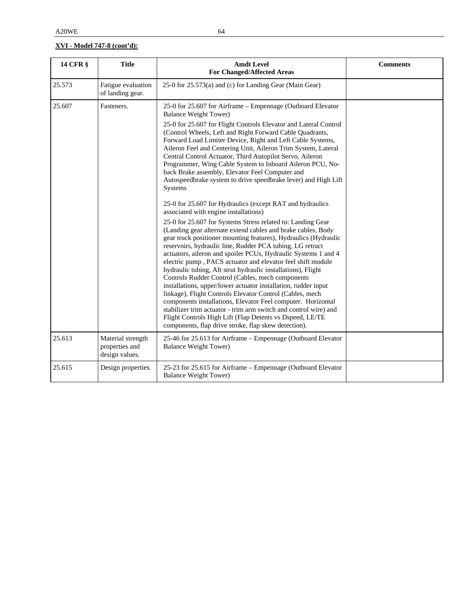| <b>14 CFR §</b> | <b>Title</b>                                          | <b>Amdt Level</b><br><b>For Changed/Affected Areas</b>                                                                                                                                                                                                                                                                                                                                                                                                                                                                                                                                                                                                                                                                                                                                                                                                                                                                                                                                                                                                                                                                                                                                                                                                                                                                                                                                                                                                                                                                                                                                                                              | <b>Comments</b> |
|-----------------|-------------------------------------------------------|-------------------------------------------------------------------------------------------------------------------------------------------------------------------------------------------------------------------------------------------------------------------------------------------------------------------------------------------------------------------------------------------------------------------------------------------------------------------------------------------------------------------------------------------------------------------------------------------------------------------------------------------------------------------------------------------------------------------------------------------------------------------------------------------------------------------------------------------------------------------------------------------------------------------------------------------------------------------------------------------------------------------------------------------------------------------------------------------------------------------------------------------------------------------------------------------------------------------------------------------------------------------------------------------------------------------------------------------------------------------------------------------------------------------------------------------------------------------------------------------------------------------------------------------------------------------------------------------------------------------------------------|-----------------|
| 25.573          | Fatigue evaluation<br>of landing gear.                | 25-0 for 25.573(a) and (c) for Landing Gear (Main Gear)                                                                                                                                                                                                                                                                                                                                                                                                                                                                                                                                                                                                                                                                                                                                                                                                                                                                                                                                                                                                                                                                                                                                                                                                                                                                                                                                                                                                                                                                                                                                                                             |                 |
| 25.607          | Fasteners.                                            | 25-0 for 25.607 for Airframe - Empennage (Outboard Elevator<br><b>Balance Weight Tower)</b><br>25-0 for 25.607 for Flight Controls Elevator and Lateral Control<br>(Control Wheels, Left and Right Forward Cable Quadrants,<br>Forward Load Limiter Device, Right and Left Cable Systems,<br>Aileron Feel and Centering Unit, Aileron Trim System, Lateral<br>Central Control Actuator, Third Autopilot Servo, Aileron<br>Programmer, Wing Cable System to Inboard Aileron PCU, No-<br>back Brake assembly, Elevator Feel Computer and<br>Autospeedbrake system to drive speedbrake lever) and High Lift<br>Systems<br>25-0 for 25.607 for Hydraulics (except RAT and hydraulics<br>associated with engine installations)<br>25-0 for 25.607 for Systems Stress related to: Landing Gear<br>(Landing gear alternate extend cables and brake cables, Body<br>gear truck positioner mounting features), Hydraulics (Hydraulic<br>reservoirs, hydraulic line, Rudder PCA tubing, LG retract<br>actuators, aileron and spoiler PCUs, Hydraulic Systems 1 and 4<br>electric pump, PACS actuator and elevator feel shift module<br>hydraulic tubing, Aft strut hydraulic installations), Flight<br>Controls Rudder Control (Cables, mech components<br>installations, upper/lower actuator installation, rudder input<br>linkage), Flight Controls Elevator Control (Cables, mech<br>components installations, Elevator Feel computer. Horizontal<br>stabilizer trim actuator - trim arm switch and control wire) and<br>Flight Controls High Lift (Flap Detents vs Dspeed, LE/TE<br>components, flap drive stroke, flap skew detection). |                 |
| 25.613          | Material strength<br>properties and<br>design values. | 25-46 for 25.613 for Airframe - Empennage (Outboard Elevator<br><b>Balance Weight Tower)</b>                                                                                                                                                                                                                                                                                                                                                                                                                                                                                                                                                                                                                                                                                                                                                                                                                                                                                                                                                                                                                                                                                                                                                                                                                                                                                                                                                                                                                                                                                                                                        |                 |
| 25.615          | Design properties.                                    | 25-23 for 25.615 for Airframe - Empennage (Outboard Elevator<br><b>Balance Weight Tower)</b>                                                                                                                                                                                                                                                                                                                                                                                                                                                                                                                                                                                                                                                                                                                                                                                                                                                                                                                                                                                                                                                                                                                                                                                                                                                                                                                                                                                                                                                                                                                                        |                 |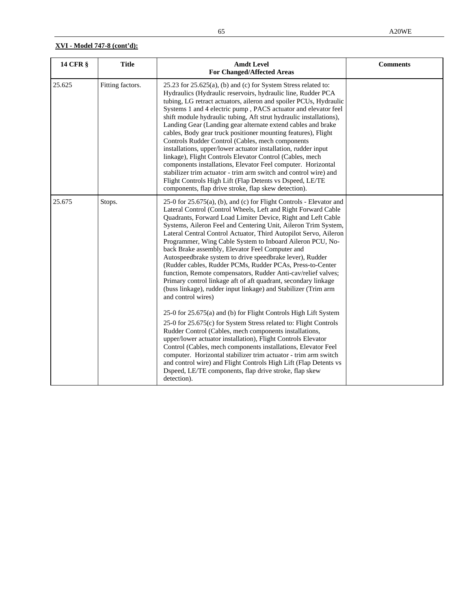| <b>14 CFR §</b> | <b>Title</b>     | <b>Amdt Level</b><br><b>For Changed/Affected Areas</b>                                                                                                                                                                                                                                                                                                                                                                                                                                                                                                                                                                                                                                                                                                                                                                                                                                                                 | <b>Comments</b> |
|-----------------|------------------|------------------------------------------------------------------------------------------------------------------------------------------------------------------------------------------------------------------------------------------------------------------------------------------------------------------------------------------------------------------------------------------------------------------------------------------------------------------------------------------------------------------------------------------------------------------------------------------------------------------------------------------------------------------------------------------------------------------------------------------------------------------------------------------------------------------------------------------------------------------------------------------------------------------------|-----------------|
| 25.625          | Fitting factors. | 25.23 for 25.625(a), (b) and (c) for System Stress related to:<br>Hydraulics (Hydraulic reservoirs, hydraulic line, Rudder PCA<br>tubing, LG retract actuators, aileron and spoiler PCUs, Hydraulic<br>Systems 1 and 4 electric pump, PACS actuator and elevator feel<br>shift module hydraulic tubing, Aft strut hydraulic installations),<br>Landing Gear (Landing gear alternate extend cables and brake<br>cables, Body gear truck positioner mounting features), Flight<br>Controls Rudder Control (Cables, mech components<br>installations, upper/lower actuator installation, rudder input<br>linkage), Flight Controls Elevator Control (Cables, mech<br>components installations, Elevator Feel computer. Horizontal<br>stabilizer trim actuator - trim arm switch and control wire) and<br>Flight Controls High Lift (Flap Detents vs Dspeed, LE/TE<br>components, flap drive stroke, flap skew detection). |                 |
| 25.675          | Stops.           | 25-0 for 25.675(a), (b), and (c) for Flight Controls - Elevator and<br>Lateral Control (Control Wheels, Left and Right Forward Cable<br>Quadrants, Forward Load Limiter Device, Right and Left Cable<br>Systems, Aileron Feel and Centering Unit, Aileron Trim System,<br>Lateral Central Control Actuator, Third Autopilot Servo, Aileron<br>Programmer, Wing Cable System to Inboard Aileron PCU, No-<br>back Brake assembly, Elevator Feel Computer and<br>Autospeedbrake system to drive speedbrake lever), Rudder<br>(Rudder cables, Rudder PCMs, Rudder PCAs, Press-to-Center<br>function, Remote compensators, Rudder Anti-cav/relief valves;<br>Primary control linkage aft of aft quadrant, secondary linkage<br>(buss linkage), rudder input linkage) and Stabilizer (Trim arm<br>and control wires)                                                                                                         |                 |
|                 |                  | 25-0 for 25.675(a) and (b) for Flight Controls High Lift System<br>25-0 for 25.675(c) for System Stress related to: Flight Controls<br>Rudder Control (Cables, mech components installations,<br>upper/lower actuator installation), Flight Controls Elevator<br>Control (Cables, mech components installations, Elevator Feel<br>computer. Horizontal stabilizer trim actuator - trim arm switch<br>and control wire) and Flight Controls High Lift (Flap Detents vs<br>Dspeed, LE/TE components, flap drive stroke, flap skew<br>detection).                                                                                                                                                                                                                                                                                                                                                                         |                 |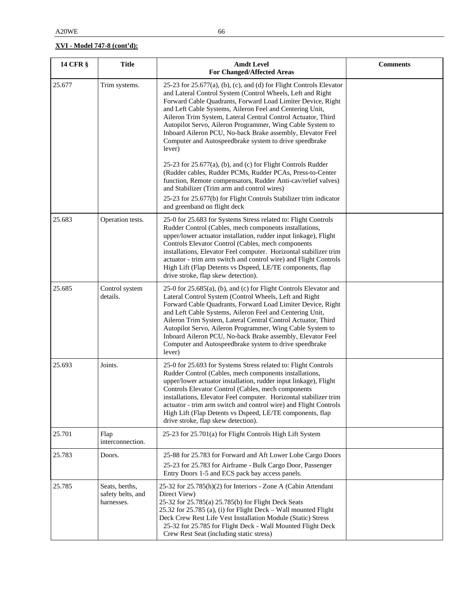| <b>14 CFR §</b> | <b>Title</b>                                      | <b>Amdt Level</b><br><b>For Changed/Affected Areas</b>                                                                                                                                                                                                                                                                                                                                                                                                                                                                         | <b>Comments</b> |
|-----------------|---------------------------------------------------|--------------------------------------------------------------------------------------------------------------------------------------------------------------------------------------------------------------------------------------------------------------------------------------------------------------------------------------------------------------------------------------------------------------------------------------------------------------------------------------------------------------------------------|-----------------|
| 25.677          | Trim systems.                                     | 25-23 for $25.677(a)$ , (b), (c), and (d) for Flight Controls Elevator<br>and Lateral Control System (Control Wheels, Left and Right<br>Forward Cable Quadrants, Forward Load Limiter Device, Right<br>and Left Cable Systems, Aileron Feel and Centering Unit,<br>Aileron Trim System, Lateral Central Control Actuator, Third<br>Autopilot Servo, Aileron Programmer, Wing Cable System to<br>Inboard Aileron PCU, No-back Brake assembly, Elevator Feel<br>Computer and Autospeedbrake system to drive speedbrake<br>lever) |                 |
|                 |                                                   | 25-23 for $25.677(a)$ , (b), and (c) for Flight Controls Rudder<br>(Rudder cables, Rudder PCMs, Rudder PCAs, Press-to-Center<br>function, Remote compensators, Rudder Anti-cav/relief valves)<br>and Stabilizer (Trim arm and control wires)<br>25-23 for 25.677(b) for Flight Controls Stabilizer trim indicator<br>and greenband on flight deck                                                                                                                                                                              |                 |
| 25.683          | Operation tests.                                  | 25-0 for 25.683 for Systems Stress related to: Flight Controls<br>Rudder Control (Cables, mech components installations,<br>upper/lower actuator installation, rudder input linkage), Flight<br>Controls Elevator Control (Cables, mech components<br>installations, Elevator Feel computer. Horizontal stabilizer trim<br>actuator - trim arm switch and control wire) and Flight Controls<br>High Lift (Flap Detents vs Dspeed, LE/TE components, flap<br>drive stroke, flap skew detection).                                |                 |
| 25.685          | Control system<br>details.                        | 25-0 for 25.685(a), (b), and (c) for Flight Controls Elevator and<br>Lateral Control System (Control Wheels, Left and Right<br>Forward Cable Quadrants, Forward Load Limiter Device, Right<br>and Left Cable Systems, Aileron Feel and Centering Unit,<br>Aileron Trim System, Lateral Central Control Actuator, Third<br>Autopilot Servo, Aileron Programmer, Wing Cable System to<br>Inboard Aileron PCU, No-back Brake assembly, Elevator Feel<br>Computer and Autospeedbrake system to drive speedbrake<br>lever)          |                 |
| 25.693          | Joints.                                           | 25-0 for 25.693 for Systems Stress related to: Flight Controls<br>Rudder Control (Cables, mech components installations,<br>upper/lower actuator installation, rudder input linkage), Flight<br>Controls Elevator Control (Cables, mech components<br>installations, Elevator Feel computer. Horizontal stabilizer trim<br>actuator - trim arm switch and control wire) and Flight Controls<br>High Lift (Flap Detents vs Dspeed, LE/TE components, flap<br>drive stroke, flap skew detection).                                |                 |
| 25.701          | Flap<br>interconnection.                          | 25-23 for 25.701(a) for Flight Controls High Lift System                                                                                                                                                                                                                                                                                                                                                                                                                                                                       |                 |
| 25.783          | Doors.                                            | 25-88 for 25.783 for Forward and Aft Lower Lobe Cargo Doors<br>25-23 for 25.783 for Airframe - Bulk Cargo Door, Passenger<br>Entry Doors 1-5 and ECS pack bay access panels.                                                                                                                                                                                                                                                                                                                                                   |                 |
| 25.785          | Seats, berths,<br>safety belts, and<br>harnesses. | 25-32 for 25.785(h)(2) for Interiors - Zone A (Cabin Attendant<br>Direct View)<br>25-32 for 25.785(a) 25.785(b) for Flight Deck Seats<br>25.32 for 25.785 (a), (i) for Flight Deck - Wall mounted Flight<br>Deck Crew Rest Life Vest Installation Module (Static) Stress<br>25-32 for 25.785 for Flight Deck - Wall Mounted Flight Deck<br>Crew Rest Seat (including static stress)                                                                                                                                            |                 |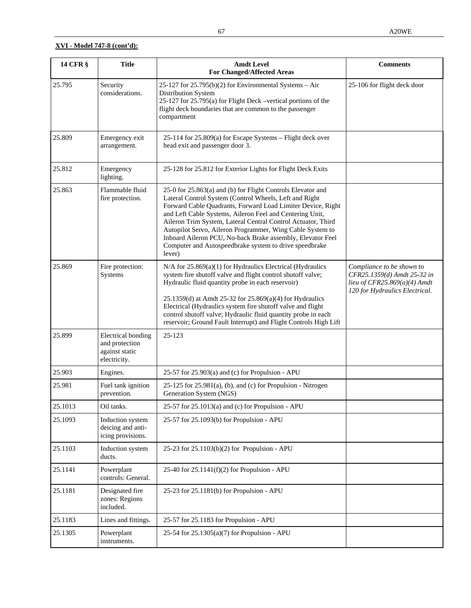| 14 CFR § | <b>Title</b>                                                           | <b>Amdt Level</b><br><b>For Changed/Affected Areas</b>                                                                                                                                                                                                                                                                                                                                                                                                                                                          | <b>Comments</b>                                                                                                                |
|----------|------------------------------------------------------------------------|-----------------------------------------------------------------------------------------------------------------------------------------------------------------------------------------------------------------------------------------------------------------------------------------------------------------------------------------------------------------------------------------------------------------------------------------------------------------------------------------------------------------|--------------------------------------------------------------------------------------------------------------------------------|
| 25.795   | Security<br>considerations.                                            | 25-127 for $25.795(b)(2)$ for Environmental Systems – Air<br>Distribution System<br>25-127 for 25.795(a) for Flight Deck -vertical portions of the<br>flight deck boundaries that are common to the passenger<br>compartment                                                                                                                                                                                                                                                                                    | 25-106 for flight deck door                                                                                                    |
| 25.809   | Emergency exit<br>arrangement.                                         | 25-114 for 25.809(a) for Escape Systems - Flight deck over<br>head exit and passenger door 3.                                                                                                                                                                                                                                                                                                                                                                                                                   |                                                                                                                                |
| 25.812   | Emergency<br>lighting.                                                 | 25-128 for 25.812 for Exterior Lights for Flight Deck Exits                                                                                                                                                                                                                                                                                                                                                                                                                                                     |                                                                                                                                |
| 25.863   | Flammable fluid<br>fire protection.                                    | 25-0 for 25.863(a) and (b) for Flight Controls Elevator and<br>Lateral Control System (Control Wheels, Left and Right<br>Forward Cable Quadrants, Forward Load Limiter Device, Right<br>and Left Cable Systems, Aileron Feel and Centering Unit,<br>Aileron Trim System, Lateral Central Control Actuator, Third<br>Autopilot Servo, Aileron Programmer, Wing Cable System to<br>Inboard Aileron PCU, No-back Brake assembly, Elevator Feel<br>Computer and Autospeedbrake system to drive speedbrake<br>lever) |                                                                                                                                |
| 25.869   | Fire protection:<br>Systems                                            | N/A for 25.869(a)(1) for Hydraulics Electrical (Hydraulics<br>system fire shutoff valve and flight control shutoff valve;<br>Hydraulic fluid quantity probe in each reservoir)<br>25.1359(d) at Amdt 25-32 for 25.869(a)(4) for Hydraulics<br>Electrical (Hydraulics system fire shutoff valve and flight<br>control shutoff valve; Hydraulic fluid quantity probe in each<br>reservoir; Ground Fault Interrupt) and Flight Controls High Lift                                                                  | Compliance to be shown to<br>CFR25.1359(d) Amdt 25-32 in<br>lieu of CFR25.869( $a$ )(4) Amdt<br>120 for Hydraulics Electrical. |
| 25.899   | Electrical bonding<br>and protection<br>against static<br>electricity. | 25-123                                                                                                                                                                                                                                                                                                                                                                                                                                                                                                          |                                                                                                                                |
| 25.903   | Engines.                                                               | 25-57 for 25.903(a) and (c) for Propulsion - APU                                                                                                                                                                                                                                                                                                                                                                                                                                                                |                                                                                                                                |
| 25.981   | Fuel tank ignition<br>prevention.                                      | $25-125$ for $25.981(a)$ , (b), and (c) for Propulsion - Nitrogen<br>Generation System (NGS)                                                                                                                                                                                                                                                                                                                                                                                                                    |                                                                                                                                |
| 25.1013  | Oil tanks.                                                             | 25-57 for $25.1013(a)$ and (c) for Propulsion - APU                                                                                                                                                                                                                                                                                                                                                                                                                                                             |                                                                                                                                |
| 25.1093  | Induction system<br>deicing and anti-<br>icing provisions.             | 25-57 for 25.1093(b) for Propulsion - APU                                                                                                                                                                                                                                                                                                                                                                                                                                                                       |                                                                                                                                |
| 25.1103  | Induction system<br>ducts.                                             | 25-23 for 25.1103(b)(2) for Propulsion - APU                                                                                                                                                                                                                                                                                                                                                                                                                                                                    |                                                                                                                                |
| 25.1141  | Powerplant<br>controls: General.                                       | 25-40 for $25.1141(f)(2)$ for Propulsion - APU                                                                                                                                                                                                                                                                                                                                                                                                                                                                  |                                                                                                                                |
| 25.1181  | Designated fire<br>zones: Regions<br>included.                         | 25-23 for 25.1181(b) for Propulsion - APU                                                                                                                                                                                                                                                                                                                                                                                                                                                                       |                                                                                                                                |
| 25.1183  | Lines and fittings.                                                    | 25-57 for 25.1183 for Propulsion - APU                                                                                                                                                                                                                                                                                                                                                                                                                                                                          |                                                                                                                                |
| 25.1305  | Powerplant<br>instruments.                                             | 25-54 for 25.1305(a)(7) for Propulsion - APU                                                                                                                                                                                                                                                                                                                                                                                                                                                                    |                                                                                                                                |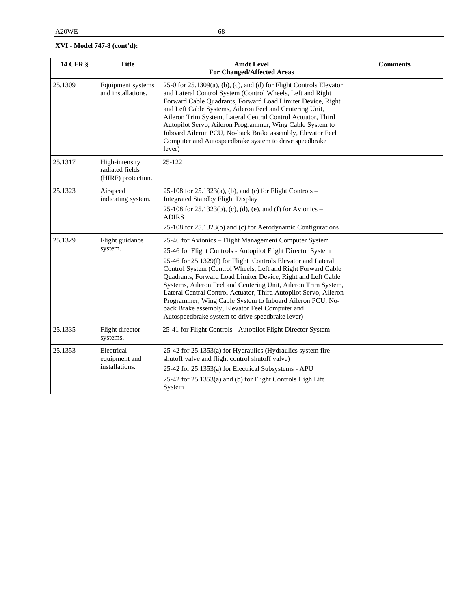| <b>14 CFR §</b> | <b>Title</b>                                            | <b>Amdt Level</b><br><b>For Changed/Affected Areas</b>                                                                                                                                                                                                                                                                                                                                                                                                                                                                                                                                                                            | <b>Comments</b> |
|-----------------|---------------------------------------------------------|-----------------------------------------------------------------------------------------------------------------------------------------------------------------------------------------------------------------------------------------------------------------------------------------------------------------------------------------------------------------------------------------------------------------------------------------------------------------------------------------------------------------------------------------------------------------------------------------------------------------------------------|-----------------|
| 25.1309         | Equipment systems<br>and installations.                 | 25-0 for 25.1309(a), (b), (c), and (d) for Flight Controls Elevator<br>and Lateral Control System (Control Wheels, Left and Right<br>Forward Cable Quadrants, Forward Load Limiter Device, Right<br>and Left Cable Systems, Aileron Feel and Centering Unit,<br>Aileron Trim System, Lateral Central Control Actuator, Third<br>Autopilot Servo, Aileron Programmer, Wing Cable System to<br>Inboard Aileron PCU, No-back Brake assembly, Elevator Feel<br>Computer and Autospeedbrake system to drive speedbrake<br>lever)                                                                                                       |                 |
| 25.1317         | High-intensity<br>radiated fields<br>(HIRF) protection. | 25-122                                                                                                                                                                                                                                                                                                                                                                                                                                                                                                                                                                                                                            |                 |
| 25.1323         | Airspeed<br>indicating system.                          | 25-108 for 25.1323(a), (b), and (c) for Flight Controls -<br><b>Integrated Standby Flight Display</b><br>25-108 for 25.1323(b), (c), (d), (e), and (f) for Avionics –<br><b>ADIRS</b><br>25-108 for 25.1323(b) and (c) for Aerodynamic Configurations                                                                                                                                                                                                                                                                                                                                                                             |                 |
| 25.1329         | Flight guidance<br>system.                              | 25-46 for Avionics - Flight Management Computer System<br>25-46 for Flight Controls - Autopilot Flight Director System<br>25-46 for 25.1329(f) for Flight Controls Elevator and Lateral<br>Control System (Control Wheels, Left and Right Forward Cable<br>Quadrants, Forward Load Limiter Device, Right and Left Cable<br>Systems, Aileron Feel and Centering Unit, Aileron Trim System,<br>Lateral Central Control Actuator, Third Autopilot Servo, Aileron<br>Programmer, Wing Cable System to Inboard Aileron PCU, No-<br>back Brake assembly, Elevator Feel Computer and<br>Autospeedbrake system to drive speedbrake lever) |                 |
| 25.1335         | Flight director<br>systems.                             | 25-41 for Flight Controls - Autopilot Flight Director System                                                                                                                                                                                                                                                                                                                                                                                                                                                                                                                                                                      |                 |
| 25.1353         | Electrical<br>equipment and<br>installations.           | 25-42 for 25.1353(a) for Hydraulics (Hydraulics system fire<br>shutoff valve and flight control shutoff valve)<br>25-42 for 25.1353(a) for Electrical Subsystems - APU<br>25-42 for 25.1353(a) and (b) for Flight Controls High Lift<br>System                                                                                                                                                                                                                                                                                                                                                                                    |                 |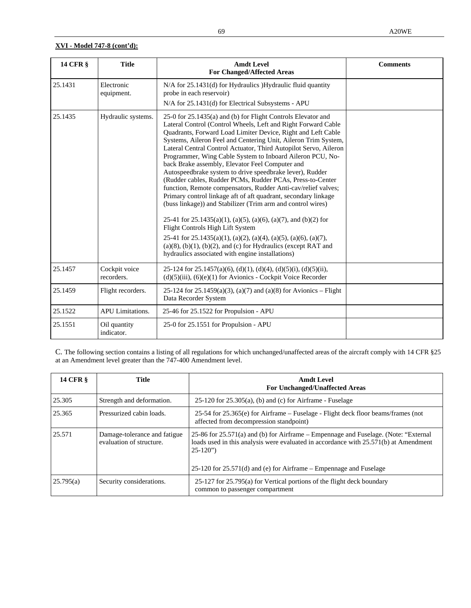| <b>14 CFR §</b> | <b>Title</b>                | <b>Amdt Level</b><br><b>For Changed/Affected Areas</b>                                                                                                                                                                                                                                                                                                                                                                                                                                                                                                                                                                                                                                                                                                                                                                                                                                                                                                                                                                                                                                           | <b>Comments</b> |
|-----------------|-----------------------------|--------------------------------------------------------------------------------------------------------------------------------------------------------------------------------------------------------------------------------------------------------------------------------------------------------------------------------------------------------------------------------------------------------------------------------------------------------------------------------------------------------------------------------------------------------------------------------------------------------------------------------------------------------------------------------------------------------------------------------------------------------------------------------------------------------------------------------------------------------------------------------------------------------------------------------------------------------------------------------------------------------------------------------------------------------------------------------------------------|-----------------|
| 25.1431         | Electronic<br>equipment.    | N/A for 25.1431(d) for Hydraulics )Hydraulic fluid quantity<br>probe in each reservoir)<br>N/A for 25.1431(d) for Electrical Subsystems - APU                                                                                                                                                                                                                                                                                                                                                                                                                                                                                                                                                                                                                                                                                                                                                                                                                                                                                                                                                    |                 |
| 25.1435         | Hydraulic systems.          | 25-0 for 25.1435(a) and (b) for Flight Controls Elevator and<br>Lateral Control (Control Wheels, Left and Right Forward Cable<br>Quadrants, Forward Load Limiter Device, Right and Left Cable<br>Systems, Aileron Feel and Centering Unit, Aileron Trim System,<br>Lateral Central Control Actuator, Third Autopilot Servo, Aileron<br>Programmer, Wing Cable System to Inboard Aileron PCU, No-<br>back Brake assembly, Elevator Feel Computer and<br>Autospeedbrake system to drive speedbrake lever), Rudder<br>(Rudder cables, Rudder PCMs, Rudder PCAs, Press-to-Center<br>function, Remote compensators, Rudder Anti-cav/relief valves;<br>Primary control linkage aft of aft quadrant, secondary linkage<br>(buss linkage)) and Stabilizer (Trim arm and control wires)<br>25-41 for $25.1435(a)(1)$ , (a)(5), (a)(6), (a)(7), and (b)(2) for<br>Flight Controls High Lift System<br>25-41 for $25.1435(a)(1)$ , (a)(2), (a)(4), (a)(5), (a)(6), (a)(7),<br>$(a)(8)$ , $(b)(1)$ , $(b)(2)$ , and $(c)$ for Hydraulics (except RAT and<br>hydraulics associated with engine installations) |                 |
| 25.1457         | Cockpit voice<br>recorders. | 25-124 for 25.1457(a)(6), (d)(1), (d)(4), (d)(5)(i), (d)(5)(ii),<br>$(d)(5)(iii)$ , $(6)(e)(1)$ for Avionics - Cockpit Voice Recorder                                                                                                                                                                                                                                                                                                                                                                                                                                                                                                                                                                                                                                                                                                                                                                                                                                                                                                                                                            |                 |
| 25.1459         | Flight recorders.           | 25-124 for 25.1459(a)(3), (a)(7) and (a)(8) for Avionics – Flight<br>Data Recorder System                                                                                                                                                                                                                                                                                                                                                                                                                                                                                                                                                                                                                                                                                                                                                                                                                                                                                                                                                                                                        |                 |
| 25.1522         | <b>APU</b> Limitations.     | 25-46 for 25.1522 for Propulsion - APU                                                                                                                                                                                                                                                                                                                                                                                                                                                                                                                                                                                                                                                                                                                                                                                                                                                                                                                                                                                                                                                           |                 |
| 25.1551         | Oil quantity<br>indicator.  | 25-0 for 25.1551 for Propulsion - APU                                                                                                                                                                                                                                                                                                                                                                                                                                                                                                                                                                                                                                                                                                                                                                                                                                                                                                                                                                                                                                                            |                 |

C. The following section contains a listing of all regulations for which unchanged/unaffected areas of the aircraft comply with 14 CFR §25 at an Amendment level greater than the 747-400 Amendment level.

| <b>14 CFR §</b> | Title                                                    | <b>Amdt Level</b><br><b>For Unchanged/Unaffected Areas</b>                                                                                                                                                                                                         |
|-----------------|----------------------------------------------------------|--------------------------------------------------------------------------------------------------------------------------------------------------------------------------------------------------------------------------------------------------------------------|
| 25.305          | Strength and deformation.                                | $25-120$ for $25.305(a)$ , (b) and (c) for Airframe - Fuselage                                                                                                                                                                                                     |
| 25.365          | Pressurized cabin loads.                                 | 25-54 for 25.365(e) for Airframe – Fuselage - Flight deck floor beams/frames (not<br>affected from decompression standpoint)                                                                                                                                       |
| 25.571          | Damage-tolerance and fatigue<br>evaluation of structure. | 25-86 for 25.571(a) and (b) for Airframe – Empennage and Fuselage. (Note: "External<br>loads used in this analysis were evaluated in accordance with 25.571(b) at Amendment<br>$25-120"$<br>$25-120$ for $25.571(d)$ and (e) for Airframe – Empennage and Fuselage |
| 25.795(a)       | Security considerations.                                 | 25-127 for 25.795(a) for Vertical portions of the flight deck boundary<br>common to passenger compartment                                                                                                                                                          |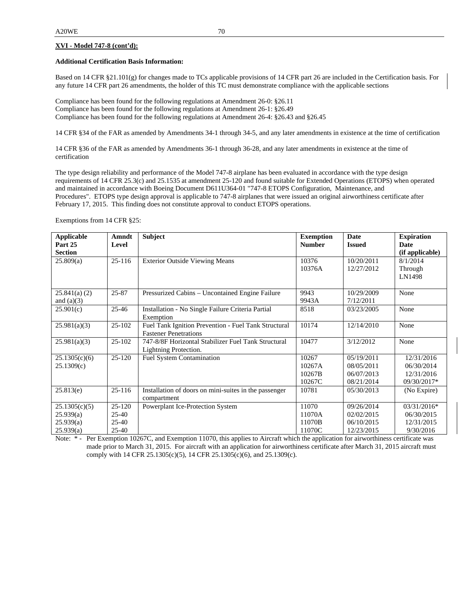#### **Additional Certification Basis Information:**

Based on 14 CFR  $\S 21.101(g)$  for changes made to TCs applicable provisions of 14 CFR part 26 are included in the Certification basis. For any future 14 CFR part 26 amendments, the holder of this TC must demonstrate compliance with the applicable sections

Compliance has been found for the following regulations at Amendment 26-0: §26.11 Compliance has been found for the following regulations at Amendment 26-1: §26.49 Compliance has been found for the following regulations at Amendment 26-4: §26.43 and §26.45

14 CFR §34 of the FAR as amended by Amendments 34-1 through 34-5, and any later amendments in existence at the time of certification

14 CFR §36 of the FAR as amended by Amendments 36-1 through 36-28, and any later amendments in existence at the time of certification

The type design reliability and performance of the Model 747-8 airplane has been evaluated in accordance with the type design requirements of 14 CFR 25.3(c) and 25.1535 at amendment 25-120 and found suitable for Extended Operations (ETOPS) when operated and maintained in accordance with Boeing Document D611U364-01 "747-8 ETOPS Configuration, Maintenance, and Procedures". ETOPS type design approval is applicable to 747-8 airplanes that were issued an original airworthiness certificate after February 17, 2015. This finding does not constitute approval to conduct ETOPS operations.

Exemptions from 14 CFR §25:

| <b>Applicable</b> | <b>Amndt</b> | Subject                                               | <b>Exemption</b> | <b>Date</b>   | <b>Expiration</b> |
|-------------------|--------------|-------------------------------------------------------|------------------|---------------|-------------------|
| Part 25           | Level        |                                                       | <b>Number</b>    | <b>Issued</b> | Date              |
| <b>Section</b>    |              |                                                       |                  |               | (if applicable)   |
| 25.809(a)         | $25 - 116$   | <b>Exterior Outside Viewing Means</b>                 | 10376            | 10/20/2011    | 8/1/2014          |
|                   |              |                                                       | 10376A           | 12/27/2012    | Through           |
|                   |              |                                                       |                  |               | LN1498            |
| 25.841(a) (2)     | 25-87        | Pressurized Cabins - Uncontained Engine Failure       | 9943             | 10/29/2009    | None              |
| and $(a)(3)$      |              |                                                       | 9943A            | 7/12/2011     |                   |
| 25.901(c)         | 25-46        | Installation - No Single Failure Criteria Partial     | 8518             | 03/23/2005    | None              |
|                   |              | Exemption                                             |                  |               |                   |
| 25.981(a)(3)      | $25 - 102$   | Fuel Tank Ignition Prevention - Fuel Tank Structural  | 10174            | 12/14/2010    | None              |
|                   |              | <b>Fastener Penetrations</b>                          |                  |               |                   |
| 25.981(a)(3)      | $25 - 102$   | 747-8/8F Horizontal Stabilizer Fuel Tank Structural   | 10477            | 3/12/2012     | None              |
|                   |              | Lightning Protection.                                 |                  |               |                   |
| 25.1305(c)(6)     | $25-120$     | <b>Fuel System Contamination</b>                      | 10267            | 05/19/2011    | 12/31/2016        |
| 25.1309(c)        |              |                                                       | 10267A           | 08/05/2011    | 06/30/2014        |
|                   |              |                                                       | 10267B           | 06/07/2013    | 12/31/2016        |
|                   |              |                                                       | 10267C           | 08/21/2014    | 09/30/2017*       |
| 25.813(e)         | $25 - 116$   | Installation of doors on mini-suites in the passenger | 10781            | 05/30/2013    | (No Expire)       |
|                   |              | compartment                                           |                  |               |                   |
| 25.1305(c)(5)     | $25 - 120$   | Powerplant Ice-Protection System                      | 11070            | 09/26/2014    | $03/31/2016*$     |
| 25.939(a)         | 25-40        |                                                       | 11070A           | 02/02/2015    | 06/30/2015        |
| 25.939(a)         | $25 - 40$    |                                                       | 11070B           | 06/10/2015    | 12/31/2015        |
| 25.939(a)         | 25-40        |                                                       | 11070C           | 12/23/2015    | 9/30/2016         |

Note: \* - Per Exemption 10267C, and Exemption 11070, this applies to Aircraft which the application for airworthiness certificate was made prior to March 31, 2015. For aircraft with an application for airworthiness certificate after March 31, 2015 aircraft must comply with 14 CFR 25.1305(c)(5), 14 CFR 25.1305(c)(6), and 25.1309(c).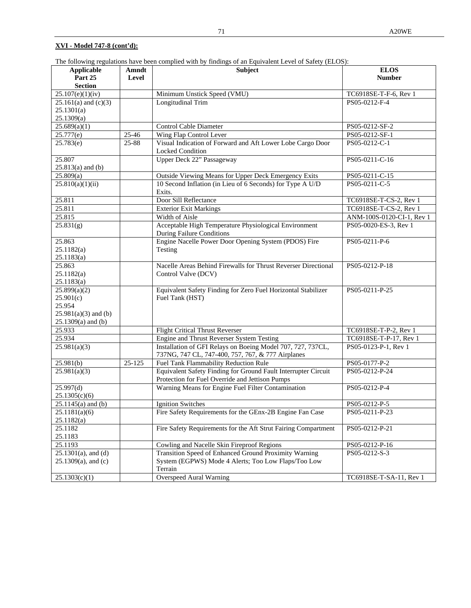The following regulations have been complied with by findings of an Equivalent Level of Safety (ELOS):

| <b>Applicable</b>        | Amndt               | Subject                                                                               | <b>ELOS</b>               |
|--------------------------|---------------------|---------------------------------------------------------------------------------------|---------------------------|
| Part 25                  | Level               |                                                                                       | <b>Number</b>             |
| <b>Section</b>           |                     |                                                                                       |                           |
| 25.107(e)(1)(iv)         |                     | Minimum Unstick Speed (VMU)                                                           | TC6918SE-T-F-6, Rev 1     |
| $25.161(a)$ and $(c)(3)$ |                     | <b>Longitudinal Trim</b>                                                              | PS05-0212-F-4             |
| 25.1301(a)               |                     |                                                                                       |                           |
| 25.1309(a)               |                     |                                                                                       |                           |
| 25.689(a)(1)             |                     | <b>Control Cable Diameter</b>                                                         | PS05-0212-SF-2            |
| 25.777(e)                | $\overline{2}$ 5-46 | Wing Flap Control Lever                                                               | PS05-0212-SF-1            |
| 25.783(e)                | $25 - 88$           | Visual Indication of Forward and Aft Lower Lobe Cargo Door<br><b>Locked Condition</b> | PS05-0212-C-1             |
| 25.807                   |                     | Upper Deck 22" Passageway                                                             | PS05-0211-C-16            |
| $25.813(a)$ and (b)      |                     |                                                                                       |                           |
| 25.809(a)                |                     | Outside Viewing Means for Upper Deck Emergency Exits                                  | PS05-0211-C-15            |
| 25.810(a)(1)(ii)         |                     | 10 Second Inflation (in Lieu of 6 Seconds) for Type A U/D                             | PS05-0211-C-5             |
|                          |                     | Exits.                                                                                |                           |
| 25.811                   |                     | Door Sill Reflectance                                                                 | TC6918SE-T-CS-2, Rev 1    |
| 25.811                   |                     | <b>Exterior Exit Markings</b>                                                         | TC6918SE-T-CS-2, Rev 1    |
| 25.815                   |                     | Width of Aisle                                                                        | ANM-100S-0120-CI-1, Rev 1 |
| 25.831(g)                |                     | Acceptable High Temperature Physiological Environment<br>During Failure Conditions    | PS05-0020-ES-3, Rev 1     |
| 25.863                   |                     | Engine Nacelle Power Door Opening System (PDOS) Fire                                  | PS05-0211-P-6             |
| 25.1182(a)               |                     | Testing                                                                               |                           |
| 25.1183(a)               |                     |                                                                                       |                           |
| 25.863                   |                     | Nacelle Areas Behind Firewalls for Thrust Reverser Directional                        | PS05-0212-P-18            |
| 25.1182(a)               |                     | Control Valve (DCV)                                                                   |                           |
| 25.1183(a)               |                     |                                                                                       |                           |
| 25.899(a)(2)             |                     | Equivalent Safety Finding for Zero Fuel Horizontal Stabilizer                         | PS05-0211-P-25            |
| 25.901(c)                |                     | Fuel Tank (HST)                                                                       |                           |
| 25.954                   |                     |                                                                                       |                           |
| $25.981(a)(3)$ and (b)   |                     |                                                                                       |                           |
| $25.1309(a)$ and (b)     |                     |                                                                                       |                           |
| 25.933                   |                     | <b>Flight Critical Thrust Reverser</b>                                                | TC6918SE-T-P-2, Rev 1     |
| 25.934                   |                     | Engine and Thrust Reverser System Testing                                             | TC6918SE-T-P-17, Rev 1    |
| 25.981(a)(3)             |                     | Installation of GFI Relays on Boeing Model 707, 727, 737CL,                           | PS05-0123-P-1, Rev 1      |
|                          |                     | 737NG, 747 CL, 747-400, 757, 767, & 777 Airplanes                                     |                           |
| 25.981(b)                | $25 - 125$          | Fuel Tank Flammability Reduction Rule                                                 | PS05-0177-P-2             |
| 25.981(a)(3)             |                     | Equivalent Safety Finding for Ground Fault Interrupter Circuit                        | PS05-0212-P-24            |
|                          |                     | Protection for Fuel Override and Jettison Pumps                                       |                           |
| 25.997(d)                |                     | Warning Means for Engine Fuel Filter Contamination                                    | PS05-0212-P-4             |
| 25.1305(c)(6)            |                     |                                                                                       |                           |
| $25.1145(a)$ and (b)     |                     | <b>Ignition Switches</b>                                                              | PS05-0212-P-5             |
| 25.1181(a)(6)            |                     | Fire Safety Requirements for the GEnx-2B Engine Fan Case                              | PS05-0211-P-23            |
| 25.1182(a)               |                     |                                                                                       |                           |
| 25.1182                  |                     | Fire Safety Requirements for the Aft Strut Fairing Compartment                        | PS05-0212-P-21            |
| 25.1183                  |                     |                                                                                       |                           |
| 25.1193                  |                     | Cowling and Nacelle Skin Fireproof Regions                                            | PS05-0212-P-16            |
| $25.1301(a)$ , and (d)   |                     | Transition Speed of Enhanced Ground Proximity Warning                                 | PS05-0212-S-3             |
| $25.1309(a)$ , and (c)   |                     | System (EGPWS) Mode 4 Alerts; Too Low Flaps/Too Low                                   |                           |
|                          |                     | Terrain                                                                               |                           |
| 25.1303(c)(1)            |                     | <b>Overspeed Aural Warning</b>                                                        | TC6918SE-T-SA-11, Rev 1   |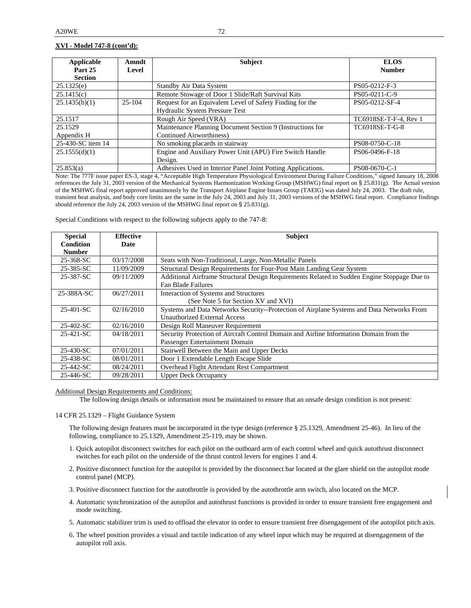| Applicable        | Amndt      | <b>Subject</b>                                               | <b>ELOS</b>           |
|-------------------|------------|--------------------------------------------------------------|-----------------------|
| Part 25           | Level      |                                                              | <b>Number</b>         |
| <b>Section</b>    |            |                                                              |                       |
| 25.1325(e)        |            | <b>Standby Air Data System</b>                               | PS05-0212-F-3         |
| 25.1415(c)        |            | Remote Stowage of Door 1 Slide/Raft Survival Kits            | PS05-0211-C-9         |
| 25.1435(b)(1)     | $25 - 104$ | Request for an Equivalent Level of Safety Finding for the    | PS05-0212-SF-4        |
|                   |            | Hydraulic System Pressure Test                               |                       |
| 25.1517           |            | Rough Air Speed (VRA)                                        | TC6918SE-T-F-4, Rev 1 |
| 25.1529           |            | Maintenance Planning Document Section 9 (Instructions for    | TC6918SE-T-G-8        |
| Appendix H        |            | Continued Airworthiness)                                     |                       |
| 25-430-SC item 14 |            | No smoking placards in stairway                              | PS08-0750-C-18        |
| 25.1555(d)(1)     |            | Engine and Auxiliary Power Unit (APU) Fire Switch Handle     | PS06-0496-F-18        |
|                   |            | Design.                                                      |                       |
| 25.853(a)         |            | Adhesives Used in Interior Panel Joint Potting Applications. | PS08-0670-C-1         |

Note: The 777F issue paper ES-3, stage 4, "Acceptable High Temperature Physiological Environment During Failure Conditions," signed January 18, 2008 references the July 31, 2003 version of the Mechanical Systems Harmonization Working Group (MSHWG) final report on § 25.831(g). The Actual version of the MSHWG final report approved unanimously by the Transport Airplane Engine Issues Group (TAEIG) was dated July 24, 2003. The draft rule, transient heat analysis, and body core limits are the same in the July 24, 2003 and July 31, 2003 versions of the MSHWG final report. Compliance findings should reference the July 24, 2003 version of the MSHWG final report on § 25.831(g).

Special Conditions with respect to the following subjects apply to the 747-8:

| <b>Special</b>   | <b>Effective</b> | <b>Subject</b>                                                                              |
|------------------|------------------|---------------------------------------------------------------------------------------------|
| <b>Condition</b> | Date             |                                                                                             |
| <b>Number</b>    |                  |                                                                                             |
| 25-368-SC        | 03/17/2008       | Seats with Non-Traditional, Large, Non-Metallic Panels                                      |
| 25-385-SC        | 11/09/2009       | Structural Design Requirements for Four-Post Main Landing Gear System                       |
| 25-387-SC        | 09/11/2009       | Additional Airframe Structural Design Requirements Related to Sudden Engine Stoppage Due to |
|                  |                  | Fan Blade Failures                                                                          |
| 25-388A-SC       | 06/27/2011       | Interaction of Systems and Structures                                                       |
|                  |                  | (See Note 5 for Section XV and XVI)                                                         |
| 25-401-SC        | 02/16/2010       | Systems and Data Networks Security--Protection of Airplane Systems and Data Networks From   |
|                  |                  | <b>Unauthorized External Access</b>                                                         |
| 25-402-SC        | 02/16/2010       | Design Roll Maneuver Requirement                                                            |
| 25-421-SC        | 04/18/2011       | Security Protection of Aircraft Control Domain and Airline Information Domain from the      |
|                  |                  | Passenger Entertainment Domain                                                              |
| 25-430-SC        | 07/01/2011       | Stairwell Between the Main and Upper Decks                                                  |
| 25-438-SC        | 08/01/2011       | Door 1 Extendable Length Escape Slide                                                       |
| 25-442-SC        | 08/24/2011       | Overhead Flight Attendant Rest Compartment                                                  |
| 25-446-SC        | 09/28/2011       | <b>Upper Deck Occupancy</b>                                                                 |

#### Additional Design Requirements and Conditions:

The following design details or information must be maintained to ensure that an unsafe design condition is not present:

#### 14 CFR 25.1329 – Flight Guidance System

The following design features must be incorporated in the type design (reference § 25.1329, Amendment 25-46). In lieu of the following, compliance to 25.1329, Amendment 25-119, may be shown.

- 1. Quick autopilot disconnect switches for each pilot on the outboard arm of each control wheel and quick autothrust disconnect switches for each pilot on the underside of the thrust control levers for engines 1 and 4.
- 2. Positive disconnect function for the autopilot is provided by the disconnect bar located at the glare shield on the autopilot mode control panel (MCP).
- 3. Positive disconnect function for the autothrottle is provided by the autothrottle arm switch, also located on the MCP.
- 4. Automatic synchronization of the autopilot and autothrust functions is provided in order to ensure transient free engagement and mode switching.
- 5. Automatic stabilizer trim is used to offload the elevator in order to ensure transient free disengagement of the autopilot pitch axis.
- 6. The wheel position provides a visual and tactile indication of any wheel input which may be required at disengagement of the autopilot roll axis.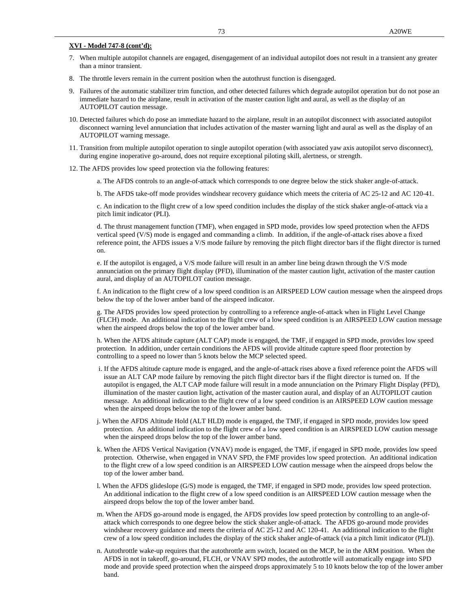## **XVI - Model 747-8 (cont'd):**

- 7. When multiple autopilot channels are engaged, disengagement of an individual autopilot does not result in a transient any greater than a minor transient.
- 8. The throttle levers remain in the current position when the autothrust function is disengaged.
- 9. Failures of the automatic stabilizer trim function, and other detected failures which degrade autopilot operation but do not pose an immediate hazard to the airplane, result in activation of the master caution light and aural, as well as the display of an AUTOPILOT caution message.
- 10. Detected failures which do pose an immediate hazard to the airplane, result in an autopilot disconnect with associated autopilot disconnect warning level annunciation that includes activation of the master warning light and aural as well as the display of an AUTOPILOT warning message.
- 11. Transition from multiple autopilot operation to single autopilot operation (with associated yaw axis autopilot servo disconnect), during engine inoperative go-around, does not require exceptional piloting skill, alertness, or strength.
- 12. The AFDS provides low speed protection via the following features:
	- a. The AFDS controls to an angle-of-attack which corresponds to one degree below the stick shaker angle-of-attack.
	- b. The AFDS take-off mode provides windshear recovery guidance which meets the criteria of AC 25-12 and AC 120-41.

c. An indication to the flight crew of a low speed condition includes the display of the stick shaker angle-of-attack via a pitch limit indicator (PLI).

d. The thrust management function (TMF), when engaged in SPD mode, provides low speed protection when the AFDS vertical speed (V/S) mode is engaged and commanding a climb. In addition, if the angle-of-attack rises above a fixed reference point, the AFDS issues a V/S mode failure by removing the pitch flight director bars if the flight director is turned on.

e. If the autopilot is engaged, a V/S mode failure will result in an amber line being drawn through the V/S mode annunciation on the primary flight display (PFD), illumination of the master caution light, activation of the master caution aural, and display of an AUTOPILOT caution message.

f. An indication to the flight crew of a low speed condition is an AIRSPEED LOW caution message when the airspeed drops below the top of the lower amber band of the airspeed indicator.

g. The AFDS provides low speed protection by controlling to a reference angle-of-attack when in Flight Level Change (FLCH) mode. An additional indication to the flight crew of a low speed condition is an AIRSPEED LOW caution message when the airspeed drops below the top of the lower amber band.

h. When the AFDS altitude capture (ALT CAP) mode is engaged, the TMF, if engaged in SPD mode, provides low speed protection. In addition, under certain conditions the AFDS will provide altitude capture speed floor protection by controlling to a speed no lower than 5 knots below the MCP selected speed.

- i. If the AFDS altitude capture mode is engaged, and the angle-of-attack rises above a fixed reference point the AFDS will issue an ALT CAP mode failure by removing the pitch flight director bars if the flight director is turned on. If the autopilot is engaged, the ALT CAP mode failure will result in a mode annunciation on the Primary Flight Display (PFD), illumination of the master caution light, activation of the master caution aural, and display of an AUTOPILOT caution message. An additional indication to the flight crew of a low speed condition is an AIRSPEED LOW caution message when the airspeed drops below the top of the lower amber band.
- j. When the AFDS Altitude Hold (ALT HLD) mode is engaged, the TMF, if engaged in SPD mode, provides low speed protection. An additional indication to the flight crew of a low speed condition is an AIRSPEED LOW caution message when the airspeed drops below the top of the lower amber band.
- k. When the AFDS Vertical Navigation (VNAV) mode is engaged, the TMF, if engaged in SPD mode, provides low speed protection. Otherwise, when engaged in VNAV SPD, the FMF provides low speed protection. An additional indication to the flight crew of a low speed condition is an AIRSPEED LOW caution message when the airspeed drops below the top of the lower amber band.
- l. When the AFDS glideslope (G/S) mode is engaged, the TMF, if engaged in SPD mode, provides low speed protection. An additional indication to the flight crew of a low speed condition is an AIRSPEED LOW caution message when the airspeed drops below the top of the lower amber band.
- m. When the AFDS go-around mode is engaged, the AFDS provides low speed protection by controlling to an angle-ofattack which corresponds to one degree below the stick shaker angle-of-attack. The AFDS go-around mode provides windshear recovery guidance and meets the criteria of AC 25-12 and AC 120-41. An additional indication to the flight crew of a low speed condition includes the display of the stick shaker angle-of-attack (via a pitch limit indicator (PLI)).
- n. Autothrottle wake-up requires that the autothrottle arm switch, located on the MCP, be in the ARM position. When the AFDS in not in takeoff, go-around, FLCH, or VNAV SPD modes, the autothrottle will automatically engage into SPD mode and provide speed protection when the airspeed drops approximately 5 to 10 knots below the top of the lower amber band.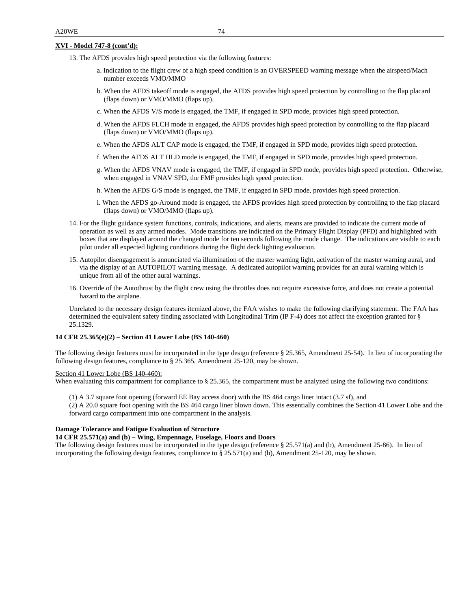### **XVI - Model 747-8 (cont'd):**

- 13. The AFDS provides high speed protection via the following features:
	- a. Indication to the flight crew of a high speed condition is an OVERSPEED warning message when the airspeed/Mach number exceeds VMO/MMO
	- b. When the AFDS takeoff mode is engaged, the AFDS provides high speed protection by controlling to the flap placard (flaps down) or VMO/MMO (flaps up).
	- c. When the AFDS V/S mode is engaged, the TMF, if engaged in SPD mode, provides high speed protection.
	- d. When the AFDS FLCH mode in engaged, the AFDS provides high speed protection by controlling to the flap placard (flaps down) or VMO/MMO (flaps up).
	- e. When the AFDS ALT CAP mode is engaged, the TMF, if engaged in SPD mode, provides high speed protection.
	- f. When the AFDS ALT HLD mode is engaged, the TMF, if engaged in SPD mode, provides high speed protection.
	- g. When the AFDS VNAV mode is engaged, the TMF, if engaged in SPD mode, provides high speed protection. Otherwise, when engaged in VNAV SPD, the FMF provides high speed protection.
	- h. When the AFDS G/S mode is engaged, the TMF, if engaged in SPD mode, provides high speed protection.
	- i. When the AFDS go-Around mode is engaged, the AFDS provides high speed protection by controlling to the flap placard (flaps down) or VMO/MMO (flaps up).
- 14. For the flight guidance system functions, controls, indications, and alerts, means are provided to indicate the current mode of operation as well as any armed modes. Mode transitions are indicated on the Primary Flight Display (PFD) and highlighted with boxes that are displayed around the changed mode for ten seconds following the mode change. The indications are visible to each pilot under all expected lighting conditions during the flight deck lighting evaluation.
- 15. Autopilot disengagement is annunciated via illumination of the master warning light, activation of the master warning aural, and via the display of an AUTOPILOT warning message. A dedicated autopilot warning provides for an aural warning which is unique from all of the other aural warnings.
- 16. Override of the Autothrust by the flight crew using the throttles does not require excessive force, and does not create a potential hazard to the airplane.

Unrelated to the necessary design features itemized above, the FAA wishes to make the following clarifying statement. The FAA has determined the equivalent safety finding associated with Longitudinal Trim (IP F-4) does not affect the exception granted for § 25.1329.

#### **14 CFR 25.365(e)(2) – Section 41 Lower Lobe (BS 140-460)**

The following design features must be incorporated in the type design (reference § 25.365, Amendment 25-54). In lieu of incorporating the following design features, compliance to § 25.365, Amendment 25-120, may be shown.

# Section 41 Lower Lobe (BS 140-460):

When evaluating this compartment for compliance to § 25.365, the compartment must be analyzed using the following two conditions:

(1) A 3.7 square foot opening (forward EE Bay access door) with the BS 464 cargo liner intact (3.7 sf), and

(2) A 20.0 square foot opening with the BS 464 cargo liner blown down. This essentially combines the Section 41 Lower Lobe and the forward cargo compartment into one compartment in the analysis.

# **Damage Tolerance and Fatigue Evaluation of Structure**

#### **14 CFR 25.571(a) and (b) – Wing, Empennage, Fuselage, Floors and Doors**

The following design features must be incorporated in the type design (reference § 25.571(a) and (b), Amendment 25-86). In lieu of incorporating the following design features, compliance to § 25.571(a) and (b), Amendment 25-120, may be shown.